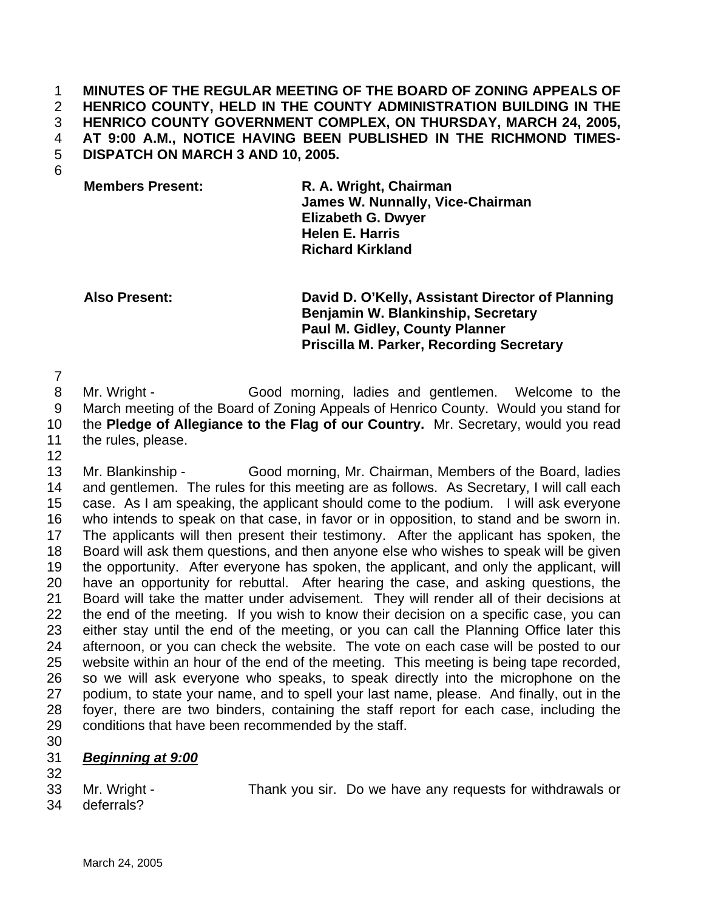## **MINUTES OF THE REGULAR MEETING OF THE BOARD OF ZONING APPEALS OF HENRICO COUNTY, HELD IN THE COUNTY ADMINISTRATION BUILDING IN THE HENRICO COUNTY GOVERNMENT COMPLEX, ON THURSDAY, MARCH 24, 2005, AT 9:00 A.M., NOTICE HAVING BEEN PUBLISHED IN THE RICHMOND TIMES-DISPATCH ON MARCH 3 AND 10, 2005.**  1 2 3 4 5

6

**Members Present: R. A. Wright, Chairman James W. Nunnally, Vice-Chairman Elizabeth G. Dwyer Helen E. Harris Richard Kirkland** 

**Also Present: David D. O'Kelly, Assistant Director of Planning Benjamin W. Blankinship, Secretary Paul M. Gidley, County Planner Priscilla M. Parker, Recording Secretary** 

7

12

8 9 10 11 Mr. Wright - Good morning, ladies and gentlemen. Welcome to the March meeting of the Board of Zoning Appeals of Henrico County. Would you stand for the **Pledge of Allegiance to the Flag of our Country.** Mr. Secretary, would you read the rules, please.

13 14 15 16 17 18 19 20 21 22 23 24 25 26 27 28 29 Mr. Blankinship - Good morning, Mr. Chairman, Members of the Board, ladies and gentlemen. The rules for this meeting are as follows. As Secretary, I will call each case. As I am speaking, the applicant should come to the podium. I will ask everyone who intends to speak on that case, in favor or in opposition, to stand and be sworn in. The applicants will then present their testimony. After the applicant has spoken, the Board will ask them questions, and then anyone else who wishes to speak will be given the opportunity. After everyone has spoken, the applicant, and only the applicant, will have an opportunity for rebuttal. After hearing the case, and asking questions, the Board will take the matter under advisement. They will render all of their decisions at the end of the meeting. If you wish to know their decision on a specific case, you can either stay until the end of the meeting, or you can call the Planning Office later this afternoon, or you can check the website. The vote on each case will be posted to our website within an hour of the end of the meeting. This meeting is being tape recorded, so we will ask everyone who speaks, to speak directly into the microphone on the podium, to state your name, and to spell your last name, please. And finally, out in the foyer, there are two binders, containing the staff report for each case, including the conditions that have been recommended by the staff.

30

## 31 *Beginning at 9:00*

32 33

Mr. Wright - Thank you sir. Do we have any requests for withdrawals or

34 deferrals?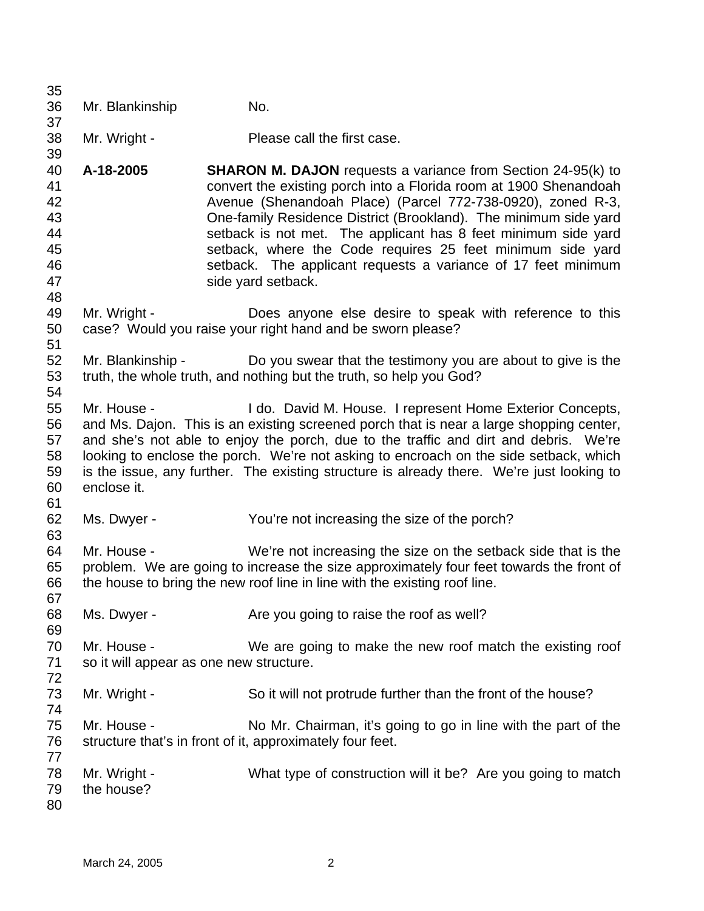| 35<br>36                                                             | Mr. Blankinship                                        | No.                                                                                                                                                                                                                                                                                                                                                                                                                                                                                                |
|----------------------------------------------------------------------|--------------------------------------------------------|----------------------------------------------------------------------------------------------------------------------------------------------------------------------------------------------------------------------------------------------------------------------------------------------------------------------------------------------------------------------------------------------------------------------------------------------------------------------------------------------------|
| 37<br>38<br>39<br>40<br>41<br>42<br>43<br>44<br>45<br>46<br>47<br>48 | Mr. Wright -                                           | Please call the first case.                                                                                                                                                                                                                                                                                                                                                                                                                                                                        |
|                                                                      | A-18-2005                                              | <b>SHARON M. DAJON</b> requests a variance from Section 24-95(k) to<br>convert the existing porch into a Florida room at 1900 Shenandoah<br>Avenue (Shenandoah Place) (Parcel 772-738-0920), zoned R-3,<br>One-family Residence District (Brookland). The minimum side yard<br>setback is not met. The applicant has 8 feet minimum side yard<br>setback, where the Code requires 25 feet minimum side yard<br>setback. The applicant requests a variance of 17 feet minimum<br>side yard setback. |
| 49<br>50<br>51                                                       | Mr. Wright -                                           | Does anyone else desire to speak with reference to this<br>case? Would you raise your right hand and be sworn please?                                                                                                                                                                                                                                                                                                                                                                              |
| 52<br>53<br>54                                                       | Mr. Blankinship -                                      | Do you swear that the testimony you are about to give is the<br>truth, the whole truth, and nothing but the truth, so help you God?                                                                                                                                                                                                                                                                                                                                                                |
| 55<br>56<br>57<br>58<br>59<br>60<br>61                               | Mr. House -<br>enclose it.                             | I do. David M. House. I represent Home Exterior Concepts,<br>and Ms. Dajon. This is an existing screened porch that is near a large shopping center,<br>and she's not able to enjoy the porch, due to the traffic and dirt and debris. We're<br>looking to enclose the porch. We're not asking to encroach on the side setback, which<br>is the issue, any further. The existing structure is already there. We're just looking to                                                                 |
| 62<br>63                                                             | Ms. Dwyer -                                            | You're not increasing the size of the porch?                                                                                                                                                                                                                                                                                                                                                                                                                                                       |
| 64<br>65<br>66<br>67                                                 | Mr. House -                                            | We're not increasing the size on the setback side that is the<br>problem. We are going to increase the size approximately four feet towards the front of<br>the house to bring the new roof line in line with the existing roof line.                                                                                                                                                                                                                                                              |
| 68<br>69                                                             | Ms. Dwyer -                                            | Are you going to raise the roof as well?                                                                                                                                                                                                                                                                                                                                                                                                                                                           |
| 70<br>71<br>72                                                       | Mr. House -<br>so it will appear as one new structure. | We are going to make the new roof match the existing roof                                                                                                                                                                                                                                                                                                                                                                                                                                          |
| 73<br>74                                                             | Mr. Wright -                                           | So it will not protrude further than the front of the house?                                                                                                                                                                                                                                                                                                                                                                                                                                       |
| 75<br>76<br>77                                                       | Mr. House -                                            | No Mr. Chairman, it's going to go in line with the part of the<br>structure that's in front of it, approximately four feet.                                                                                                                                                                                                                                                                                                                                                                        |
| 78<br>79<br>80                                                       | Mr. Wright -<br>the house?                             | What type of construction will it be? Are you going to match                                                                                                                                                                                                                                                                                                                                                                                                                                       |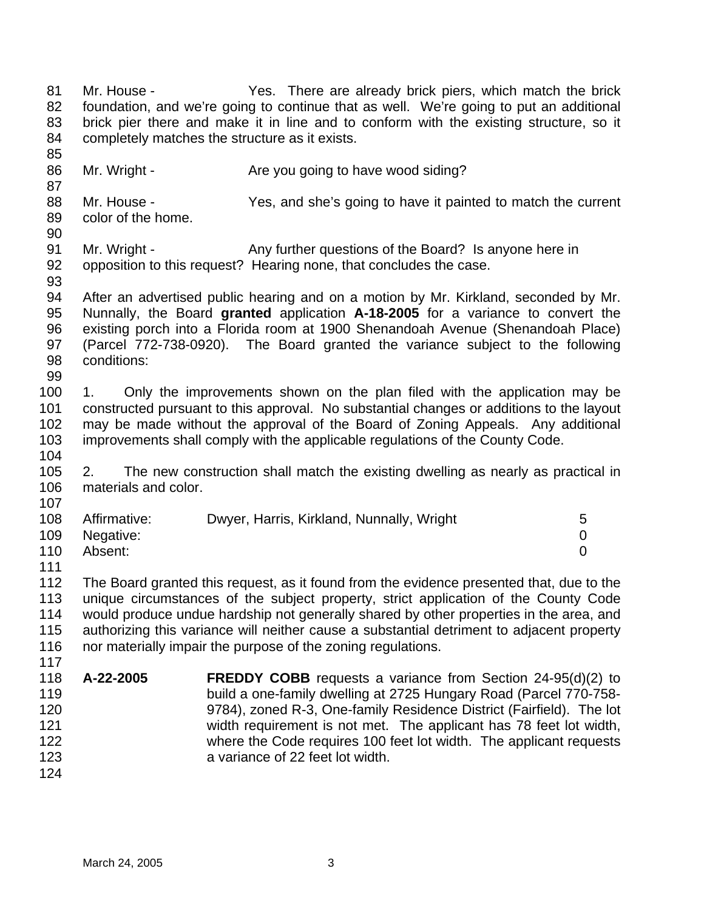84 85 86 87 88 89 90 91 92 93 94 95 96 97 98 99 100 101 102 103 104 105 106 107 108 109 110 111 112 113 114 115 116 117 118 119 120 121 122 123 124 completely matches the structure as it exists. Mr. Wright - Are you going to have wood siding? Mr. House - Yes, and she's going to have it painted to match the current color of the home. Mr. Wright - Any further questions of the Board? Is anyone here in opposition to this request? Hearing none, that concludes the case. After an advertised public hearing and on a motion by Mr. Kirkland, seconded by Mr. Nunnally, the Board **granted** application **A-18-2005** for a variance to convert the existing porch into a Florida room at 1900 Shenandoah Avenue (Shenandoah Place) (Parcel 772-738-0920). The Board granted the variance subject to the following conditions: 1. Only the improvements shown on the plan filed with the application may be constructed pursuant to this approval. No substantial changes or additions to the layout may be made without the approval of the Board of Zoning Appeals. Any additional improvements shall comply with the applicable regulations of the County Code. 2. The new construction shall match the existing dwelling as nearly as practical in materials and color. Affirmative: Dwyer, Harris, Kirkland, Nunnally, Wright 5 Negative: 0 Absent: 0 The Board granted this request, as it found from the evidence presented that, due to the unique circumstances of the subject property, strict application of the County Code would produce undue hardship not generally shared by other properties in the area, and authorizing this variance will neither cause a substantial detriment to adjacent property nor materially impair the purpose of the zoning regulations. **A-22-2005 FREDDY COBB** requests a variance from Section 24-95(d)(2) to build a one-family dwelling at 2725 Hungary Road (Parcel 770-758- 9784), zoned R-3, One-family Residence District (Fairfield). The lot width requirement is not met. The applicant has 78 feet lot width, where the Code requires 100 feet lot width. The applicant requests a variance of 22 feet lot width.

Mr. House - Yes. There are already brick piers, which match the brick foundation, and we're going to continue that as well. We're going to put an additional brick pier there and make it in line and to conform with the existing structure, so it

81 82 83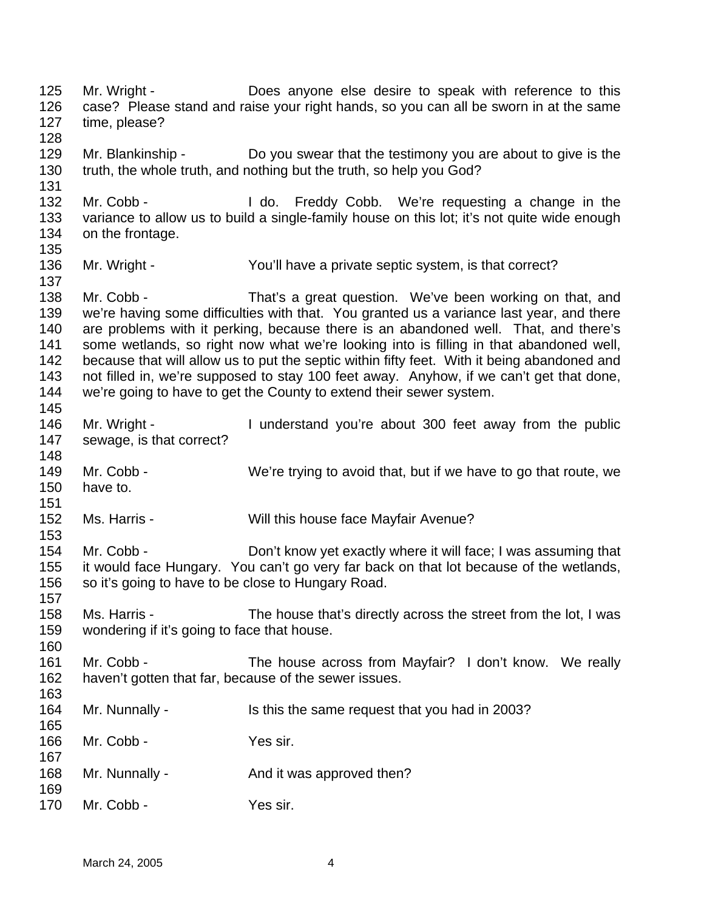125 126 127 128 129 130 131 132 133 134 135 136 137 138 139 140 141 142 143 144 145 146 147 148 149 150 151 152 153 154 155 156 157 158 159 160 161 162 163 164 165 166 167 168 169 170 Mr. Wright - Does anyone else desire to speak with reference to this case? Please stand and raise your right hands, so you can all be sworn in at the same time, please? Mr. Blankinship - Do you swear that the testimony you are about to give is the truth, the whole truth, and nothing but the truth, so help you God? Mr. Cobb - I do. Freddy Cobb. We're requesting a change in the variance to allow us to build a single-family house on this lot; it's not quite wide enough on the frontage. Mr. Wright - You'll have a private septic system, is that correct? Mr. Cobb - That's a great question. We've been working on that, and we're having some difficulties with that. You granted us a variance last year, and there are problems with it perking, because there is an abandoned well. That, and there's some wetlands, so right now what we're looking into is filling in that abandoned well, because that will allow us to put the septic within fifty feet. With it being abandoned and not filled in, we're supposed to stay 100 feet away. Anyhow, if we can't get that done, we're going to have to get the County to extend their sewer system. Mr. Wright - I understand you're about 300 feet away from the public sewage, is that correct? Mr. Cobb - We're trying to avoid that, but if we have to go that route, we have to. Ms. Harris - Will this house face Mayfair Avenue? Mr. Cobb - Don't know yet exactly where it will face; I was assuming that it would face Hungary. You can't go very far back on that lot because of the wetlands, so it's going to have to be close to Hungary Road. Ms. Harris - The house that's directly across the street from the lot, I was wondering if it's going to face that house. Mr. Cobb - The house across from Mayfair? I don't know. We really haven't gotten that far, because of the sewer issues. Mr. Nunnally - Is this the same request that you had in 2003? Mr. Cobb - Yes sir. Mr. Nunnally - And it was approved then? Mr. Cobb - Yes sir.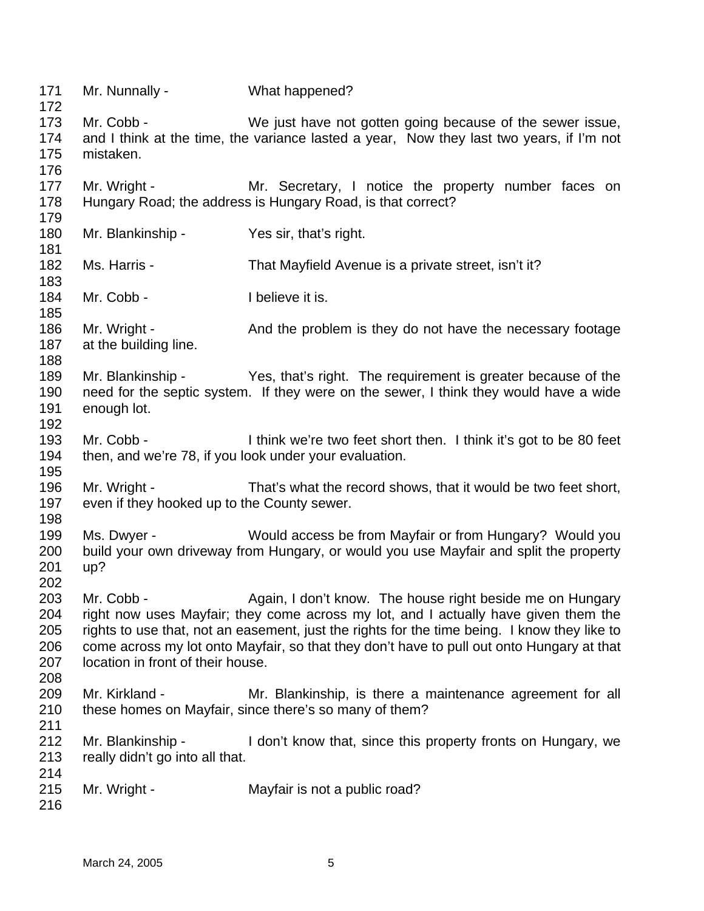| 171<br>172                             | Mr. Nunnally -                                                       | What happened?                                                                                                                                                                                                                                                                                                                                |
|----------------------------------------|----------------------------------------------------------------------|-----------------------------------------------------------------------------------------------------------------------------------------------------------------------------------------------------------------------------------------------------------------------------------------------------------------------------------------------|
| 173<br>174<br>175<br>176               | Mr. Cobb -<br>mistaken.                                              | We just have not gotten going because of the sewer issue,<br>and I think at the time, the variance lasted a year, Now they last two years, if I'm not                                                                                                                                                                                         |
| 177<br>178<br>179                      | Mr. Wright -                                                         | Mr. Secretary, I notice the property number faces on<br>Hungary Road; the address is Hungary Road, is that correct?                                                                                                                                                                                                                           |
| 180<br>181                             | Mr. Blankinship -                                                    | Yes sir, that's right.                                                                                                                                                                                                                                                                                                                        |
| 182<br>183                             | Ms. Harris -                                                         | That Mayfield Avenue is a private street, isn't it?                                                                                                                                                                                                                                                                                           |
| 184<br>185                             | Mr. Cobb -                                                           | I believe it is.                                                                                                                                                                                                                                                                                                                              |
| 186<br>187<br>188                      | Mr. Wright -<br>at the building line.                                | And the problem is they do not have the necessary footage                                                                                                                                                                                                                                                                                     |
| 189<br>190<br>191<br>192               | enough lot.                                                          | Mr. Blankinship - Yes, that's right. The requirement is greater because of the<br>need for the septic system. If they were on the sewer, I think they would have a wide                                                                                                                                                                       |
| 193<br>194<br>195                      | Mr. Cobb -<br>then, and we're 78, if you look under your evaluation. | I think we're two feet short then. I think it's got to be 80 feet                                                                                                                                                                                                                                                                             |
| 196<br>197<br>198                      | Mr. Wright -<br>even if they hooked up to the County sewer.          | That's what the record shows, that it would be two feet short,                                                                                                                                                                                                                                                                                |
| 199<br>200<br>201<br>202               | Ms. Dwyer -<br>up?                                                   | Would access be from Mayfair or from Hungary? Would you<br>build your own driveway from Hungary, or would you use Mayfair and split the property                                                                                                                                                                                              |
| 203<br>204<br>205<br>206<br>207<br>208 | Mr. Cobb -<br>location in front of their house.                      | Again, I don't know. The house right beside me on Hungary<br>right now uses Mayfair; they come across my lot, and I actually have given them the<br>rights to use that, not an easement, just the rights for the time being. I know they like to<br>come across my lot onto Mayfair, so that they don't have to pull out onto Hungary at that |
| 209<br>210<br>211                      | Mr. Kirkland -                                                       | Mr. Blankinship, is there a maintenance agreement for all<br>these homes on Mayfair, since there's so many of them?                                                                                                                                                                                                                           |
| 212<br>213<br>214                      | Mr. Blankinship -<br>really didn't go into all that.                 | I don't know that, since this property fronts on Hungary, we                                                                                                                                                                                                                                                                                  |
| 215<br>216                             | Mr. Wright -                                                         | Mayfair is not a public road?                                                                                                                                                                                                                                                                                                                 |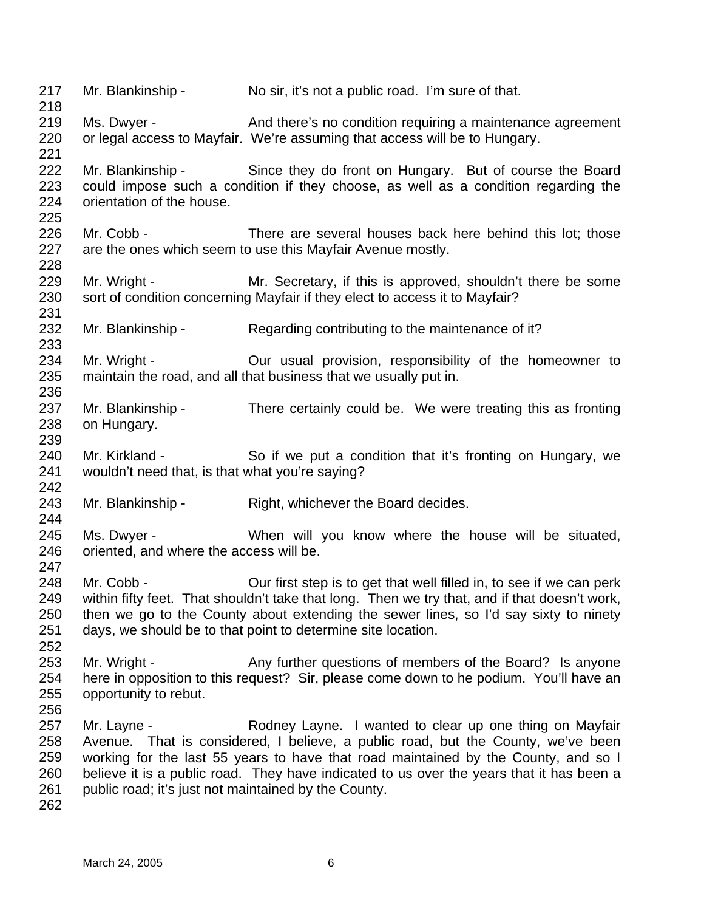217 218 219 220 221 222 223 224 225 226 227 228 229 230 231 232 233 234 235 236 237 238 239 240 241 242 243 244 245 246 247 248 249 250 251 252 253 254 255 256 257 258 259 260 261 262 Mr. Blankinship - No sir, it's not a public road. I'm sure of that. Ms. Dwyer - And there's no condition requiring a maintenance agreement or legal access to Mayfair. We're assuming that access will be to Hungary. Mr. Blankinship - Since they do front on Hungary. But of course the Board could impose such a condition if they choose, as well as a condition regarding the orientation of the house. Mr. Cobb - There are several houses back here behind this lot; those are the ones which seem to use this Mayfair Avenue mostly. Mr. Wright - Mr. Secretary, if this is approved, shouldn't there be some sort of condition concerning Mayfair if they elect to access it to Mayfair? Mr. Blankinship - Regarding contributing to the maintenance of it? Mr. Wright - Cur usual provision, responsibility of the homeowner to maintain the road, and all that business that we usually put in. Mr. Blankinship - There certainly could be. We were treating this as fronting on Hungary. Mr. Kirkland - So if we put a condition that it's fronting on Hungary, we wouldn't need that, is that what you're saying? Mr. Blankinship - Right, whichever the Board decides. Ms. Dwyer - When will you know where the house will be situated, oriented, and where the access will be. Mr. Cobb - Cur first step is to get that well filled in, to see if we can perk within fifty feet. That shouldn't take that long. Then we try that, and if that doesn't work, then we go to the County about extending the sewer lines, so I'd say sixty to ninety days, we should be to that point to determine site location. Mr. Wright - Any further questions of members of the Board? Is anyone here in opposition to this request? Sir, please come down to he podium. You'll have an opportunity to rebut. Mr. Layne - The Rodney Layne. I wanted to clear up one thing on Mayfair Avenue. That is considered, I believe, a public road, but the County, we've been working for the last 55 years to have that road maintained by the County, and so I believe it is a public road. They have indicated to us over the years that it has been a public road; it's just not maintained by the County.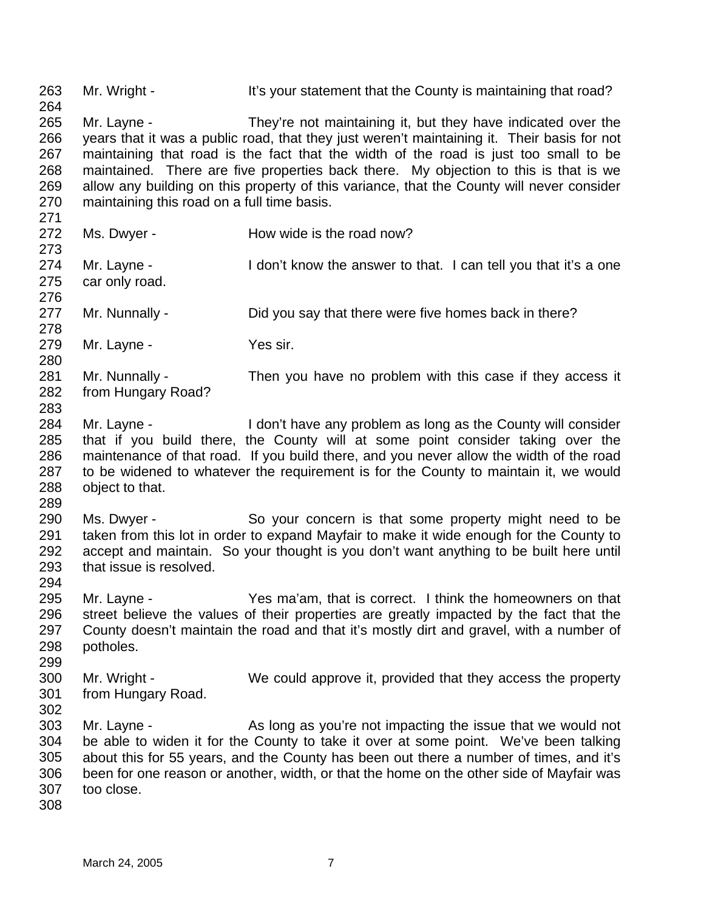263 264 265 266 267 268 269 270 271 272 273 274 275 276 277 278 279 280 281 282 283 284 285 286 287 288 289 290 291 292 293 294 295 296 297 298 299 300 301 302 303 304 305 306 307 308 Mr. Wright - It's your statement that the County is maintaining that road? Mr. Layne - They're not maintaining it, but they have indicated over the years that it was a public road, that they just weren't maintaining it. Their basis for not maintaining that road is the fact that the width of the road is just too small to be maintained. There are five properties back there. My objection to this is that is we allow any building on this property of this variance, that the County will never consider maintaining this road on a full time basis. Ms. Dwyer - How wide is the road now? Mr. Layne - I don't know the answer to that. I can tell you that it's a one car only road. Mr. Nunnally - **Did you say that there were five homes back in there?** Mr. Layne - Yes sir. Mr. Nunnally - Then you have no problem with this case if they access it from Hungary Road? Mr. Layne - I don't have any problem as long as the County will consider that if you build there, the County will at some point consider taking over the maintenance of that road. If you build there, and you never allow the width of the road to be widened to whatever the requirement is for the County to maintain it, we would object to that. Ms. Dwyer - So your concern is that some property might need to be taken from this lot in order to expand Mayfair to make it wide enough for the County to accept and maintain. So your thought is you don't want anything to be built here until that issue is resolved. Mr. Layne - Yes ma'am, that is correct. I think the homeowners on that street believe the values of their properties are greatly impacted by the fact that the County doesn't maintain the road and that it's mostly dirt and gravel, with a number of potholes. Mr. Wright - We could approve it, provided that they access the property from Hungary Road. Mr. Layne - As long as you're not impacting the issue that we would not be able to widen it for the County to take it over at some point. We've been talking about this for 55 years, and the County has been out there a number of times, and it's been for one reason or another, width, or that the home on the other side of Mayfair was too close.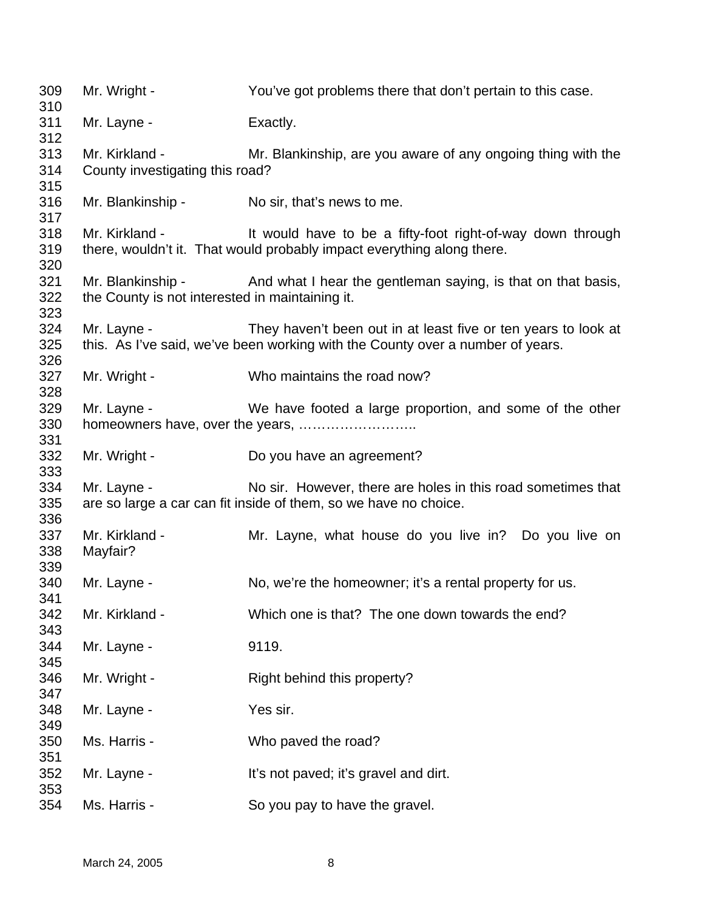| 309<br>310        | Mr. Wright -                                      | You've got problems there that don't pertain to this case.                                                                                                   |
|-------------------|---------------------------------------------------|--------------------------------------------------------------------------------------------------------------------------------------------------------------|
| 311<br>312        | Mr. Layne -                                       | Exactly.                                                                                                                                                     |
| 313<br>314        | Mr. Kirkland -<br>County investigating this road? | Mr. Blankinship, are you aware of any ongoing thing with the                                                                                                 |
| 315<br>316<br>317 | Mr. Blankinship - No sir, that's news to me.      |                                                                                                                                                              |
| 318<br>319<br>320 | Mr. Kirkland -                                    | It would have to be a fifty-foot right-of-way down through<br>there, wouldn't it. That would probably impact everything along there.                         |
| 321<br>322        | the County is not interested in maintaining it.   | Mr. Blankinship - And what I hear the gentleman saying, is that on that basis,                                                                               |
| 323<br>324<br>325 |                                                   | Mr. Layne - They haven't been out in at least five or ten years to look at<br>this. As I've said, we've been working with the County over a number of years. |
| 326<br>327<br>328 | Mr. Wright -                                      | Who maintains the road now?                                                                                                                                  |
| 329<br>330<br>331 | Mr. Layne -                                       | We have footed a large proportion, and some of the other                                                                                                     |
| 332<br>333        | Mr. Wright -                                      | Do you have an agreement?                                                                                                                                    |
| 334<br>335<br>336 | Mr. Layne -                                       | No sir. However, there are holes in this road sometimes that<br>are so large a car can fit inside of them, so we have no choice.                             |
| 337<br>338<br>339 | Mr. Kirkland -<br>Mayfair?                        | Mr. Layne, what house do you live in? Do you live on                                                                                                         |
| 340<br>341        | Mr. Layne -                                       | No, we're the homeowner; it's a rental property for us.                                                                                                      |
| 342<br>343        | Mr. Kirkland -                                    | Which one is that? The one down towards the end?                                                                                                             |
| 344<br>345        | Mr. Layne -                                       | 9119.                                                                                                                                                        |
| 346<br>347        | Mr. Wright -                                      | Right behind this property?                                                                                                                                  |
| 348<br>349        | Mr. Layne -                                       | Yes sir.                                                                                                                                                     |
| 350<br>351        | Ms. Harris -                                      | Who paved the road?                                                                                                                                          |
| 352<br>353        | Mr. Layne -                                       | It's not paved; it's gravel and dirt.                                                                                                                        |
| 354               | Ms. Harris -                                      | So you pay to have the gravel.                                                                                                                               |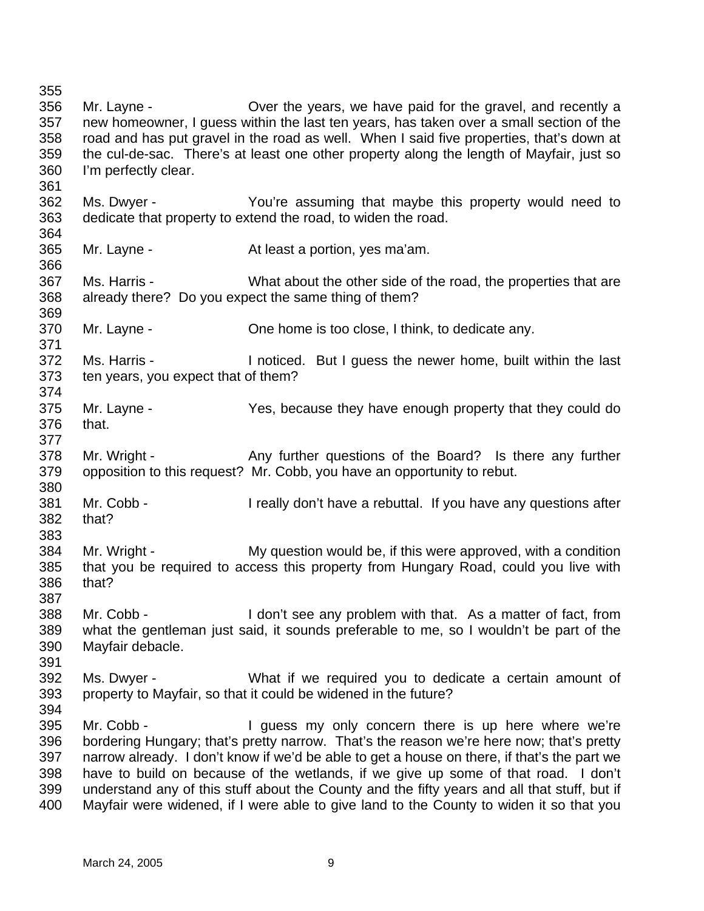355 356 357 358 359 360 361 362 363 364 365 366 367 368 369 370 371 372 373 374 375 376 377 378 379 380 381 382 383 384 385 386 387 388 389 390 391 392 393 394 395 396 397 398 399 400 Mr. Layne - Cover the years, we have paid for the gravel, and recently a new homeowner, I guess within the last ten years, has taken over a small section of the road and has put gravel in the road as well. When I said five properties, that's down at the cul-de-sac. There's at least one other property along the length of Mayfair, just so I'm perfectly clear. Ms. Dwyer - You're assuming that maybe this property would need to dedicate that property to extend the road, to widen the road. Mr. Layne - **At least a portion**, yes ma'am. Ms. Harris - What about the other side of the road, the properties that are already there? Do you expect the same thing of them? Mr. Layne - One home is too close, I think, to dedicate any. Ms. Harris - Inoticed. But I guess the newer home, built within the last ten years, you expect that of them? Mr. Layne - Yes, because they have enough property that they could do that. Mr. Wright - Any further questions of the Board? Is there any further opposition to this request? Mr. Cobb, you have an opportunity to rebut. Mr. Cobb - I really don't have a rebuttal. If you have any questions after that? Mr. Wright - My question would be, if this were approved, with a condition that you be required to access this property from Hungary Road, could you live with that? Mr. Cobb - I don't see any problem with that. As a matter of fact, from what the gentleman just said, it sounds preferable to me, so I wouldn't be part of the Mayfair debacle. Ms. Dwyer - What if we required you to dedicate a certain amount of property to Mayfair, so that it could be widened in the future? Mr. Cobb - I guess my only concern there is up here where we're bordering Hungary; that's pretty narrow. That's the reason we're here now; that's pretty narrow already. I don't know if we'd be able to get a house on there, if that's the part we have to build on because of the wetlands, if we give up some of that road. I don't understand any of this stuff about the County and the fifty years and all that stuff, but if Mayfair were widened, if I were able to give land to the County to widen it so that you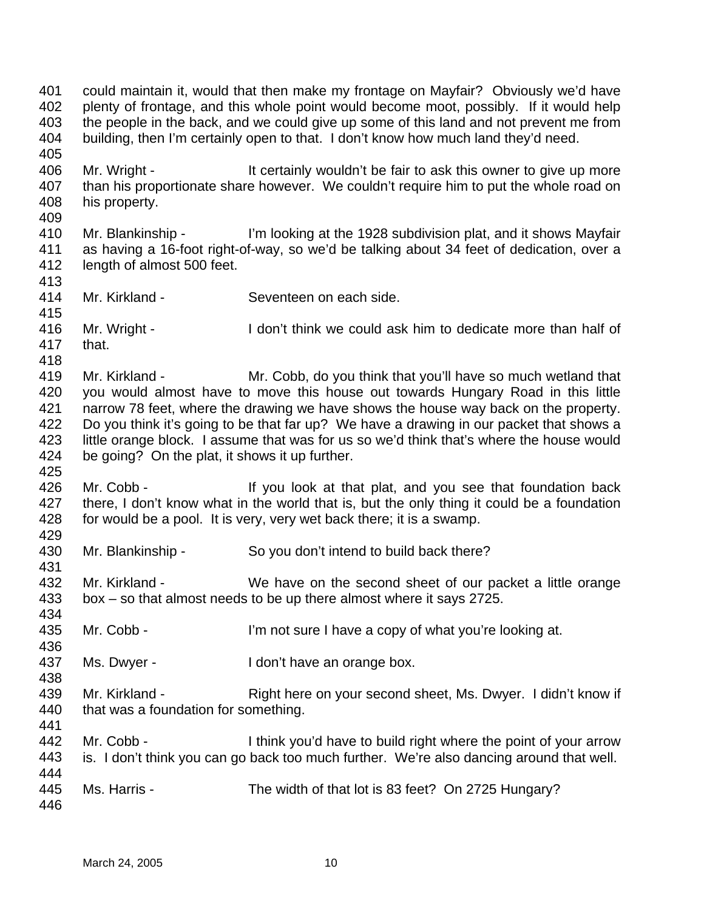401 402 403 404 405 406 407 408 409 410 411 412 413 414 415 416 417 418 419 420 421 422 423 424 425 426 427 428 429 430 431 432 433 434 435 436 437 438 439 440 441 442 443 444 445 446 could maintain it, would that then make my frontage on Mayfair? Obviously we'd have plenty of frontage, and this whole point would become moot, possibly. If it would help the people in the back, and we could give up some of this land and not prevent me from building, then I'm certainly open to that. I don't know how much land they'd need. Mr. Wright - It certainly wouldn't be fair to ask this owner to give up more than his proportionate share however. We couldn't require him to put the whole road on his property. Mr. Blankinship - I'm looking at the 1928 subdivision plat, and it shows Mayfair as having a 16-foot right-of-way, so we'd be talking about 34 feet of dedication, over a length of almost 500 feet. Mr. Kirkland - Seventeen on each side. Mr. Wright - I don't think we could ask him to dedicate more than half of that. Mr. Kirkland - Mr. Cobb, do you think that you'll have so much wetland that you would almost have to move this house out towards Hungary Road in this little narrow 78 feet, where the drawing we have shows the house way back on the property. Do you think it's going to be that far up? We have a drawing in our packet that shows a little orange block. I assume that was for us so we'd think that's where the house would be going? On the plat, it shows it up further. Mr. Cobb - If you look at that plat, and you see that foundation back there, I don't know what in the world that is, but the only thing it could be a foundation for would be a pool. It is very, very wet back there; it is a swamp. Mr. Blankinship - So you don't intend to build back there? Mr. Kirkland - We have on the second sheet of our packet a little orange box – so that almost needs to be up there almost where it says 2725. Mr. Cobb - I'm not sure I have a copy of what you're looking at. Ms. Dwyer - I don't have an orange box. Mr. Kirkland - Right here on your second sheet, Ms. Dwyer. I didn't know if that was a foundation for something. Mr. Cobb - I think you'd have to build right where the point of your arrow is. I don't think you can go back too much further. We're also dancing around that well. Ms. Harris - The width of that lot is 83 feet? On 2725 Hungary?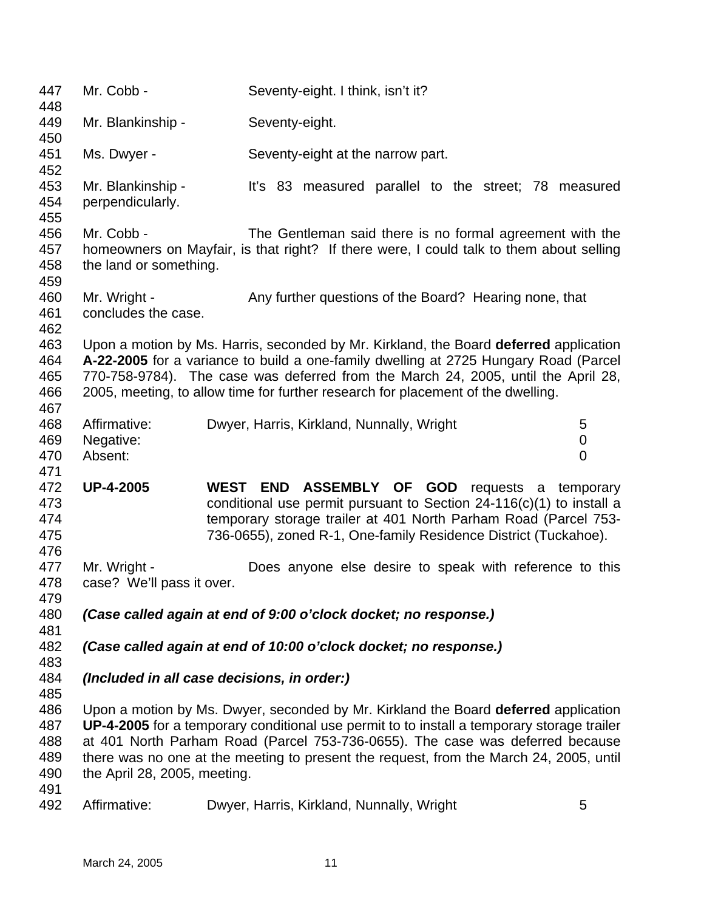| 447<br>448                             | Mr. Cobb -                                | Seventy-eight. I think, isn't it?                                                                                                                                                                                                                                                                                                                            |                          |
|----------------------------------------|-------------------------------------------|--------------------------------------------------------------------------------------------------------------------------------------------------------------------------------------------------------------------------------------------------------------------------------------------------------------------------------------------------------------|--------------------------|
| 449<br>450                             | Mr. Blankinship -                         | Seventy-eight.                                                                                                                                                                                                                                                                                                                                               |                          |
| 451<br>452                             | Ms. Dwyer -                               | Seventy-eight at the narrow part.                                                                                                                                                                                                                                                                                                                            |                          |
| 453<br>454<br>455                      | Mr. Blankinship -<br>perpendicularly.     | It's 83 measured parallel to the street; 78 measured                                                                                                                                                                                                                                                                                                         |                          |
| 456<br>457<br>458<br>459               | Mr. Cobb -<br>the land or something.      | The Gentleman said there is no formal agreement with the<br>homeowners on Mayfair, is that right? If there were, I could talk to them about selling                                                                                                                                                                                                          |                          |
| 460<br>461<br>462                      | Mr. Wright -<br>concludes the case.       | Any further questions of the Board? Hearing none, that                                                                                                                                                                                                                                                                                                       |                          |
| 463<br>464<br>465<br>466<br>467        |                                           | Upon a motion by Ms. Harris, seconded by Mr. Kirkland, the Board deferred application<br>A-22-2005 for a variance to build a one-family dwelling at 2725 Hungary Road (Parcel<br>770-758-9784). The case was deferred from the March 24, 2005, until the April 28,<br>2005, meeting, to allow time for further research for placement of the dwelling.       |                          |
| 468<br>469<br>470<br>471               | Affirmative:<br>Negative:<br>Absent:      | Dwyer, Harris, Kirkland, Nunnally, Wright                                                                                                                                                                                                                                                                                                                    | 5<br>0<br>$\overline{0}$ |
| 472<br>473<br>474<br>475<br>476        | <b>UP-4-2005</b>                          | WEST END ASSEMBLY OF GOD requests a temporary<br>conditional use permit pursuant to Section $24-116(c)(1)$ to install a<br>temporary storage trailer at 401 North Parham Road (Parcel 753-<br>736-0655), zoned R-1, One-family Residence District (Tuckahoe).                                                                                                |                          |
| 477<br>478<br>479                      | Mr. Wright -<br>case? We'll pass it over. | Does anyone else desire to speak with reference to this                                                                                                                                                                                                                                                                                                      |                          |
| 480<br>481                             |                                           | (Case called again at end of 9:00 o'clock docket; no response.)                                                                                                                                                                                                                                                                                              |                          |
| 482<br>483                             |                                           | (Case called again at end of 10:00 o'clock docket; no response.)                                                                                                                                                                                                                                                                                             |                          |
| 484<br>485                             |                                           | (Included in all case decisions, in order:)                                                                                                                                                                                                                                                                                                                  |                          |
| 486<br>487<br>488<br>489<br>490<br>491 | the April 28, 2005, meeting.              | Upon a motion by Ms. Dwyer, seconded by Mr. Kirkland the Board deferred application<br>UP-4-2005 for a temporary conditional use permit to to install a temporary storage trailer<br>at 401 North Parham Road (Parcel 753-736-0655). The case was deferred because<br>there was no one at the meeting to present the request, from the March 24, 2005, until |                          |
| 492                                    | Affirmative:                              | Dwyer, Harris, Kirkland, Nunnally, Wright                                                                                                                                                                                                                                                                                                                    | 5                        |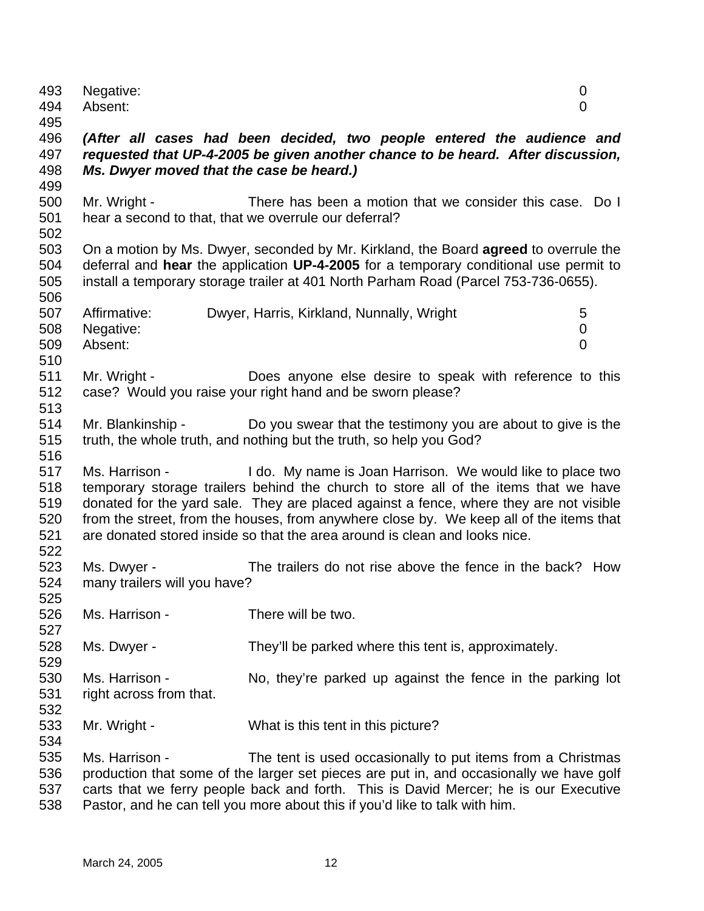| 493        | Negative:                                             |                                                                                                                                                                                      | 0                |
|------------|-------------------------------------------------------|--------------------------------------------------------------------------------------------------------------------------------------------------------------------------------------|------------------|
| 494        | Absent:                                               |                                                                                                                                                                                      | $\overline{0}$   |
| 495        |                                                       |                                                                                                                                                                                      |                  |
| 496        |                                                       | (After all cases had been decided, two people entered the audience and                                                                                                               |                  |
| 497        |                                                       | requested that UP-4-2005 be given another chance to be heard. After discussion,                                                                                                      |                  |
| 498        | Ms. Dwyer moved that the case be heard.)              |                                                                                                                                                                                      |                  |
| 499        |                                                       |                                                                                                                                                                                      |                  |
| 500        | Mr. Wright -                                          | There has been a motion that we consider this case. Do I                                                                                                                             |                  |
| 501        | hear a second to that, that we overrule our deferral? |                                                                                                                                                                                      |                  |
| 502        |                                                       |                                                                                                                                                                                      |                  |
| 503<br>504 |                                                       | On a motion by Ms. Dwyer, seconded by Mr. Kirkland, the Board <b>agreed</b> to overrule the<br>deferral and hear the application UP-4-2005 for a temporary conditional use permit to |                  |
| 505        |                                                       | install a temporary storage trailer at 401 North Parham Road (Parcel 753-736-0655).                                                                                                  |                  |
| 506        |                                                       |                                                                                                                                                                                      |                  |
| 507        | Affirmative:                                          | Dwyer, Harris, Kirkland, Nunnally, Wright                                                                                                                                            | 5                |
| 508        | Negative:                                             |                                                                                                                                                                                      | $\boldsymbol{0}$ |
| 509        | Absent:                                               |                                                                                                                                                                                      | $\overline{0}$   |
| 510        |                                                       |                                                                                                                                                                                      |                  |
| 511        | Mr. Wright -                                          | Does anyone else desire to speak with reference to this                                                                                                                              |                  |
| 512        |                                                       | case? Would you raise your right hand and be sworn please?                                                                                                                           |                  |
| 513        |                                                       |                                                                                                                                                                                      |                  |
| 514        |                                                       | Mr. Blankinship - Do you swear that the testimony you are about to give is the                                                                                                       |                  |
| 515        |                                                       | truth, the whole truth, and nothing but the truth, so help you God?                                                                                                                  |                  |
| 516        |                                                       |                                                                                                                                                                                      |                  |
| 517        | Ms. Harrison -                                        | I do. My name is Joan Harrison. We would like to place two                                                                                                                           |                  |
| 518        |                                                       | temporary storage trailers behind the church to store all of the items that we have                                                                                                  |                  |
| 519        |                                                       | donated for the yard sale. They are placed against a fence, where they are not visible                                                                                               |                  |
| 520        |                                                       | from the street, from the houses, from anywhere close by. We keep all of the items that                                                                                              |                  |
| 521        |                                                       | are donated stored inside so that the area around is clean and looks nice.                                                                                                           |                  |
| 522        |                                                       |                                                                                                                                                                                      |                  |
| 523        | Ms. Dwyer -                                           | The trailers do not rise above the fence in the back? How                                                                                                                            |                  |
| 524        | many trailers will you have?                          |                                                                                                                                                                                      |                  |
| 525        |                                                       |                                                                                                                                                                                      |                  |
| 526        | Ms. Harrison -                                        | There will be two.                                                                                                                                                                   |                  |
| 527        |                                                       |                                                                                                                                                                                      |                  |
| 528        | Ms. Dwyer -                                           | They'll be parked where this tent is, approximately.                                                                                                                                 |                  |
| 529        |                                                       |                                                                                                                                                                                      |                  |
| 530        | Ms. Harrison -                                        | No, they're parked up against the fence in the parking lot                                                                                                                           |                  |
| 531        | right across from that.                               |                                                                                                                                                                                      |                  |
| 532        |                                                       |                                                                                                                                                                                      |                  |
| 533        | Mr. Wright -                                          | What is this tent in this picture?                                                                                                                                                   |                  |
| 534        |                                                       |                                                                                                                                                                                      |                  |
| 535        | Ms. Harrison -                                        | The tent is used occasionally to put items from a Christmas                                                                                                                          |                  |
| 536<br>537 |                                                       | production that some of the larger set pieces are put in, and occasionally we have golf                                                                                              |                  |
| 538        |                                                       | carts that we ferry people back and forth. This is David Mercer; he is our Executive<br>Pastor, and he can tell you more about this if you'd like to talk with him.                  |                  |
|            |                                                       |                                                                                                                                                                                      |                  |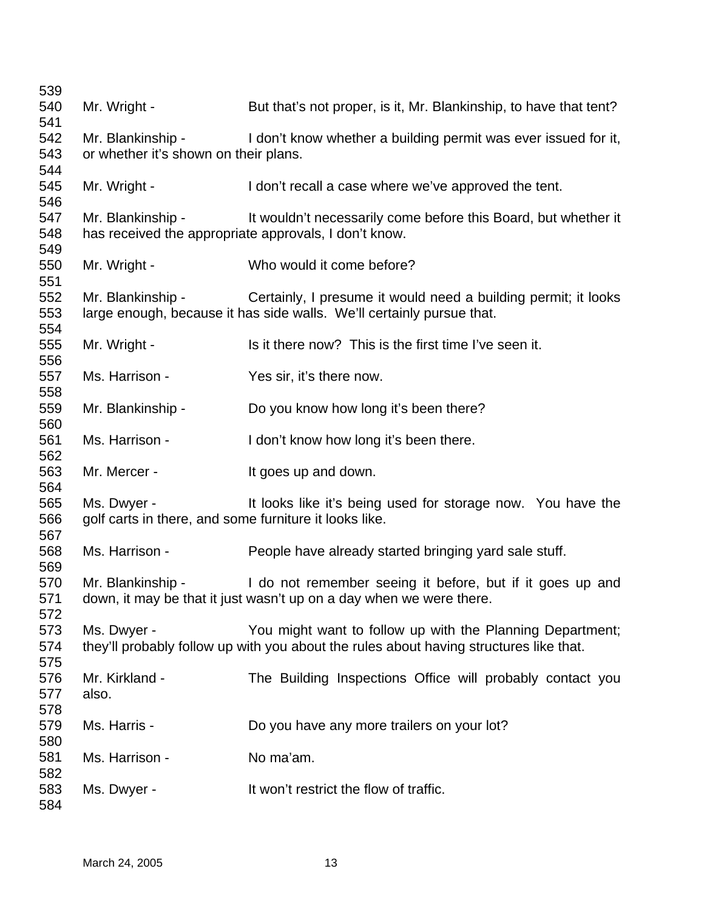| 539        |                                                        |                                                                                        |
|------------|--------------------------------------------------------|----------------------------------------------------------------------------------------|
| 540        | Mr. Wright -                                           | But that's not proper, is it, Mr. Blankinship, to have that tent?                      |
| 541        |                                                        |                                                                                        |
| 542        | Mr. Blankinship -                                      | I don't know whether a building permit was ever issued for it,                         |
| 543<br>544 | or whether it's shown on their plans.                  |                                                                                        |
| 545<br>546 | Mr. Wright -                                           | I don't recall a case where we've approved the tent.                                   |
| 547        | Mr. Blankinship -                                      | It wouldn't necessarily come before this Board, but whether it                         |
| 548        |                                                        | has received the appropriate approvals, I don't know.                                  |
| 549        |                                                        |                                                                                        |
| 550        | Mr. Wright -                                           | Who would it come before?                                                              |
| 551        |                                                        |                                                                                        |
| 552        | Mr. Blankinship -                                      | Certainly, I presume it would need a building permit; it looks                         |
| 553<br>554 |                                                        | large enough, because it has side walls. We'll certainly pursue that.                  |
| 555        | Mr. Wright -                                           | Is it there now? This is the first time I've seen it.                                  |
| 556        |                                                        |                                                                                        |
| 557        | Ms. Harrison -                                         | Yes sir, it's there now.                                                               |
| 558        |                                                        |                                                                                        |
| 559        | Mr. Blankinship -                                      | Do you know how long it's been there?                                                  |
| 560        |                                                        |                                                                                        |
| 561        | Ms. Harrison -                                         | I don't know how long it's been there.                                                 |
| 562        |                                                        |                                                                                        |
| 563        | Mr. Mercer -                                           | It goes up and down.                                                                   |
| 564        |                                                        |                                                                                        |
| 565        | Ms. Dwyer -                                            | It looks like it's being used for storage now. You have the                            |
| 566        | golf carts in there, and some furniture it looks like. |                                                                                        |
| 567        |                                                        |                                                                                        |
| 568<br>569 | Ms. Harrison -                                         | People have already started bringing yard sale stuff.                                  |
| 570        | Mr. Blankinship -                                      | I do not remember seeing it before, but if it goes up and                              |
| 571        |                                                        | down, it may be that it just wasn't up on a day when we were there.                    |
| 572        |                                                        |                                                                                        |
| 573        | Ms. Dwyer -                                            | You might want to follow up with the Planning Department;                              |
| 574        |                                                        | they'll probably follow up with you about the rules about having structures like that. |
| 575        |                                                        |                                                                                        |
| 576        | Mr. Kirkland -                                         | The Building Inspections Office will probably contact you                              |
| 577        | also.                                                  |                                                                                        |
| 578        |                                                        |                                                                                        |
| 579        | Ms. Harris -                                           | Do you have any more trailers on your lot?                                             |
| 580        |                                                        |                                                                                        |
| 581        | Ms. Harrison -                                         | No ma'am.                                                                              |
| 582        |                                                        |                                                                                        |
| 583        | Ms. Dwyer -                                            | It won't restrict the flow of traffic.                                                 |
| 584        |                                                        |                                                                                        |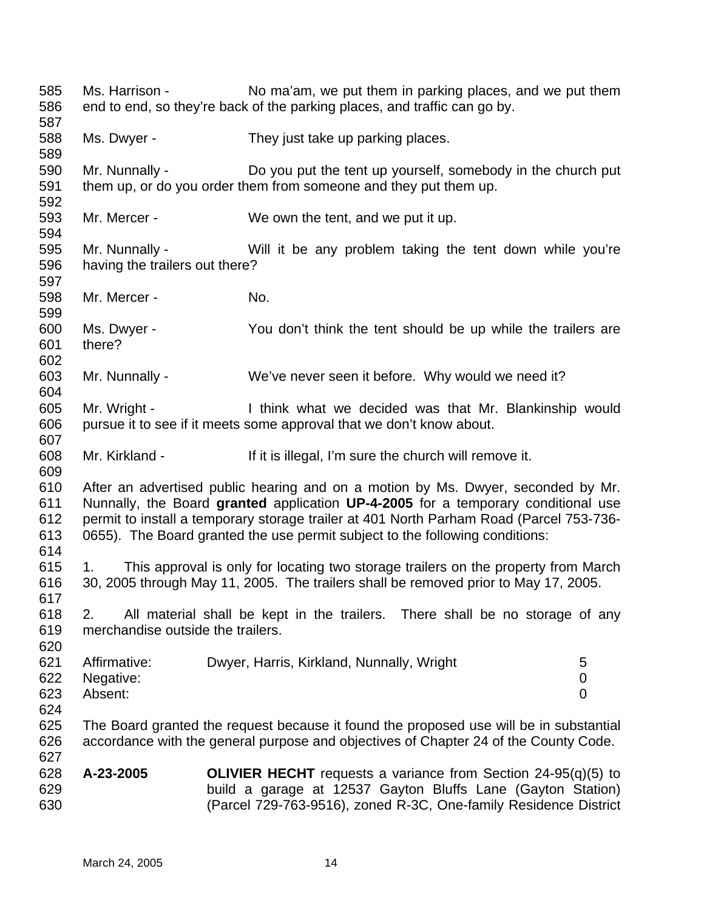585 586 587 588 589 590 591 592 593 594 595 596 597 598 599 600 601 602 603 604 605 606 607 608 609 610 611 612 613 614 615 616 617 618 619 620 621 622 623 624 625 626 627 628 629 630 Ms. Harrison - No ma'am, we put them in parking places, and we put them end to end, so they're back of the parking places, and traffic can go by. Ms. Dwyer - They just take up parking places. Mr. Nunnally - Do you put the tent up yourself, somebody in the church put them up, or do you order them from someone and they put them up. Mr. Mercer - We own the tent, and we put it up. Mr. Nunnally - Will it be any problem taking the tent down while you're having the trailers out there? Mr. Mercer - No. Ms. Dwyer - You don't think the tent should be up while the trailers are there? Mr. Nunnally - We've never seen it before. Why would we need it? Mr. Wright - Think what we decided was that Mr. Blankinship would pursue it to see if it meets some approval that we don't know about. Mr. Kirkland - If it is illegal, I'm sure the church will remove it. After an advertised public hearing and on a motion by Ms. Dwyer, seconded by Mr. Nunnally, the Board **granted** application **UP-4-2005** for a temporary conditional use permit to install a temporary storage trailer at 401 North Parham Road (Parcel 753-736- 0655). The Board granted the use permit subject to the following conditions: 1. This approval is only for locating two storage trailers on the property from March 30, 2005 through May 11, 2005. The trailers shall be removed prior to May 17, 2005. 2. All material shall be kept in the trailers. There shall be no storage of any merchandise outside the trailers. Affirmative: Dwyer, Harris, Kirkland, Nunnally, Wright 5 Negative: 0 Absent: 0 The Board granted the request because it found the proposed use will be in substantial accordance with the general purpose and objectives of Chapter 24 of the County Code. **A-23-2005 OLIVIER HECHT** requests a variance from Section 24-95(q)(5) to build a garage at 12537 Gayton Bluffs Lane (Gayton Station) (Parcel 729-763-9516), zoned R-3C, One-family Residence District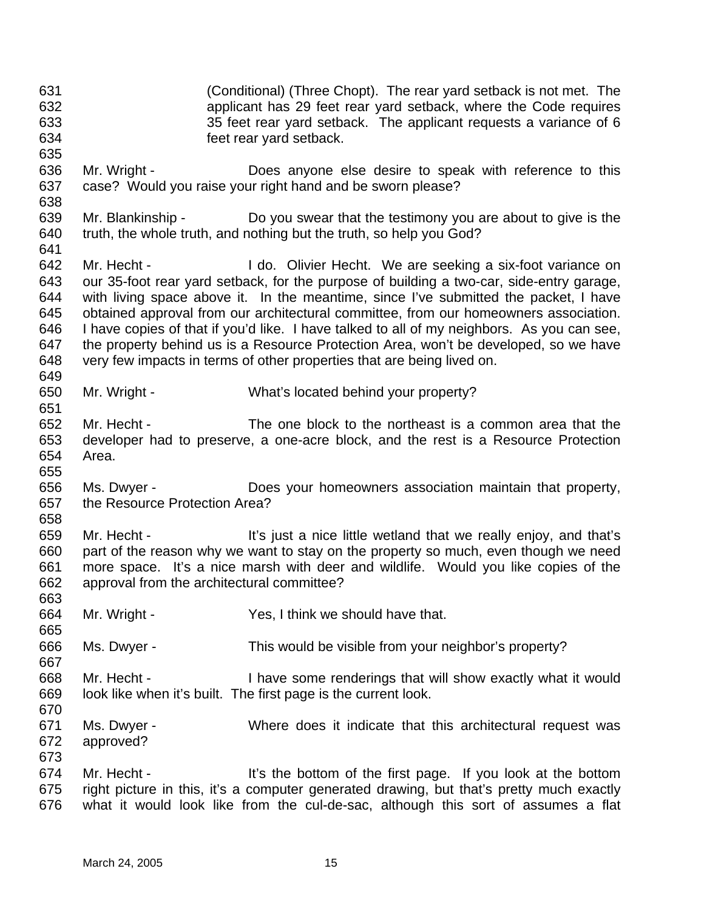631 632 633 634 635 636 637 638 639 640 641 642 643 644 645 646 647 648 649 650 651 652 653 654 655 656 657 658 659 660 661 662 663 664 665 666 667 668 669 670 671 672 673 674 675 676 (Conditional) (Three Chopt). The rear yard setback is not met. The applicant has 29 feet rear yard setback, where the Code requires 35 feet rear yard setback. The applicant requests a variance of 6 feet rear yard setback. Mr. Wright - **Does anyone else desire to speak with reference to this** case? Would you raise your right hand and be sworn please? Mr. Blankinship - Do you swear that the testimony you are about to give is the truth, the whole truth, and nothing but the truth, so help you God? Mr. Hecht - I do. Olivier Hecht. We are seeking a six-foot variance on our 35-foot rear yard setback, for the purpose of building a two-car, side-entry garage, with living space above it. In the meantime, since I've submitted the packet, I have obtained approval from our architectural committee, from our homeowners association. I have copies of that if you'd like. I have talked to all of my neighbors. As you can see, the property behind us is a Resource Protection Area, won't be developed, so we have very few impacts in terms of other properties that are being lived on. Mr. Wright - What's located behind your property? Mr. Hecht - The one block to the northeast is a common area that the developer had to preserve, a one-acre block, and the rest is a Resource Protection Area. Ms. Dwyer - **Does your homeowners association maintain that property,** the Resource Protection Area? Mr. Hecht - It's just a nice little wetland that we really enjoy, and that's part of the reason why we want to stay on the property so much, even though we need more space. It's a nice marsh with deer and wildlife. Would you like copies of the approval from the architectural committee? Mr. Wright - Yes, I think we should have that. Ms. Dwyer - This would be visible from your neighbor's property? Mr. Hecht - I have some renderings that will show exactly what it would look like when it's built. The first page is the current look. Ms. Dwyer - **Where does it indicate that this architectural request was** approved? Mr. Hecht - It's the bottom of the first page. If you look at the bottom right picture in this, it's a computer generated drawing, but that's pretty much exactly what it would look like from the cul-de-sac, although this sort of assumes a flat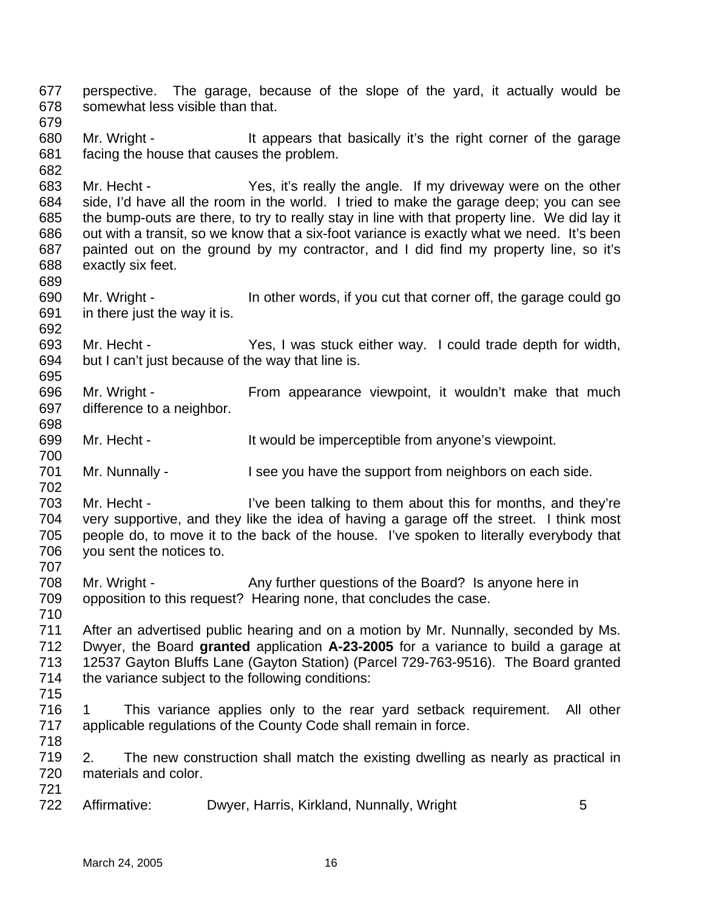677 678 679 680 681 682 683 684 685 686 687 688 689 690 691 692 693 694 695 696 697 698 699 700 701 702 703 704 705 706 707 708 709 710 711 712 713 714 715 716 717 718 719 720 721 722 perspective. The garage, because of the slope of the yard, it actually would be somewhat less visible than that. Mr. Wright - It appears that basically it's the right corner of the garage facing the house that causes the problem. Mr. Hecht - Yes, it's really the angle. If my driveway were on the other side, I'd have all the room in the world. I tried to make the garage deep; you can see the bump-outs are there, to try to really stay in line with that property line. We did lay it out with a transit, so we know that a six-foot variance is exactly what we need. It's been painted out on the ground by my contractor, and I did find my property line, so it's exactly six feet. Mr. Wright - In other words, if you cut that corner off, the garage could go in there just the way it is. Mr. Hecht - Yes, I was stuck either way. I could trade depth for width, but I can't just because of the way that line is. Mr. Wright - From appearance viewpoint, it wouldn't make that much difference to a neighbor. Mr. Hecht - The It would be imperceptible from anyone's viewpoint. Mr. Nunnally - I see you have the support from neighbors on each side. Mr. Hecht - I've been talking to them about this for months, and they're very supportive, and they like the idea of having a garage off the street. I think most people do, to move it to the back of the house. I've spoken to literally everybody that you sent the notices to. Mr. Wright - Any further questions of the Board? Is anyone here in opposition to this request? Hearing none, that concludes the case. After an advertised public hearing and on a motion by Mr. Nunnally, seconded by Ms. Dwyer, the Board **granted** application **A-23-2005** for a variance to build a garage at 12537 Gayton Bluffs Lane (Gayton Station) (Parcel 729-763-9516). The Board granted the variance subject to the following conditions: 1 This variance applies only to the rear yard setback requirement. All other applicable regulations of the County Code shall remain in force. 2. The new construction shall match the existing dwelling as nearly as practical in materials and color. Affirmative: Dwyer, Harris, Kirkland, Nunnally, Wright 5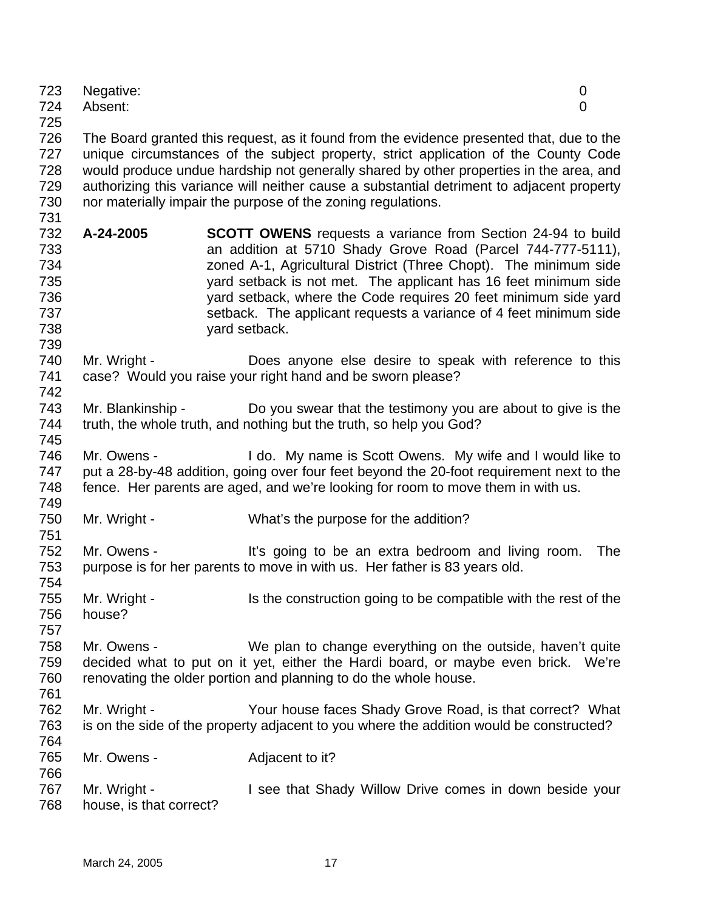| 724<br>725                                           | Absent:                | 0                                                                                                                                                                                                                                                                                                                                                                                                                                      |
|------------------------------------------------------|------------------------|----------------------------------------------------------------------------------------------------------------------------------------------------------------------------------------------------------------------------------------------------------------------------------------------------------------------------------------------------------------------------------------------------------------------------------------|
| 726<br>727<br>728<br>729<br>730<br>731               |                        | The Board granted this request, as it found from the evidence presented that, due to the<br>unique circumstances of the subject property, strict application of the County Code<br>would produce undue hardship not generally shared by other properties in the area, and<br>authorizing this variance will neither cause a substantial detriment to adjacent property<br>nor materially impair the purpose of the zoning regulations. |
| 732<br>733<br>734<br>735<br>736<br>737<br>738<br>739 | A-24-2005              | <b>SCOTT OWENS</b> requests a variance from Section 24-94 to build<br>an addition at 5710 Shady Grove Road (Parcel 744-777-5111),<br>zoned A-1, Agricultural District (Three Chopt). The minimum side<br>yard setback is not met. The applicant has 16 feet minimum side<br>yard setback, where the Code requires 20 feet minimum side yard<br>setback. The applicant requests a variance of 4 feet minimum side<br>yard setback.      |
| 740<br>741<br>742                                    | Mr. Wright -           | Does anyone else desire to speak with reference to this<br>case? Would you raise your right hand and be sworn please?                                                                                                                                                                                                                                                                                                                  |
| 743<br>744<br>745                                    | Mr. Blankinship -      | Do you swear that the testimony you are about to give is the<br>truth, the whole truth, and nothing but the truth, so help you God?                                                                                                                                                                                                                                                                                                    |
| 746<br>747<br>748<br>749                             | Mr. Owens -            | I do. My name is Scott Owens. My wife and I would like to<br>put a 28-by-48 addition, going over four feet beyond the 20-foot requirement next to the<br>fence. Her parents are aged, and we're looking for room to move them in with us.                                                                                                                                                                                              |
| 750<br>751                                           | Mr. Wright -           | What's the purpose for the addition?                                                                                                                                                                                                                                                                                                                                                                                                   |
| 752<br>753<br>754                                    | Mr. Owens -            | It's going to be an extra bedroom and living room.<br><b>The</b><br>purpose is for her parents to move in with us. Her father is 83 years old.                                                                                                                                                                                                                                                                                         |
| 755<br>756<br>757                                    | Mr. Wright -<br>house? | Is the construction going to be compatible with the rest of the                                                                                                                                                                                                                                                                                                                                                                        |
|                                                      |                        |                                                                                                                                                                                                                                                                                                                                                                                                                                        |

Negative: 0

758 759 760 761 Mr. Owens - We plan to change everything on the outside, haven't quite decided what to put on it yet, either the Hardi board, or maybe even brick. We're renovating the older portion and planning to do the whole house.

- 762 763 764 Mr. Wright - Your house faces Shady Grove Road, is that correct? What is on the side of the property adjacent to you where the addition would be constructed?
- 765 Mr. Owens - The Adjacent to it?
- 766 767 768 Mr. Wright - **I** see that Shady Willow Drive comes in down beside your house, is that correct?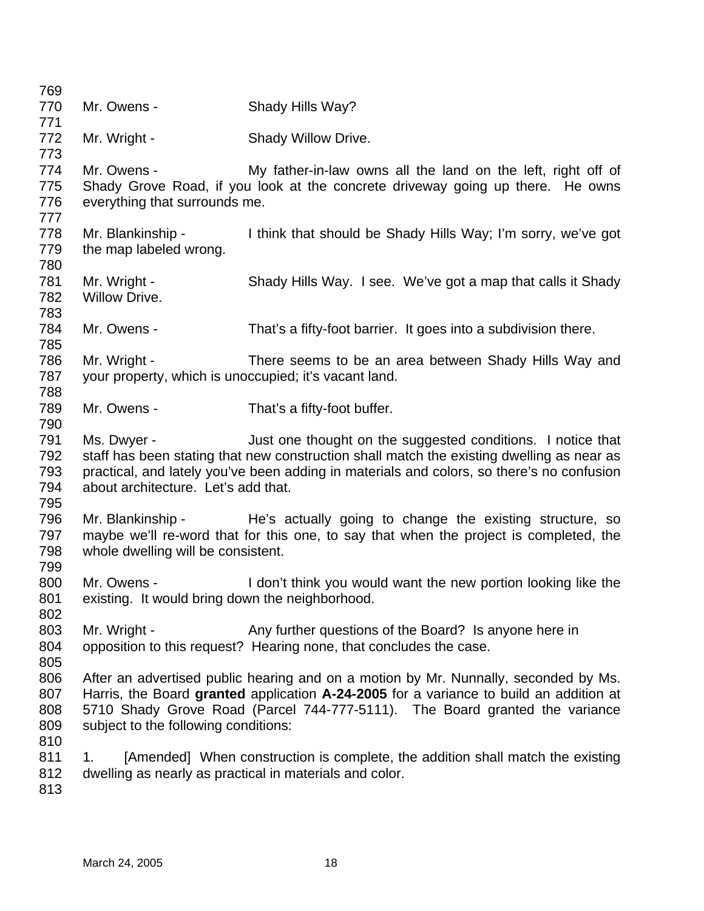| 769        |                                                       |                                                                                                                                                |
|------------|-------------------------------------------------------|------------------------------------------------------------------------------------------------------------------------------------------------|
| 770        | Mr. Owens -                                           | Shady Hills Way?                                                                                                                               |
| 771        |                                                       |                                                                                                                                                |
| 772        | Mr. Wright -                                          | Shady Willow Drive.                                                                                                                            |
| 773<br>774 | Mr. Owens -                                           |                                                                                                                                                |
| 775        |                                                       | My father-in-law owns all the land on the left, right off of<br>Shady Grove Road, if you look at the concrete driveway going up there. He owns |
| 776        | everything that surrounds me.                         |                                                                                                                                                |
| 777        |                                                       |                                                                                                                                                |
| 778        | Mr. Blankinship -                                     | I think that should be Shady Hills Way; I'm sorry, we've got                                                                                   |
| 779        | the map labeled wrong.                                |                                                                                                                                                |
| 780        |                                                       |                                                                                                                                                |
| 781        | Mr. Wright -                                          | Shady Hills Way. I see. We've got a map that calls it Shady                                                                                    |
| 782        | Willow Drive.                                         |                                                                                                                                                |
| 783        |                                                       |                                                                                                                                                |
| 784        | Mr. Owens -                                           | That's a fifty-foot barrier. It goes into a subdivision there.                                                                                 |
| 785        |                                                       |                                                                                                                                                |
| 786        | Mr. Wright -                                          | There seems to be an area between Shady Hills Way and                                                                                          |
| 787        | your property, which is unoccupied; it's vacant land. |                                                                                                                                                |
| 788        |                                                       |                                                                                                                                                |
| 789        | Mr. Owens -                                           | That's a fifty-foot buffer.                                                                                                                    |
| 790        |                                                       |                                                                                                                                                |
| 791        | Ms. Dwyer -                                           | Just one thought on the suggested conditions. I notice that                                                                                    |
| 792        |                                                       | staff has been stating that new construction shall match the existing dwelling as near as                                                      |
| 793        |                                                       | practical, and lately you've been adding in materials and colors, so there's no confusion                                                      |
| 794        | about architecture. Let's add that.                   |                                                                                                                                                |
| 795        |                                                       |                                                                                                                                                |
| 796        |                                                       | Mr. Blankinship - The's actually going to change the existing structure, so                                                                    |
| 797        |                                                       | maybe we'll re-word that for this one, to say that when the project is completed, the                                                          |
| 798<br>799 | whole dwelling will be consistent.                    |                                                                                                                                                |
| 800        | Mr. Owens -                                           | I don't think you would want the new portion looking like the                                                                                  |
| 801        | existing. It would bring down the neighborhood.       |                                                                                                                                                |
| 802        |                                                       |                                                                                                                                                |
| 803        | Mr. Wright -                                          | Any further questions of the Board? Is anyone here in                                                                                          |
| 804        |                                                       | opposition to this request? Hearing none, that concludes the case.                                                                             |
| 805        |                                                       |                                                                                                                                                |
| 806        |                                                       | After an advertised public hearing and on a motion by Mr. Nunnally, seconded by Ms.                                                            |
| 807        |                                                       | Harris, the Board granted application A-24-2005 for a variance to build an addition at                                                         |
| 808        |                                                       | 5710 Shady Grove Road (Parcel 744-777-5111). The Board granted the variance                                                                    |
| 809        | subject to the following conditions:                  |                                                                                                                                                |
| 810        |                                                       |                                                                                                                                                |
| 811        | 1.                                                    | [Amended] When construction is complete, the addition shall match the existing                                                                 |
| 812        |                                                       | dwelling as nearly as practical in materials and color.                                                                                        |
| 813        |                                                       |                                                                                                                                                |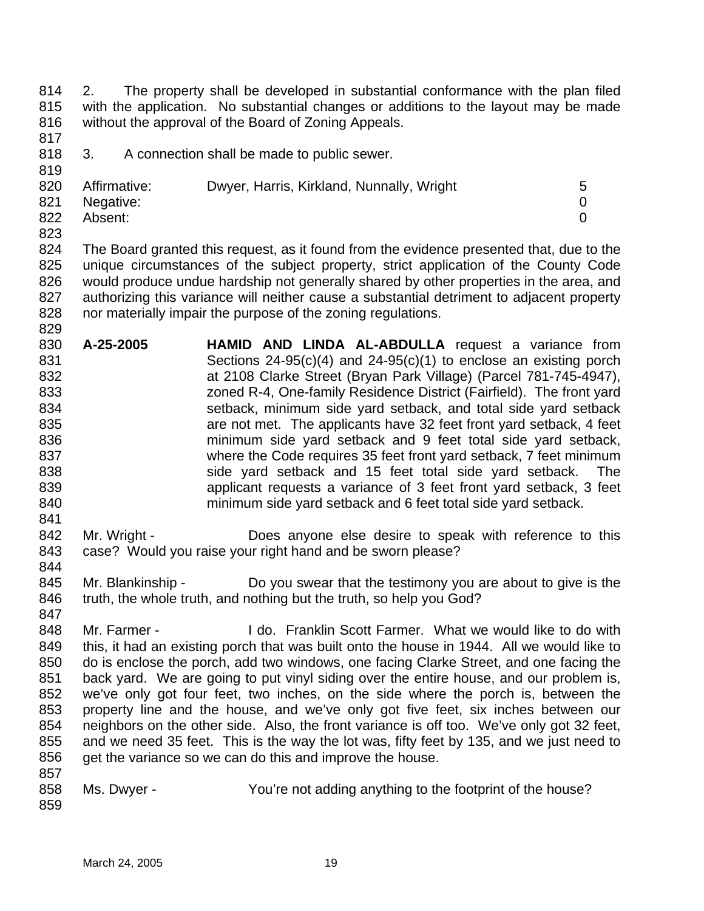814 815 816 2. The property shall be developed in substantial conformance with the plan filed with the application. No substantial changes or additions to the layout may be made without the approval of the Board of Zoning Appeals.

817

819

829

841

844

847

818 3. A connection shall be made to public sewer.

| 820 | Affirmative:  | Dwyer, Harris, Kirkland, Nunnally, Wright |  |
|-----|---------------|-------------------------------------------|--|
|     | 821 Negative: |                                           |  |
| 822 | Absent:       |                                           |  |
| 823 |               |                                           |  |

824 825 826 827 828 The Board granted this request, as it found from the evidence presented that, due to the unique circumstances of the subject property, strict application of the County Code would produce undue hardship not generally shared by other properties in the area, and authorizing this variance will neither cause a substantial detriment to adjacent property nor materially impair the purpose of the zoning regulations.

- 830 831 832 833 834 835 836 837 838 839 840 **A-25-2005 HAMID AND LINDA AL-ABDULLA** request a variance from Sections 24-95(c)(4) and 24-95(c)(1) to enclose an existing porch at 2108 Clarke Street (Bryan Park Village) (Parcel 781-745-4947), zoned R-4, One-family Residence District (Fairfield). The front yard setback, minimum side yard setback, and total side yard setback are not met. The applicants have 32 feet front yard setback, 4 feet minimum side yard setback and 9 feet total side yard setback, where the Code requires 35 feet front yard setback, 7 feet minimum side yard setback and 15 feet total side yard setback. The applicant requests a variance of 3 feet front yard setback, 3 feet minimum side yard setback and 6 feet total side yard setback.
- 842 843 Mr. Wright - Does anyone else desire to speak with reference to this case? Would you raise your right hand and be sworn please?
- 845 846 Mr. Blankinship - Do you swear that the testimony you are about to give is the truth, the whole truth, and nothing but the truth, so help you God?
- 848 849 850 851 852 853 854 855 856 857 Mr. Farmer - I do. Franklin Scott Farmer. What we would like to do with this, it had an existing porch that was built onto the house in 1944. All we would like to do is enclose the porch, add two windows, one facing Clarke Street, and one facing the back yard. We are going to put vinyl siding over the entire house, and our problem is, we've only got four feet, two inches, on the side where the porch is, between the property line and the house, and we've only got five feet, six inches between our neighbors on the other side. Also, the front variance is off too. We've only got 32 feet, and we need 35 feet. This is the way the lot was, fifty feet by 135, and we just need to get the variance so we can do this and improve the house.
- 858 859 Ms. Dwyer - You're not adding anything to the footprint of the house?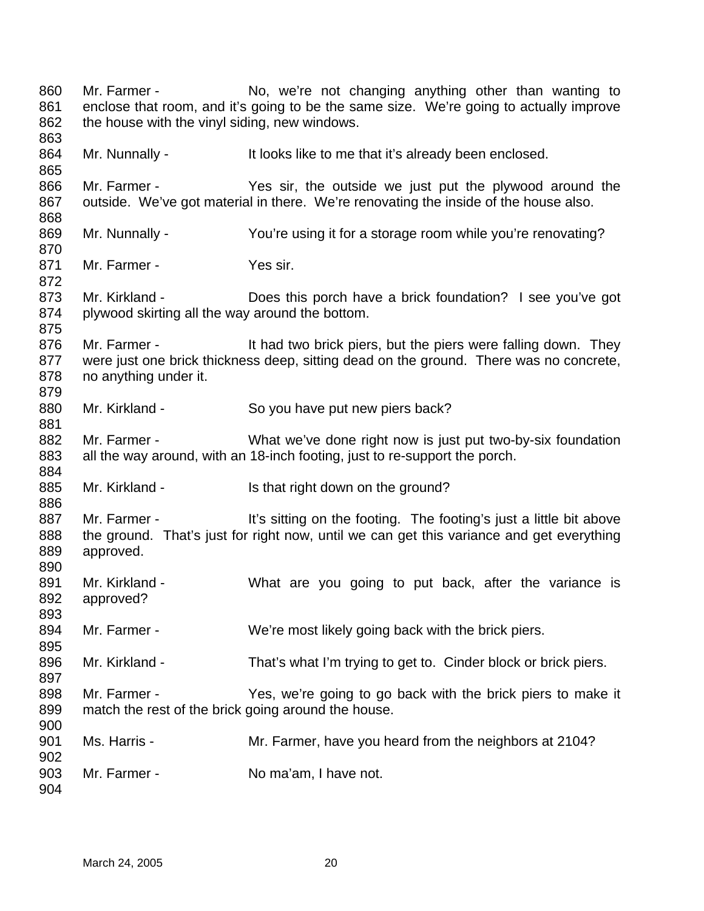Mr. Farmer - No, we're not changing anything other than wanting to enclose that room, and it's going to be the same size. We're going to actually improve the house with the vinyl siding, new windows. Mr. Nunnally - The Multi looks like to me that it's already been enclosed. Mr. Farmer - Yes sir, the outside we just put the plywood around the outside. We've got material in there. We're renovating the inside of the house also. Mr. Nunnally - You're using it for a storage room while you're renovating? Mr. Farmer - Yes sir. Mr. Kirkland - Does this porch have a brick foundation? I see you've got plywood skirting all the way around the bottom. Mr. Farmer - The It had two brick piers, but the piers were falling down. They were just one brick thickness deep, sitting dead on the ground. There was no concrete, no anything under it. Mr. Kirkland - So you have put new piers back? Mr. Farmer - What we've done right now is just put two-by-six foundation all the way around, with an 18-inch footing, just to re-support the porch. Mr. Kirkland - Is that right down on the ground? Mr. Farmer - It's sitting on the footing. The footing's just a little bit above the ground. That's just for right now, until we can get this variance and get everything approved. Mr. Kirkland - What are you going to put back, after the variance is approved? Mr. Farmer - We're most likely going back with the brick piers. Mr. Kirkland - That's what I'm trying to get to. Cinder block or brick piers. Mr. Farmer - The Yes, we're going to go back with the brick piers to make it match the rest of the brick going around the house. Ms. Harris - Mr. Farmer, have you heard from the neighbors at 2104? Mr. Farmer - No ma'am, I have not.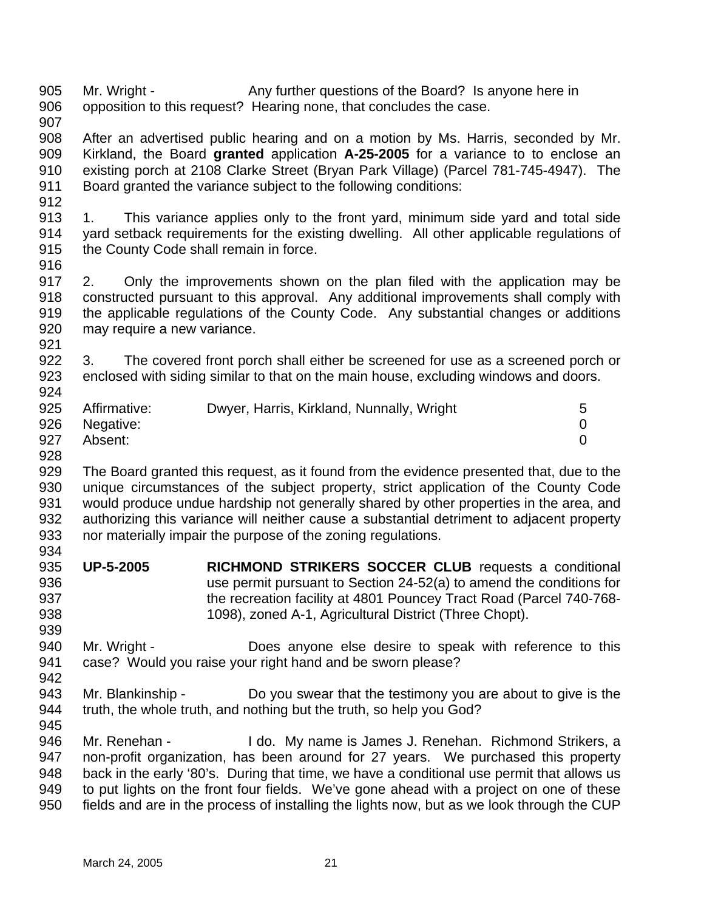905 906 Mr. Wright - Any further questions of the Board? Is anyone here in opposition to this request? Hearing none, that concludes the case.

907

908 909 910 911 After an advertised public hearing and on a motion by Ms. Harris, seconded by Mr. Kirkland, the Board **granted** application **A-25-2005** for a variance to to enclose an existing porch at 2108 Clarke Street (Bryan Park Village) (Parcel 781-745-4947). The Board granted the variance subject to the following conditions:

912

913 914 915 1. This variance applies only to the front yard, minimum side yard and total side yard setback requirements for the existing dwelling. All other applicable regulations of the County Code shall remain in force.

916

917 918 919 920 921 2. Only the improvements shown on the plan filed with the application may be constructed pursuant to this approval. Any additional improvements shall comply with the applicable regulations of the County Code. Any substantial changes or additions may require a new variance.

922 923 924 3. The covered front porch shall either be screened for use as a screened porch or enclosed with siding similar to that on the main house, excluding windows and doors.

| 925 | Affirmative: | Dwyer, Harris, Kirkland, Nunnally, Wright |  |
|-----|--------------|-------------------------------------------|--|
| 926 | Negative:    |                                           |  |
| 927 | Absent:      |                                           |  |

928

929 930 931 932 933 934 The Board granted this request, as it found from the evidence presented that, due to the unique circumstances of the subject property, strict application of the County Code would produce undue hardship not generally shared by other properties in the area, and authorizing this variance will neither cause a substantial detriment to adjacent property nor materially impair the purpose of the zoning regulations.

- 935 936 937 938 **UP-5-2005 RICHMOND STRIKERS SOCCER CLUB** requests a conditional use permit pursuant to Section 24-52(a) to amend the conditions for the recreation facility at 4801 Pouncey Tract Road (Parcel 740-768- 1098), zoned A-1, Agricultural District (Three Chopt).
- 940 941 942 Mr. Wright - Does anyone else desire to speak with reference to this case? Would you raise your right hand and be sworn please?
- 943 944 Mr. Blankinship - Do you swear that the testimony you are about to give is the truth, the whole truth, and nothing but the truth, so help you God?
- 945

939

946 947 948 949 950 Mr. Renehan - The I do. My name is James J. Renehan. Richmond Strikers, a non-profit organization, has been around for 27 years. We purchased this property back in the early '80's. During that time, we have a conditional use permit that allows us to put lights on the front four fields. We've gone ahead with a project on one of these fields and are in the process of installing the lights now, but as we look through the CUP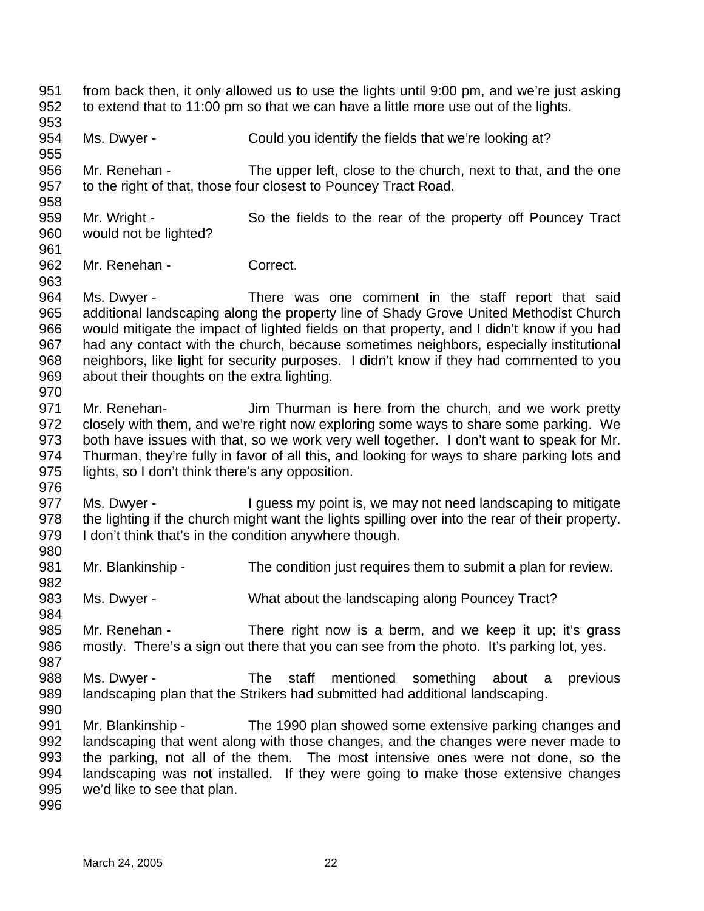951 952 953 954 955 956 957 958 959 960 961 962 963 964 965 966 967 968 969 970 971 972 973 974 975 976 977 978 979 980 981 982 983 984 985 986 987 988 989 990 991 992 993 994 995 996 from back then, it only allowed us to use the lights until 9:00 pm, and we're just asking to extend that to 11:00 pm so that we can have a little more use out of the lights. Ms. Dwyer - Could you identify the fields that we're looking at? Mr. Renehan - The upper left, close to the church, next to that, and the one to the right of that, those four closest to Pouncey Tract Road. Mr. Wright - So the fields to the rear of the property off Pouncey Tract would not be lighted? Mr. Renehan - Correct. Ms. Dwyer - There was one comment in the staff report that said additional landscaping along the property line of Shady Grove United Methodist Church would mitigate the impact of lighted fields on that property, and I didn't know if you had had any contact with the church, because sometimes neighbors, especially institutional neighbors, like light for security purposes. I didn't know if they had commented to you about their thoughts on the extra lighting. Mr. Renehan- **Jim Thurman** is here from the church, and we work pretty closely with them, and we're right now exploring some ways to share some parking. We both have issues with that, so we work very well together. I don't want to speak for Mr. Thurman, they're fully in favor of all this, and looking for ways to share parking lots and lights, so I don't think there's any opposition. Ms. Dwyer - The University point is, we may not need landscaping to mitigate the lighting if the church might want the lights spilling over into the rear of their property. I don't think that's in the condition anywhere though. Mr. Blankinship - The condition just requires them to submit a plan for review. Ms. Dwyer - **What about the landscaping along Pouncey Tract?** Mr. Renehan - There right now is a berm, and we keep it up; it's grass mostly. There's a sign out there that you can see from the photo. It's parking lot, yes. Ms. Dwyer - The staff mentioned something about a previous landscaping plan that the Strikers had submitted had additional landscaping. Mr. Blankinship - The 1990 plan showed some extensive parking changes and landscaping that went along with those changes, and the changes were never made to the parking, not all of the them. The most intensive ones were not done, so the landscaping was not installed. If they were going to make those extensive changes we'd like to see that plan.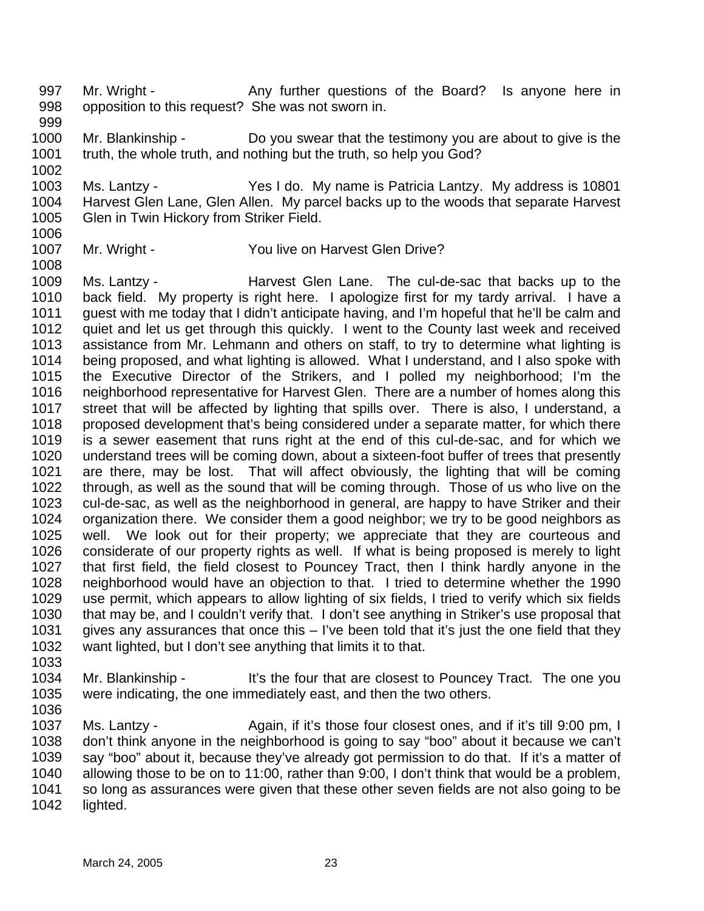997 998 Mr. Wright - Any further questions of the Board? Is anyone here in opposition to this request? She was not sworn in.

- 999 1000 1001 Mr. Blankinship - Do you swear that the testimony you are about to give is the truth, the whole truth, and nothing but the truth, so help you God?
- 1003 1004 1005 Ms. Lantzy - Yes I do. My name is Patricia Lantzy. My address is 10801 Harvest Glen Lane, Glen Allen. My parcel backs up to the woods that separate Harvest Glen in Twin Hickory from Striker Field.
- 1006 1007

1002

- Mr. Wright You live on Harvest Glen Drive?
- 1008 1009 1010 1011 1012 1013 1014 1015 1016 1017 1018 1019 1020 1021 1022 1023 1024 1025 1026 1027 1028 1029 1030 1031 1032 Ms. Lantzy - The Cul-de-sac that backs up to the Harvest Glen Lane. The cul-de-sac that backs up to the back field. My property is right here. I apologize first for my tardy arrival. I have a guest with me today that I didn't anticipate having, and I'm hopeful that he'll be calm and quiet and let us get through this quickly. I went to the County last week and received assistance from Mr. Lehmann and others on staff, to try to determine what lighting is being proposed, and what lighting is allowed. What I understand, and I also spoke with the Executive Director of the Strikers, and I polled my neighborhood; I'm the neighborhood representative for Harvest Glen. There are a number of homes along this street that will be affected by lighting that spills over. There is also, I understand, a proposed development that's being considered under a separate matter, for which there is a sewer easement that runs right at the end of this cul-de-sac, and for which we understand trees will be coming down, about a sixteen-foot buffer of trees that presently are there, may be lost. That will affect obviously, the lighting that will be coming through, as well as the sound that will be coming through. Those of us who live on the cul-de-sac, as well as the neighborhood in general, are happy to have Striker and their organization there. We consider them a good neighbor; we try to be good neighbors as well. We look out for their property; we appreciate that they are courteous and considerate of our property rights as well. If what is being proposed is merely to light that first field, the field closest to Pouncey Tract, then I think hardly anyone in the neighborhood would have an objection to that. I tried to determine whether the 1990 use permit, which appears to allow lighting of six fields, I tried to verify which six fields that may be, and I couldn't verify that. I don't see anything in Striker's use proposal that gives any assurances that once this – I've been told that it's just the one field that they want lighted, but I don't see anything that limits it to that.
- 1033
- 1034 1035 Mr. Blankinship - It's the four that are closest to Pouncey Tract. The one you were indicating, the one immediately east, and then the two others.
- 1036

1037 1038 1039 1040 1041 1042 Ms. Lantzy - Again, if it's those four closest ones, and if it's till 9:00 pm, I don't think anyone in the neighborhood is going to say "boo" about it because we can't say "boo" about it, because they've already got permission to do that. If it's a matter of allowing those to be on to 11:00, rather than 9:00, I don't think that would be a problem, so long as assurances were given that these other seven fields are not also going to be lighted.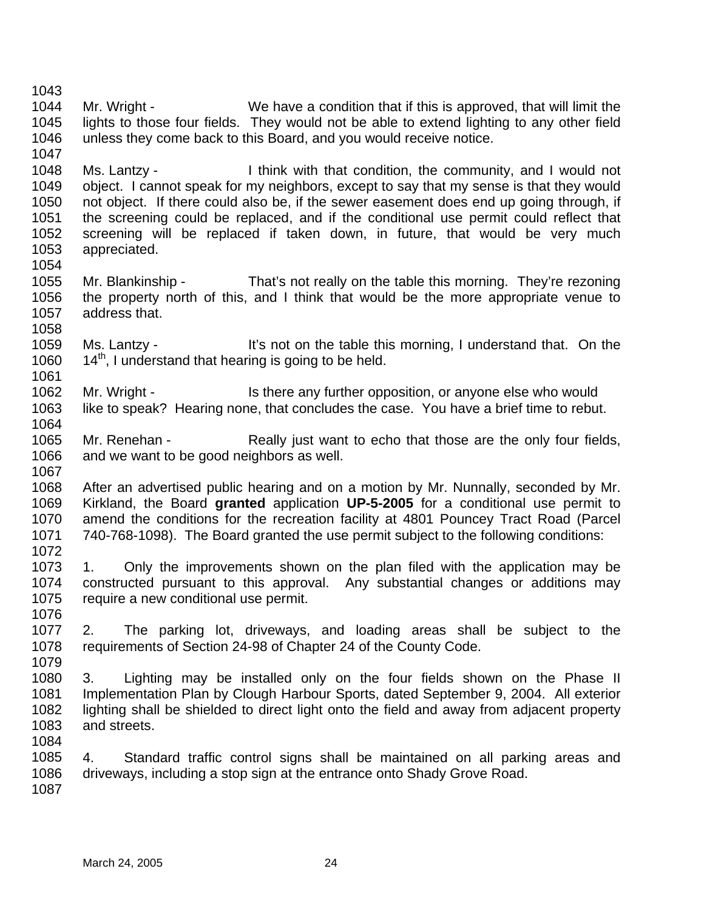1044 1045 1046 1047 1048 1049 1050 1051 1052 1053 1054 1055 1056 1057 1058 1059 1060 1061 1062 1063 1064 1065 1066 1067 1068 1069 1070 1071 1072 1073 1074 1075 1076 1077 1078 1079 1080 1081 1082 1083 1084 1085 1086 1087 Mr. Wright - We have a condition that if this is approved, that will limit the lights to those four fields. They would not be able to extend lighting to any other field unless they come back to this Board, and you would receive notice. Ms. Lantzy - I think with that condition, the community, and I would not object. I cannot speak for my neighbors, except to say that my sense is that they would not object. If there could also be, if the sewer easement does end up going through, if the screening could be replaced, and if the conditional use permit could reflect that screening will be replaced if taken down, in future, that would be very much appreciated. Mr. Blankinship - That's not really on the table this morning. They're rezoning the property north of this, and I think that would be the more appropriate venue to address that. Ms. Lantzy - It's not on the table this morning, I understand that. On the  $14<sup>th</sup>$ , I understand that hearing is going to be held. Mr. Wright - Is there any further opposition, or anyone else who would like to speak? Hearing none, that concludes the case. You have a brief time to rebut. Mr. Renehan - Really just want to echo that those are the only four fields, and we want to be good neighbors as well. After an advertised public hearing and on a motion by Mr. Nunnally, seconded by Mr. Kirkland, the Board **granted** application **UP-5-2005** for a conditional use permit to amend the conditions for the recreation facility at 4801 Pouncey Tract Road (Parcel 740-768-1098). The Board granted the use permit subject to the following conditions: 1. Only the improvements shown on the plan filed with the application may be constructed pursuant to this approval. Any substantial changes or additions may require a new conditional use permit. 2. The parking lot, driveways, and loading areas shall be subject to the requirements of Section 24-98 of Chapter 24 of the County Code. 3. Lighting may be installed only on the four fields shown on the Phase II Implementation Plan by Clough Harbour Sports, dated September 9, 2004. All exterior lighting shall be shielded to direct light onto the field and away from adjacent property and streets. 4. Standard traffic control signs shall be maintained on all parking areas and driveways, including a stop sign at the entrance onto Shady Grove Road.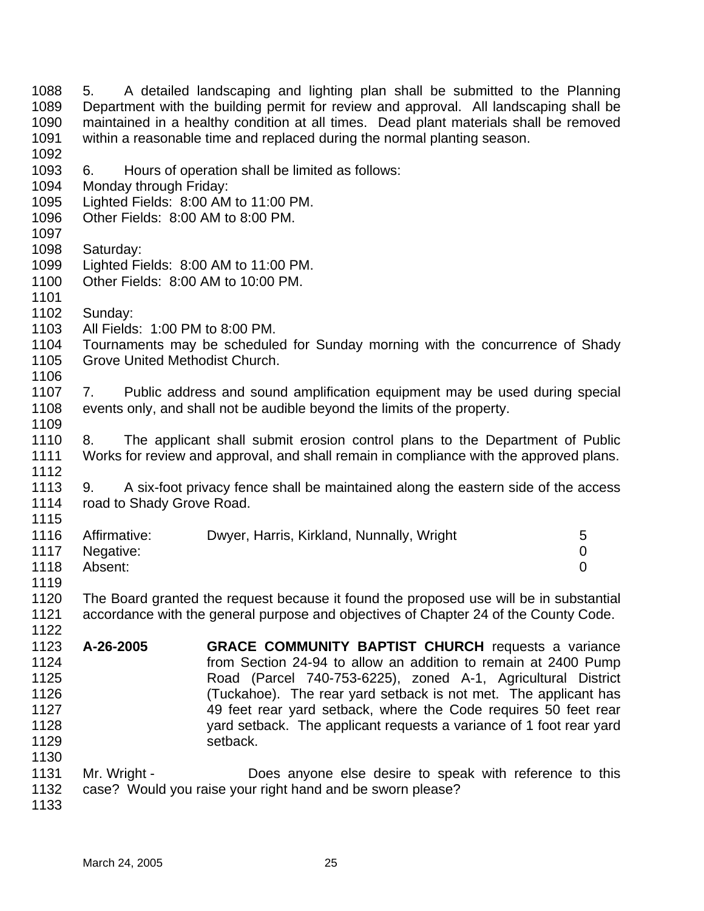1088 1089 1090 1091 1092 1093 1094 1095 1096 1097 1098 1099 1100 1101 1102 1103 1104 1105 1106 1107 1108 1109 1110 1111 1112 1113 1114 1115 1116 1117 1118 1119 1120 1121 1122 1123 1124 1125 1126 1127 1128 1129 1130 1131 1132 1133 5. A detailed landscaping and lighting plan shall be submitted to the Planning Department with the building permit for review and approval. All landscaping shall be maintained in a healthy condition at all times. Dead plant materials shall be removed within a reasonable time and replaced during the normal planting season. 6. Hours of operation shall be limited as follows: Monday through Friday: Lighted Fields: 8:00 AM to 11:00 PM. Other Fields: 8:00 AM to 8:00 PM. Saturday: Lighted Fields: 8:00 AM to 11:00 PM. Other Fields: 8:00 AM to 10:00 PM. Sunday: All Fields: 1:00 PM to 8:00 PM. Tournaments may be scheduled for Sunday morning with the concurrence of Shady Grove United Methodist Church. 7. Public address and sound amplification equipment may be used during special events only, and shall not be audible beyond the limits of the property. 8. The applicant shall submit erosion control plans to the Department of Public Works for review and approval, and shall remain in compliance with the approved plans. 9. A six-foot privacy fence shall be maintained along the eastern side of the access road to Shady Grove Road. Affirmative: Dwyer, Harris, Kirkland, Nunnally, Wright 5 Negative: 0 Absent: 0 The Board granted the request because it found the proposed use will be in substantial accordance with the general purpose and objectives of Chapter 24 of the County Code. **A-26-2005 GRACE COMMUNITY BAPTIST CHURCH** requests a variance from Section 24-94 to allow an addition to remain at 2400 Pump Road (Parcel 740-753-6225), zoned A-1, Agricultural District (Tuckahoe). The rear yard setback is not met. The applicant has 49 feet rear yard setback, where the Code requires 50 feet rear yard setback. The applicant requests a variance of 1 foot rear yard setback. Mr. Wright - **Does anyone else desire to speak with reference to this** case? Would you raise your right hand and be sworn please?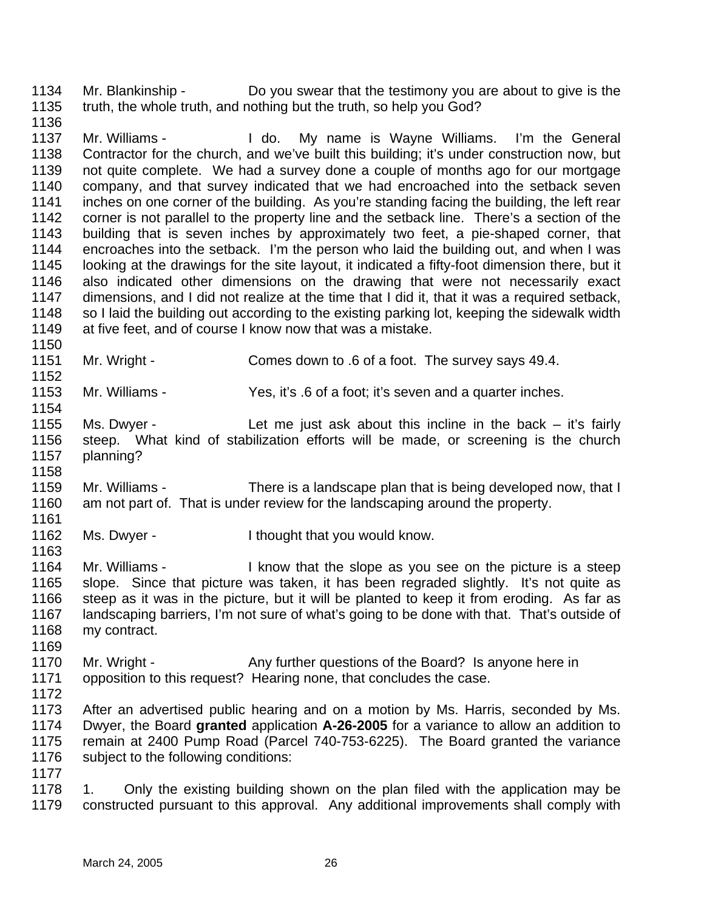1134 1135 Mr. Blankinship - Do you swear that the testimony you are about to give is the truth, the whole truth, and nothing but the truth, so help you God?

1136

1150

1152

1154

1158

1163

1137 1138 1139 1140 1141 1142 1143 1144 1145 1146 1147 1148 1149 Mr. Williams - The Letton My name is Wayne Williams. I'm the General Contractor for the church, and we've built this building; it's under construction now, but not quite complete. We had a survey done a couple of months ago for our mortgage company, and that survey indicated that we had encroached into the setback seven inches on one corner of the building. As you're standing facing the building, the left rear corner is not parallel to the property line and the setback line. There's a section of the building that is seven inches by approximately two feet, a pie-shaped corner, that encroaches into the setback. I'm the person who laid the building out, and when I was looking at the drawings for the site layout, it indicated a fifty-foot dimension there, but it also indicated other dimensions on the drawing that were not necessarily exact dimensions, and I did not realize at the time that I did it, that it was a required setback, so I laid the building out according to the existing parking lot, keeping the sidewalk width at five feet, and of course I know now that was a mistake.

1151 Mr. Wright - Comes down to .6 of a foot. The survey says 49.4.

1153 Mr. Williams - Yes, it's .6 of a foot; it's seven and a quarter inches.

1155 1156 1157 Ms. Dwyer - Let me just ask about this incline in the back – it's fairly steep. What kind of stabilization efforts will be made, or screening is the church planning?

1159 1160 1161 Mr. Williams - There is a landscape plan that is being developed now, that I am not part of. That is under review for the landscaping around the property.

1162 Ms. Dwyer - The I thought that you would know.

1164 1165 1166 1167 1168 Mr. Williams - I know that the slope as you see on the picture is a steep slope. Since that picture was taken, it has been regraded slightly. It's not quite as steep as it was in the picture, but it will be planted to keep it from eroding. As far as landscaping barriers, I'm not sure of what's going to be done with that. That's outside of my contract.

1170 1171 Mr. Wright - Any further questions of the Board? Is anyone here in opposition to this request? Hearing none, that concludes the case.

1172

1169

1173 1174 1175 1176 After an advertised public hearing and on a motion by Ms. Harris, seconded by Ms. Dwyer, the Board **granted** application **A-26-2005** for a variance to allow an addition to remain at 2400 Pump Road (Parcel 740-753-6225). The Board granted the variance subject to the following conditions:

1177

1178 1179 1. Only the existing building shown on the plan filed with the application may be constructed pursuant to this approval. Any additional improvements shall comply with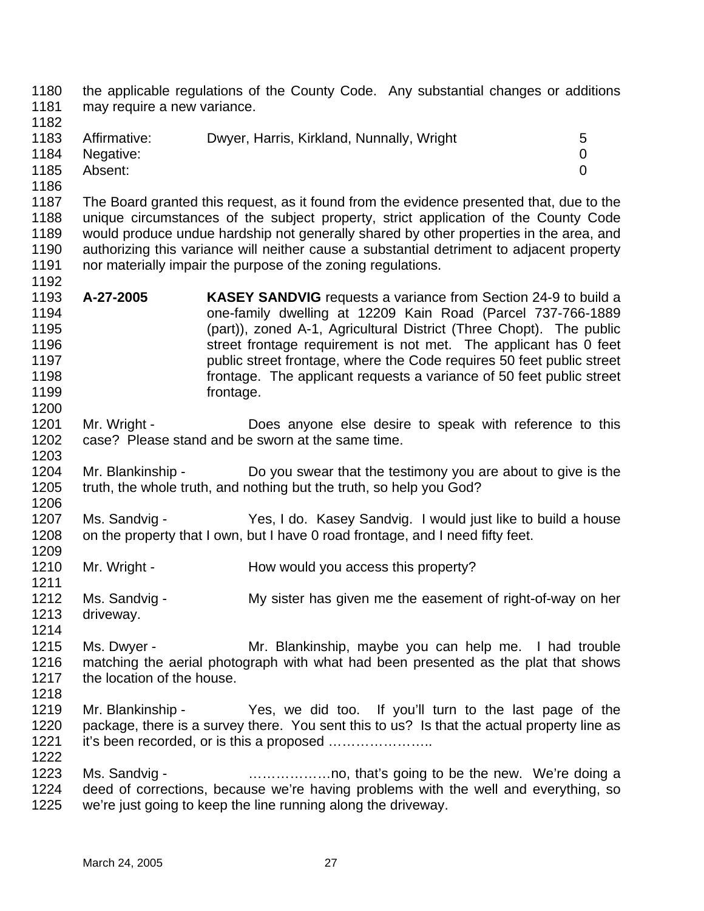1180 1181 1182 the applicable regulations of the County Code. Any substantial changes or additions may require a new variance.

- 1183 1184 1185 Affirmative: Dwyer, Harris, Kirkland, Nunnally, Wright 5 Negative: 0 Absent: 0
- 1186

1200

1203

1187 1188 1189 1190 1191 1192 The Board granted this request, as it found from the evidence presented that, due to the unique circumstances of the subject property, strict application of the County Code would produce undue hardship not generally shared by other properties in the area, and authorizing this variance will neither cause a substantial detriment to adjacent property nor materially impair the purpose of the zoning regulations.

- 1193 1194 1195 1196 1197 1198 1199 **A-27-2005 KASEY SANDVIG** requests a variance from Section 24-9 to build a one-family dwelling at 12209 Kain Road (Parcel 737-766-1889 (part)), zoned A-1, Agricultural District (Three Chopt). The public street frontage requirement is not met. The applicant has 0 feet public street frontage, where the Code requires 50 feet public street frontage. The applicant requests a variance of 50 feet public street frontage.
- 1201 1202 Mr. Wright - **Does anyone else desire to speak with reference to this** case? Please stand and be sworn at the same time.
- 1204 1205 1206 Mr. Blankinship - Do you swear that the testimony you are about to give is the truth, the whole truth, and nothing but the truth, so help you God?
- 1207 1208 1209 Ms. Sandvig - Yes, I do. Kasey Sandvig. I would just like to build a house on the property that I own, but I have 0 road frontage, and I need fifty feet.
- 1210 1211 Mr. Wright - **How would you access this property?**
- 1212 1213 1214 Ms. Sandvig - My sister has given me the easement of right-of-way on her driveway.
- 1215 1216 1217 Ms. Dwyer - **Mr. Blankinship, maybe you can help me.** I had trouble matching the aerial photograph with what had been presented as the plat that shows the location of the house.
- 1218

- 1219 1220 1221 Mr. Blankinship - Yes, we did too. If you'll turn to the last page of the package, there is a survey there. You sent this to us? Is that the actual property line as it's been recorded, or is this a proposed …………………..
- 1223 1224 1225 Ms. Sandvig - **Example 20** matter only that's going to be the new. We're doing a deed of corrections, because we're having problems with the well and everything, so we're just going to keep the line running along the driveway.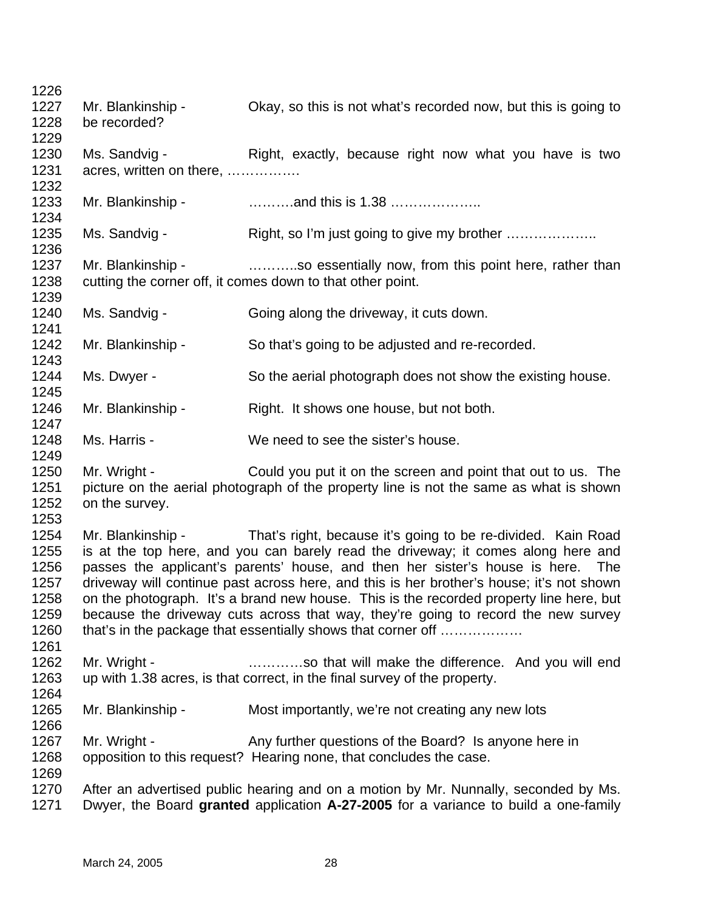1226 1227 1228 1229 1230 1231 1232 1233 1234 1235 1236 1237 1238 1239 1240 1241 1242 1243 1244 1245 1246 1247 1248 1249 1250 1251 1252 1253 1254 1255 1256 1257 1258 1259 1260 1261 1262 1263 1264 1265 1266 1267 1268 1269 1270 1271 Mr. Blankinship - Ckay, so this is not what's recorded now, but this is going to be recorded? Ms. Sandvig - Right, exactly, because right now what you have is two acres, written on there, ……………. Mr. Blankinship - ……….and this is 1.38 ……………….. Ms. Sandvig - Right, so I'm just going to give my brother ...................... Mr. Blankinship - ………..so essentially now, from this point here, rather than cutting the corner off, it comes down to that other point. Ms. Sandvig - Going along the driveway, it cuts down. Mr. Blankinship - So that's going to be adjusted and re-recorded. Ms. Dwyer - So the aerial photograph does not show the existing house. Mr. Blankinship - Right. It shows one house, but not both. Ms. Harris - We need to see the sister's house. Mr. Wright - Could you put it on the screen and point that out to us. The picture on the aerial photograph of the property line is not the same as what is shown on the survey. Mr. Blankinship - That's right, because it's going to be re-divided. Kain Road is at the top here, and you can barely read the driveway; it comes along here and passes the applicant's parents' house, and then her sister's house is here. The driveway will continue past across here, and this is her brother's house; it's not shown on the photograph. It's a brand new house. This is the recorded property line here, but because the driveway cuts across that way, they're going to record the new survey that's in the package that essentially shows that corner off ……………… Mr. Wright - **Example 20** .............so that will make the difference. And you will end up with 1.38 acres, is that correct, in the final survey of the property. Mr. Blankinship - Most importantly, we're not creating any new lots Mr. Wright - Any further questions of the Board? Is anyone here in opposition to this request? Hearing none, that concludes the case. After an advertised public hearing and on a motion by Mr. Nunnally, seconded by Ms. Dwyer, the Board **granted** application **A-27-2005** for a variance to build a one-family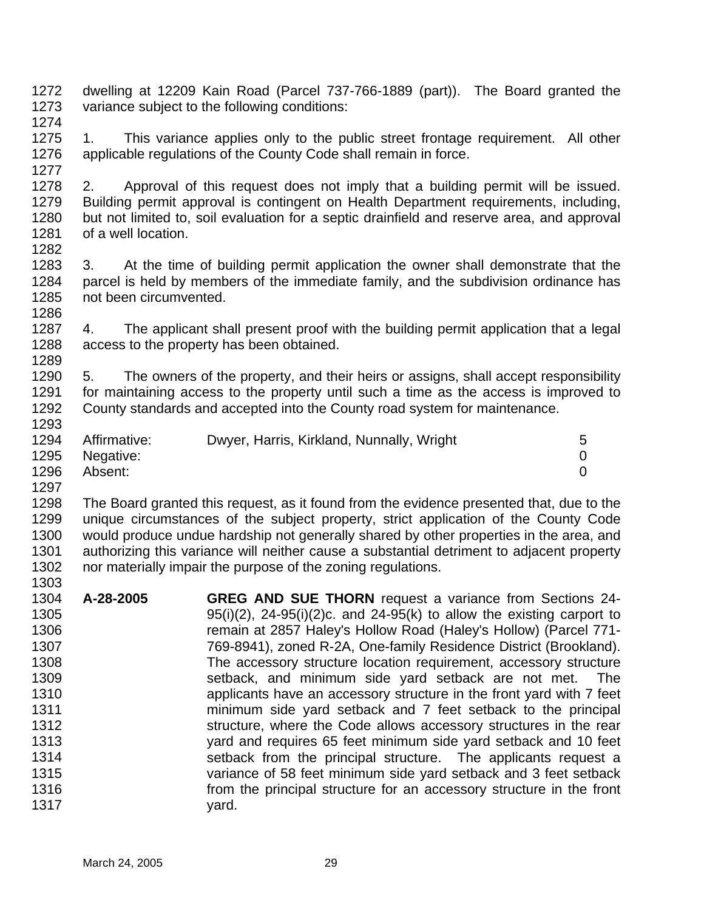- 1272 1273 dwelling at 12209 Kain Road (Parcel 737-766-1889 (part)). The Board granted the variance subject to the following conditions:
- 1274

1277

1275 1276 1. This variance applies only to the public street frontage requirement. All other applicable regulations of the County Code shall remain in force.

- 1278 1279 1280 1281 1282 2. Approval of this request does not imply that a building permit will be issued. Building permit approval is contingent on Health Department requirements, including, but not limited to, soil evaluation for a septic drainfield and reserve area, and approval of a well location.
- 1283 1284 1285 1286 3. At the time of building permit application the owner shall demonstrate that the parcel is held by members of the immediate family, and the subdivision ordinance has not been circumvented.
- 1287 1288 1289 4. The applicant shall present proof with the building permit application that a legal access to the property has been obtained.
- 1290 1291 1292 1293 5. The owners of the property, and their heirs or assigns, shall accept responsibility for maintaining access to the property until such a time as the access is improved to County standards and accepted into the County road system for maintenance.
- 1294 1295 1296 Affirmative: Dwyer, Harris, Kirkland, Nunnally, Wright 5 Negative: 0 Absent: 0
- 1297

1298 1299 1300 1301 1302 1303 The Board granted this request, as it found from the evidence presented that, due to the unique circumstances of the subject property, strict application of the County Code would produce undue hardship not generally shared by other properties in the area, and authorizing this variance will neither cause a substantial detriment to adjacent property nor materially impair the purpose of the zoning regulations.

1304 1305 1306 1307 1308 1309 1310 1311 1312 1313 1314 1315 1316 1317 **A-28-2005 GREG AND SUE THORN** request a variance from Sections 24-  $95(i)(2)$ ,  $24-95(i)(2)c$ . and  $24-95(k)$  to allow the existing carport to remain at 2857 Haley's Hollow Road (Haley's Hollow) (Parcel 771- 769-8941), zoned R-2A, One-family Residence District (Brookland). The accessory structure location requirement, accessory structure setback, and minimum side yard setback are not met. The applicants have an accessory structure in the front yard with 7 feet minimum side yard setback and 7 feet setback to the principal structure, where the Code allows accessory structures in the rear yard and requires 65 feet minimum side yard setback and 10 feet setback from the principal structure. The applicants request a variance of 58 feet minimum side yard setback and 3 feet setback from the principal structure for an accessory structure in the front yard.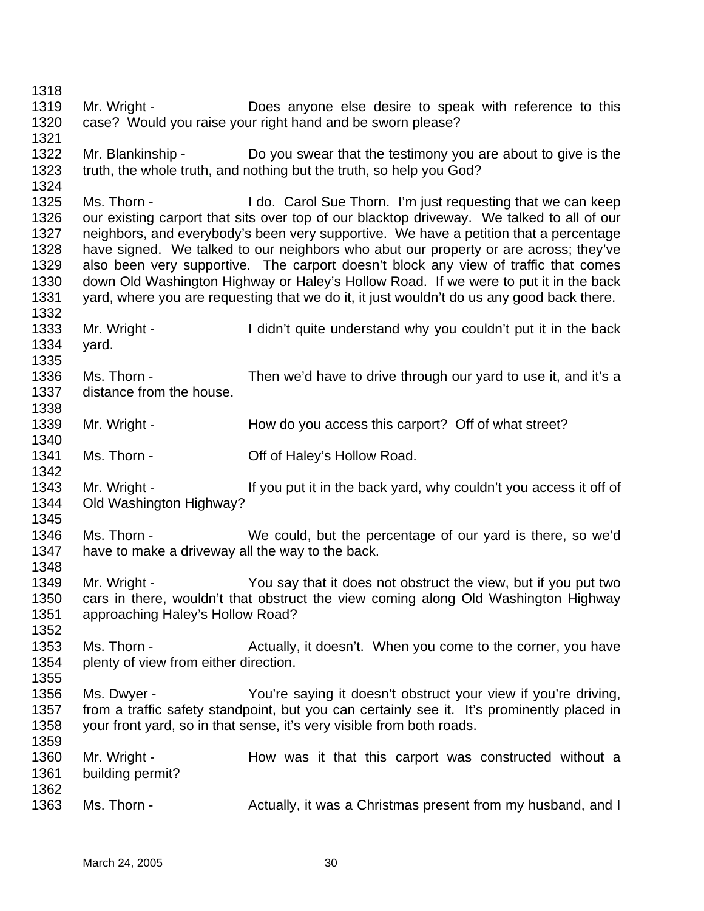1318 1319 1320 1321 1322 1323 1324 1325 1326 1327 1328 1329 1330 1331 1332 1333 1334 1335 1336 1337 1338 1339 1340 1341 1342 1343 1344 1345 1346 1347 1348 1349 1350 1351 1352 1353 1354 1355 1356 1357 1358 1359 1360 1361 1362 1363 Mr. Wright - **Does** anyone else desire to speak with reference to this case? Would you raise your right hand and be sworn please? Mr. Blankinship - Do you swear that the testimony you are about to give is the truth, the whole truth, and nothing but the truth, so help you God? Ms. Thorn - I do. Carol Sue Thorn. I'm just requesting that we can keep our existing carport that sits over top of our blacktop driveway. We talked to all of our neighbors, and everybody's been very supportive. We have a petition that a percentage have signed. We talked to our neighbors who abut our property or are across; they've also been very supportive. The carport doesn't block any view of traffic that comes down Old Washington Highway or Haley's Hollow Road. If we were to put it in the back yard, where you are requesting that we do it, it just wouldn't do us any good back there. Mr. Wright - I didn't quite understand why you couldn't put it in the back yard. Ms. Thorn - Then we'd have to drive through our yard to use it, and it's a distance from the house. Mr. Wright - How do you access this carport? Off of what street? Ms. Thorn - **Off of Haley's Hollow Road.** Mr. Wright - If you put it in the back yard, why couldn't you access it off of Old Washington Highway? Ms. Thorn - We could, but the percentage of our yard is there, so we'd have to make a driveway all the way to the back. Mr. Wright - You say that it does not obstruct the view, but if you put two cars in there, wouldn't that obstruct the view coming along Old Washington Highway approaching Haley's Hollow Road? Ms. Thorn - The Actually, it doesn't. When you come to the corner, you have plenty of view from either direction. Ms. Dwyer - You're saying it doesn't obstruct your view if you're driving, from a traffic safety standpoint, but you can certainly see it. It's prominently placed in your front yard, so in that sense, it's very visible from both roads. Mr. Wright - The How was it that this carport was constructed without a building permit? Ms. Thorn - The Actually, it was a Christmas present from my husband, and I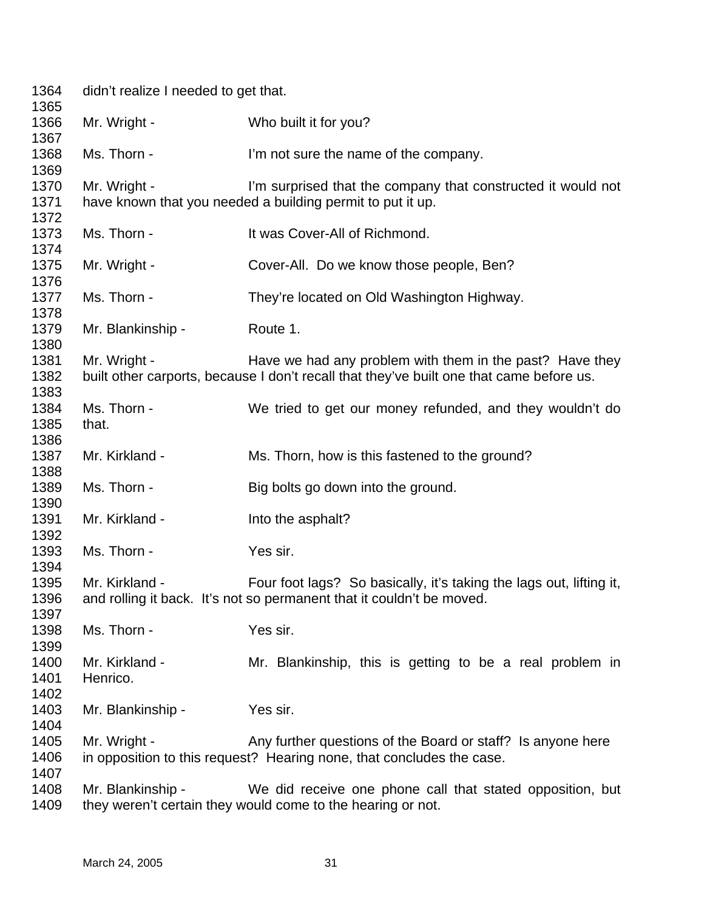| 1364<br>1365                 | didn't realize I needed to get that. |                                                                                                                                                      |
|------------------------------|--------------------------------------|------------------------------------------------------------------------------------------------------------------------------------------------------|
| 1366<br>1367                 | Mr. Wright -                         | Who built it for you?                                                                                                                                |
| 1368<br>1369                 | Ms. Thorn -                          | I'm not sure the name of the company.                                                                                                                |
| 1370<br>1371<br>1372         | Mr. Wright -                         | I'm surprised that the company that constructed it would not<br>have known that you needed a building permit to put it up.                           |
| 1373                         | Ms. Thorn -                          | It was Cover-All of Richmond.                                                                                                                        |
| 1374<br>1375                 | Mr. Wright -                         | Cover-All. Do we know those people, Ben?                                                                                                             |
| 1376<br>1377                 | Ms. Thorn -                          | They're located on Old Washington Highway.                                                                                                           |
| 1378<br>1379                 | Mr. Blankinship -                    | Route 1.                                                                                                                                             |
| 1380<br>1381<br>1382         | Mr. Wright -                         | Have we had any problem with them in the past? Have they<br>built other carports, because I don't recall that they've built one that came before us. |
| 1383<br>1384<br>1385         | Ms. Thorn -<br>that.                 | We tried to get our money refunded, and they wouldn't do                                                                                             |
| 1386<br>1387                 | Mr. Kirkland -                       | Ms. Thorn, how is this fastened to the ground?                                                                                                       |
| 1388<br>1389                 | Ms. Thorn -                          | Big bolts go down into the ground.                                                                                                                   |
| 1390<br>1391                 | Mr. Kirkland -                       | Into the asphalt?                                                                                                                                    |
| 1392<br>1393                 | Ms. Thorn -                          | Yes sir.                                                                                                                                             |
| 1394<br>1395<br>1396<br>1397 | Mr. Kirkland -                       | Four foot lags? So basically, it's taking the lags out, lifting it,<br>and rolling it back. It's not so permanent that it couldn't be moved.         |
| 1398<br>1399                 | Ms. Thorn -                          | Yes sir.                                                                                                                                             |
| 1400<br>1401<br>1402         | Mr. Kirkland -<br>Henrico.           | Mr. Blankinship, this is getting to be a real problem in                                                                                             |
| 1403<br>1404                 | Mr. Blankinship -                    | Yes sir.                                                                                                                                             |
| 1405<br>1406<br>1407         | Mr. Wright -                         | Any further questions of the Board or staff? Is anyone here<br>in opposition to this request? Hearing none, that concludes the case.                 |
| 1408<br>1409                 | Mr. Blankinship -                    | We did receive one phone call that stated opposition, but<br>they weren't certain they would come to the hearing or not.                             |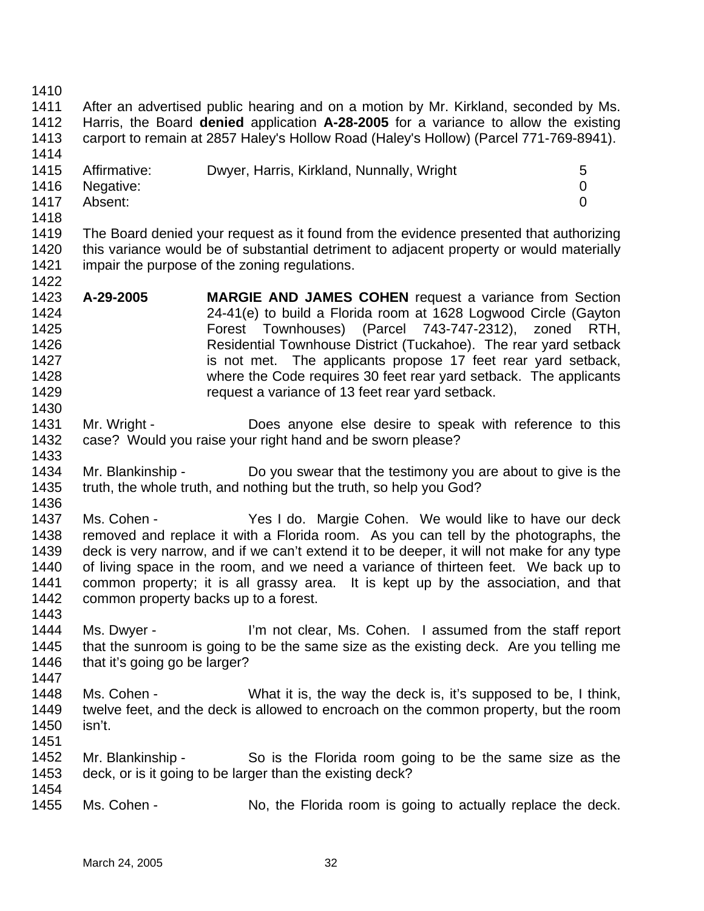1410

1411 1412 1413 1414 After an advertised public hearing and on a motion by Mr. Kirkland, seconded by Ms. Harris, the Board **denied** application **A-28-2005** for a variance to allow the existing carport to remain at 2857 Haley's Hollow Road (Haley's Hollow) (Parcel 771-769-8941).

| 1415 | Affirmative:   | Dwyer, Harris, Kirkland, Nunnally, Wright |  |
|------|----------------|-------------------------------------------|--|
|      | 1416 Negative: |                                           |  |
| 1417 | Absent:        |                                           |  |

1418

1419 1420 1421 1422 The Board denied your request as it found from the evidence presented that authorizing this variance would be of substantial detriment to adjacent property or would materially impair the purpose of the zoning regulations.

- 1423 1424 1425 1426 1427 1428 1429 **A-29-2005 MARGIE AND JAMES COHEN** request a variance from Section 24-41(e) to build a Florida room at 1628 Logwood Circle (Gayton Forest Townhouses) (Parcel 743-747-2312), zoned RTH, Residential Townhouse District (Tuckahoe). The rear yard setback is not met. The applicants propose 17 feet rear yard setback, where the Code requires 30 feet rear yard setback. The applicants request a variance of 13 feet rear yard setback.
- 1431 1432 1433 Mr. Wright - **Does anyone else desire to speak with reference to this** case? Would you raise your right hand and be sworn please?
- 1434 1435 Mr. Blankinship - Do you swear that the testimony you are about to give is the truth, the whole truth, and nothing but the truth, so help you God?
- 1436

1443

1447

- 1437 1438 1439 1440 1441 1442 Ms. Cohen - The Yes I do. Margie Cohen. We would like to have our deck removed and replace it with a Florida room. As you can tell by the photographs, the deck is very narrow, and if we can't extend it to be deeper, it will not make for any type of living space in the room, and we need a variance of thirteen feet. We back up to common property; it is all grassy area. It is kept up by the association, and that common property backs up to a forest.
- 1444 1445 1446 Ms. Dwyer - I'm not clear, Ms. Cohen. I assumed from the staff report that the sunroom is going to be the same size as the existing deck. Are you telling me that it's going go be larger?
- 1448 1449 1450 1451 Ms. Cohen - What it is, the way the deck is, it's supposed to be, I think, twelve feet, and the deck is allowed to encroach on the common property, but the room isn't.
- 1452 1453 1454 Mr. Blankinship - So is the Florida room going to be the same size as the deck, or is it going to be larger than the existing deck?
- 1455 Ms. Cohen - No, the Florida room is going to actually replace the deck.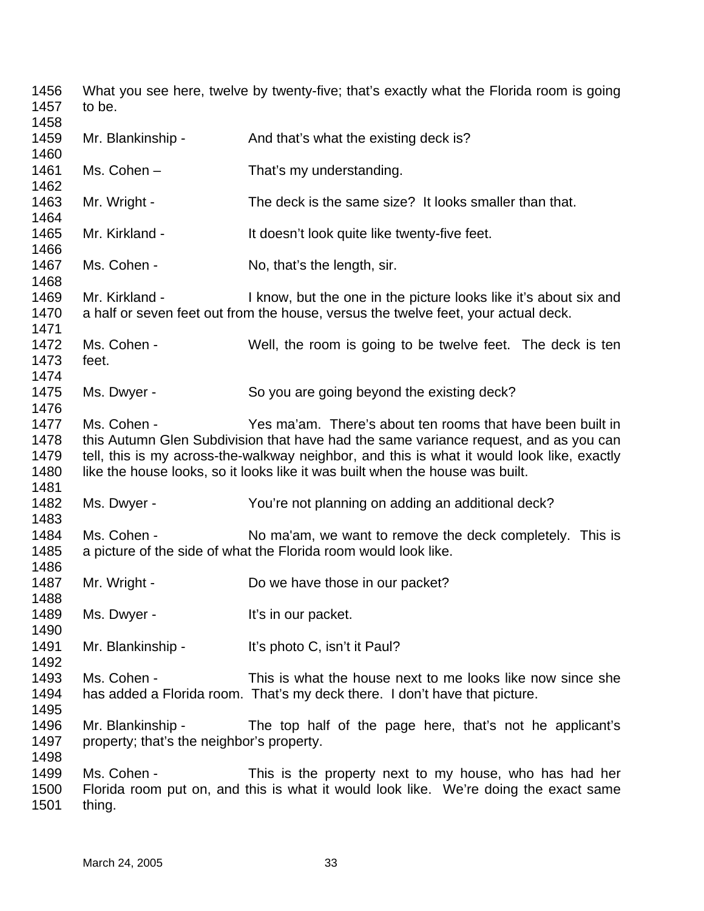What you see here, twelve by twenty-five; that's exactly what the Florida room is going to be. Mr. Blankinship - And that's what the existing deck is? Ms. Cohen – That's my understanding. Mr. Wright - The deck is the same size? It looks smaller than that. Mr. Kirkland - It doesn't look quite like twenty-five feet. Ms. Cohen - No, that's the length, sir. Mr. Kirkland - I know, but the one in the picture looks like it's about six and a half or seven feet out from the house, versus the twelve feet, your actual deck. Ms. Cohen - Well, the room is going to be twelve feet. The deck is ten feet. Ms. Dwyer - So you are going beyond the existing deck? Ms. Cohen - Yes ma'am. There's about ten rooms that have been built in this Autumn Glen Subdivision that have had the same variance request, and as you can tell, this is my across-the-walkway neighbor, and this is what it would look like, exactly like the house looks, so it looks like it was built when the house was built. Ms. Dwyer - You're not planning on adding an additional deck? Ms. Cohen - No ma'am, we want to remove the deck completely. This is a picture of the side of what the Florida room would look like. Mr. Wright - Do we have those in our packet? Ms. Dwyer - The Music H<sup>t's</sup> in our packet. Mr. Blankinship - It's photo C, isn't it Paul? Ms. Cohen - This is what the house next to me looks like now since she has added a Florida room. That's my deck there. I don't have that picture. Mr. Blankinship - The top half of the page here, that's not he applicant's property; that's the neighbor's property. Ms. Cohen - This is the property next to my house, who has had her Florida room put on, and this is what it would look like. We're doing the exact same thing.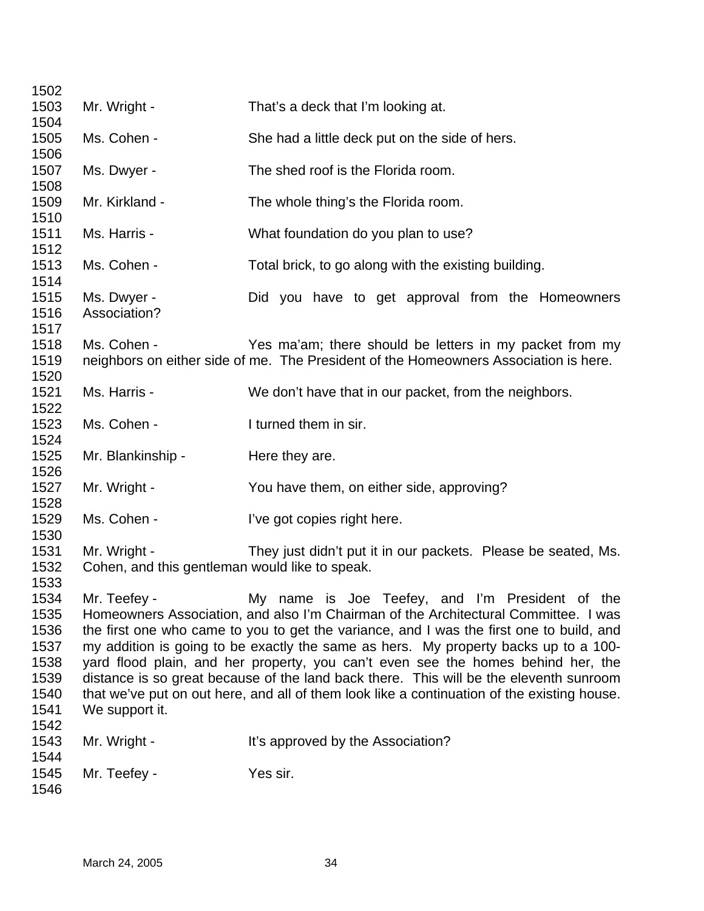| 1502         |                                                |                                                                                             |
|--------------|------------------------------------------------|---------------------------------------------------------------------------------------------|
| 1503         | Mr. Wright -                                   | That's a deck that I'm looking at.                                                          |
| 1504         |                                                |                                                                                             |
| 1505         | Ms. Cohen -                                    | She had a little deck put on the side of hers.                                              |
| 1506         |                                                |                                                                                             |
| 1507<br>1508 | Ms. Dwyer -                                    | The shed roof is the Florida room.                                                          |
| 1509         | Mr. Kirkland -                                 | The whole thing's the Florida room.                                                         |
| 1510         |                                                |                                                                                             |
| 1511         | Ms. Harris -                                   | What foundation do you plan to use?                                                         |
| 1512         |                                                |                                                                                             |
| 1513         | Ms. Cohen -                                    | Total brick, to go along with the existing building.                                        |
| 1514         |                                                |                                                                                             |
| 1515         | Ms. Dwyer -                                    | Did you have to get approval from the Homeowners                                            |
| 1516         | Association?                                   |                                                                                             |
| 1517         |                                                |                                                                                             |
| 1518         | Ms. Cohen -                                    | Yes ma'am; there should be letters in my packet from my                                     |
| 1519         |                                                | neighbors on either side of me. The President of the Homeowners Association is here.        |
| 1520<br>1521 | Ms. Harris -                                   | We don't have that in our packet, from the neighbors.                                       |
| 1522         |                                                |                                                                                             |
| 1523         | Ms. Cohen -                                    | I turned them in sir.                                                                       |
| 1524         |                                                |                                                                                             |
| 1525         | Mr. Blankinship -                              | Here they are.                                                                              |
| 1526         |                                                |                                                                                             |
| 1527         | Mr. Wright -                                   | You have them, on either side, approving?                                                   |
| 1528         |                                                |                                                                                             |
| 1529         | Ms. Cohen -                                    | I've got copies right here.                                                                 |
| 1530         |                                                |                                                                                             |
| 1531         | Mr. Wright -                                   | They just didn't put it in our packets. Please be seated, Ms.                               |
| 1532         | Cohen, and this gentleman would like to speak. |                                                                                             |
| 1533<br>1534 | Mr. Teefey -                                   | My name is Joe Teefey, and I'm President of the                                             |
| 1535         |                                                | Homeowners Association, and also I'm Chairman of the Architectural Committee. I was         |
| 1536         |                                                | the first one who came to you to get the variance, and I was the first one to build, and    |
| 1537         |                                                | my addition is going to be exactly the same as hers. My property backs up to a 100-         |
| 1538         |                                                | yard flood plain, and her property, you can't even see the homes behind her, the            |
| 1539         |                                                | distance is so great because of the land back there. This will be the eleventh sunroom      |
| 1540         |                                                | that we've put on out here, and all of them look like a continuation of the existing house. |
| 1541         | We support it.                                 |                                                                                             |
| 1542         |                                                |                                                                                             |
| 1543         | Mr. Wright -                                   | It's approved by the Association?                                                           |
| 1544         |                                                |                                                                                             |
| 1545         | Mr. Teefey -                                   | Yes sir.                                                                                    |
| 1546         |                                                |                                                                                             |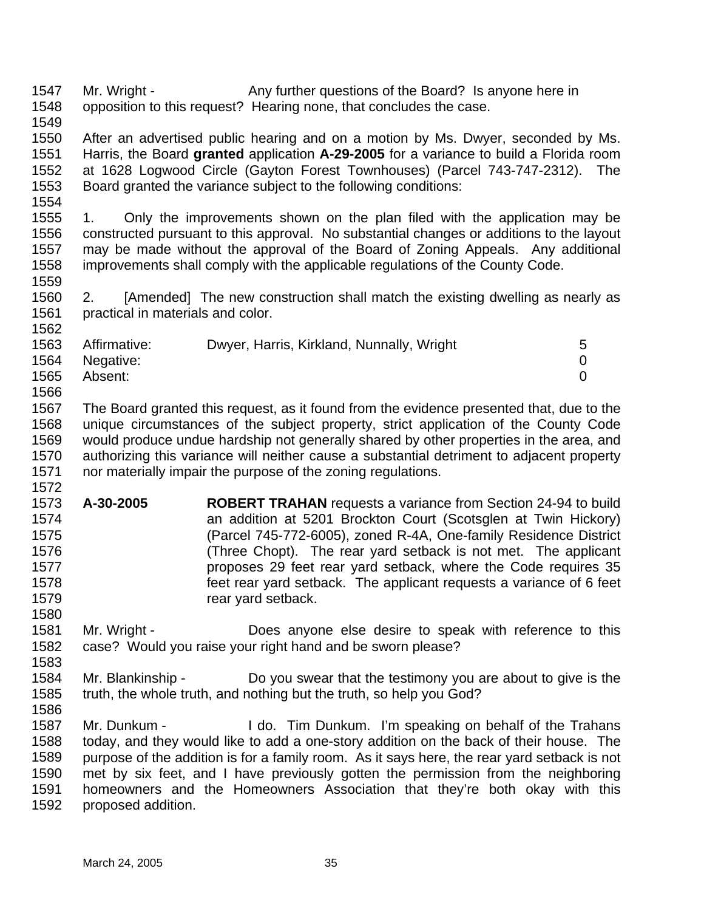1547 1548 Mr. Wright - Any further questions of the Board? Is anyone here in opposition to this request? Hearing none, that concludes the case.

1549

1554

1559

1572

1580

1550 1551 1552 1553 After an advertised public hearing and on a motion by Ms. Dwyer, seconded by Ms. Harris, the Board **granted** application **A-29-2005** for a variance to build a Florida room at 1628 Logwood Circle (Gayton Forest Townhouses) (Parcel 743-747-2312). The Board granted the variance subject to the following conditions:

1555 1556 1557 1558 1. Only the improvements shown on the plan filed with the application may be constructed pursuant to this approval. No substantial changes or additions to the layout may be made without the approval of the Board of Zoning Appeals. Any additional improvements shall comply with the applicable regulations of the County Code.

1560 1561 1562 2. [Amended] The new construction shall match the existing dwelling as nearly as practical in materials and color.

| 1563 | Affirmative:   | Dwyer, Harris, Kirkland, Nunnally, Wright | 5 |
|------|----------------|-------------------------------------------|---|
|      | 1564 Negative: |                                           |   |
| 1565 | Absent:        |                                           |   |
| 1566 |                |                                           |   |

1567 1568 1569 1570 1571 The Board granted this request, as it found from the evidence presented that, due to the unique circumstances of the subject property, strict application of the County Code would produce undue hardship not generally shared by other properties in the area, and authorizing this variance will neither cause a substantial detriment to adjacent property nor materially impair the purpose of the zoning regulations.

- 1573 1574 1575 1576 1577 1578 1579 **A-30-2005 ROBERT TRAHAN** requests a variance from Section 24-94 to build an addition at 5201 Brockton Court (Scotsglen at Twin Hickory) (Parcel 745-772-6005), zoned R-4A, One-family Residence District (Three Chopt). The rear yard setback is not met. The applicant proposes 29 feet rear yard setback, where the Code requires 35 feet rear yard setback. The applicant requests a variance of 6 feet rear yard setback.
- 1581 1582 1583 Mr. Wright - **Does** anyone else desire to speak with reference to this case? Would you raise your right hand and be sworn please?
- 1584 1585 1586 Mr. Blankinship - Do you swear that the testimony you are about to give is the truth, the whole truth, and nothing but the truth, so help you God?
- 1587 1588 1589 1590 1591 1592 Mr. Dunkum - I do. Tim Dunkum. I'm speaking on behalf of the Trahans today, and they would like to add a one-story addition on the back of their house. The purpose of the addition is for a family room. As it says here, the rear yard setback is not met by six feet, and I have previously gotten the permission from the neighboring homeowners and the Homeowners Association that they're both okay with this proposed addition.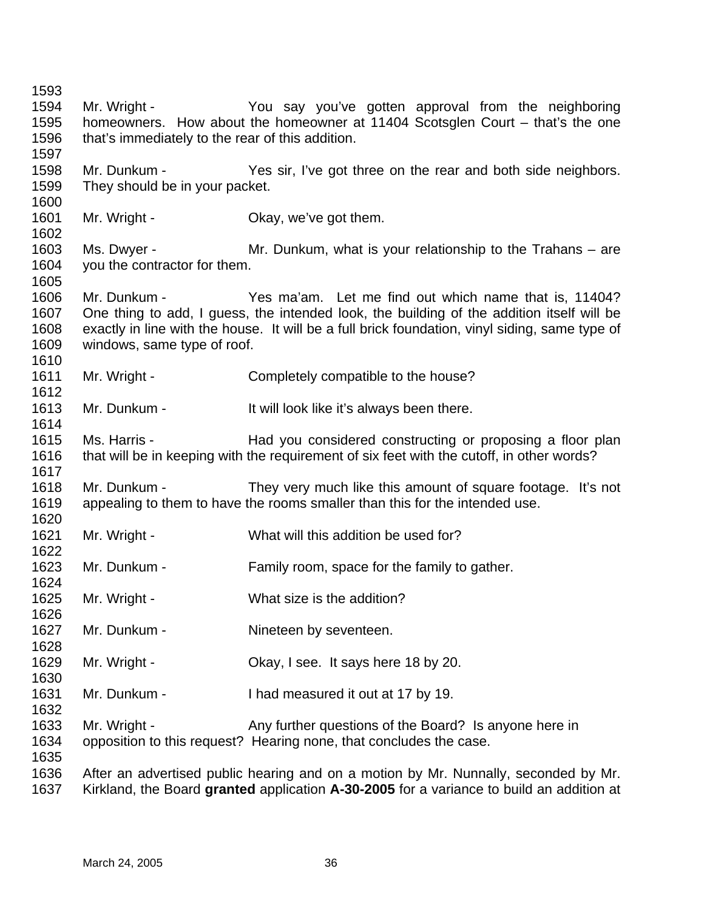Mr. Wright - The You say you've gotten approval from the neighboring homeowners. How about the homeowner at 11404 Scotsglen Court – that's the one that's immediately to the rear of this addition. Mr. Dunkum - Yes sir, I've got three on the rear and both side neighbors. They should be in your packet. Mr. Wright - Chay, we've got them. Ms. Dwyer - **Mr.** Dunkum, what is your relationship to the Trahans – are you the contractor for them. Mr. Dunkum - Yes ma'am. Let me find out which name that is, 11404? One thing to add, I guess, the intended look, the building of the addition itself will be exactly in line with the house. It will be a full brick foundation, vinyl siding, same type of windows, same type of roof. Mr. Wright - Completely compatible to the house? Mr. Dunkum - It will look like it's always been there. Ms. Harris - Had you considered constructing or proposing a floor plan that will be in keeping with the requirement of six feet with the cutoff, in other words? Mr. Dunkum - They very much like this amount of square footage. It's not appealing to them to have the rooms smaller than this for the intended use. Mr. Wright - What will this addition be used for? Mr. Dunkum - Family room, space for the family to gather. Mr. Wright - What size is the addition? Mr. Dunkum - Nineteen by seventeen. Mr. Wright - Ckay, I see. It says here 18 by 20. Mr. Dunkum - I had measured it out at 17 by 19. Mr. Wright - Any further questions of the Board? Is anyone here in opposition to this request? Hearing none, that concludes the case. After an advertised public hearing and on a motion by Mr. Nunnally, seconded by Mr. Kirkland, the Board **granted** application **A-30-2005** for a variance to build an addition at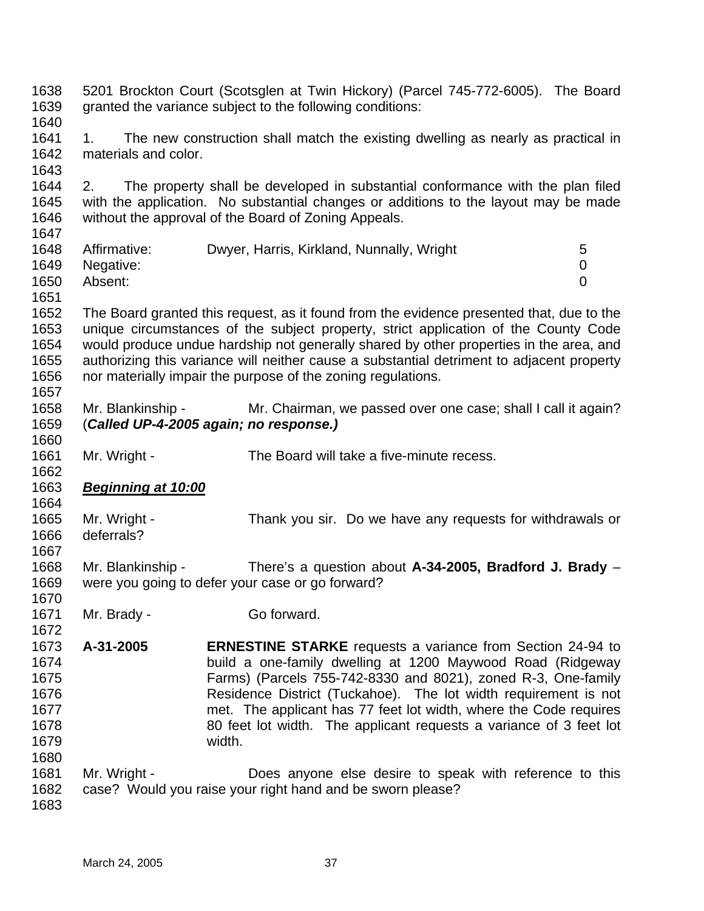1638 1639 1640 1641 1642 1643 1644 1645 1646 1647 1648 1649 1650 1651 1652 1653 1654 1655 1656 1657 1658 1659 1660 1661 1662 5201 Brockton Court (Scotsglen at Twin Hickory) (Parcel 745-772-6005). The Board granted the variance subject to the following conditions: 1. The new construction shall match the existing dwelling as nearly as practical in materials and color. 2. The property shall be developed in substantial conformance with the plan filed with the application. No substantial changes or additions to the layout may be made without the approval of the Board of Zoning Appeals. Affirmative: Dwyer, Harris, Kirkland, Nunnally, Wright 5 Negative: 0 Absent: 0 The Board granted this request, as it found from the evidence presented that, due to the unique circumstances of the subject property, strict application of the County Code would produce undue hardship not generally shared by other properties in the area, and authorizing this variance will neither cause a substantial detriment to adjacent property nor materially impair the purpose of the zoning regulations. Mr. Blankinship - Mr. Chairman, we passed over one case; shall I call it again? (*Called UP-4-2005 again; no response.)*  Mr. Wright - The Board will take a five-minute recess. 1663 1664 1665 1666 1667 1668 1669 1670 1671 1672 1673 1674 1675 1676 1677 1678 1679 1680 1681 1682 1683 *Beginning at 10:00* Mr. Wright - Thank you sir. Do we have any requests for withdrawals or deferrals? Mr. Blankinship - There's a question about **A-34-2005, Bradford J. Brady** – were you going to defer your case or go forward? Mr. Brady - Go forward. **A-31-2005 ERNESTINE STARKE** requests a variance from Section 24-94 to build a one-family dwelling at 1200 Maywood Road (Ridgeway Farms) (Parcels 755-742-8330 and 8021), zoned R-3, One-family Residence District (Tuckahoe). The lot width requirement is not met. The applicant has 77 feet lot width, where the Code requires 80 feet lot width. The applicant requests a variance of 3 feet lot width. Mr. Wright - **Does anyone else desire to speak with reference to this** case? Would you raise your right hand and be sworn please?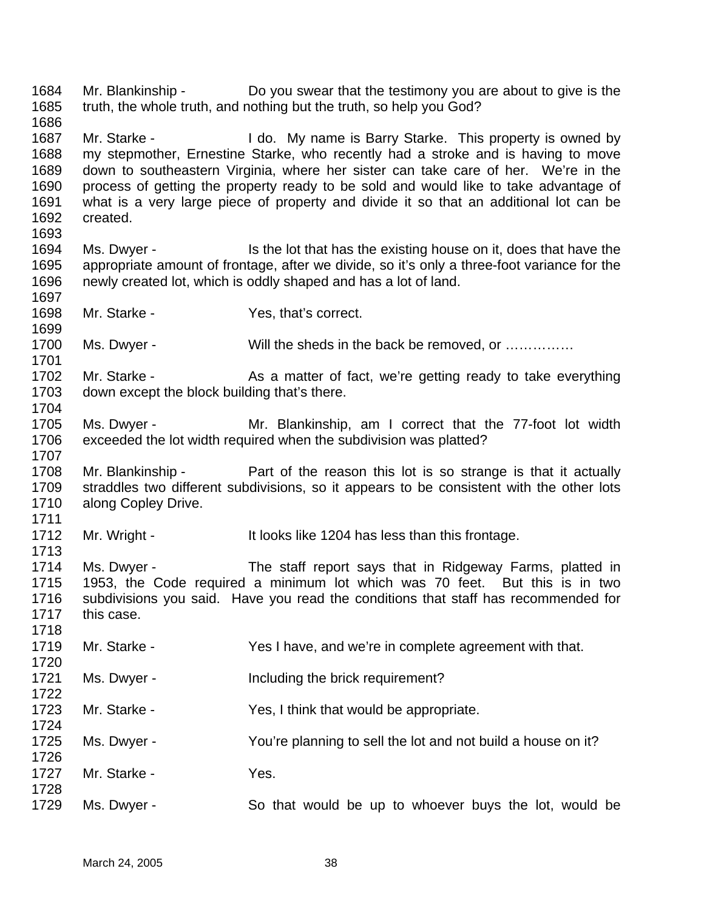1684 1685 1686 1687 1688 1689 1690 1691 1692 1693 1694 1695 1696 1697 1698 1699 1700 1701 1702 1703 1704 1705 1706 1707 1708 1709 1710 1711 1712 1713 1714 1715 1716 1717 1718 1719 1720 1721 1722 1723 1724 1725 1726 1727 1728 1729 Mr. Blankinship - Do you swear that the testimony you are about to give is the truth, the whole truth, and nothing but the truth, so help you God? Mr. Starke - This book My name is Barry Starke. This property is owned by my stepmother, Ernestine Starke, who recently had a stroke and is having to move down to southeastern Virginia, where her sister can take care of her. We're in the process of getting the property ready to be sold and would like to take advantage of what is a very large piece of property and divide it so that an additional lot can be created. Ms. Dwyer - Is the lot that has the existing house on it, does that have the appropriate amount of frontage, after we divide, so it's only a three-foot variance for the newly created lot, which is oddly shaped and has a lot of land. Mr. Starke - Yes, that's correct. Ms. Dwyer - Will the sheds in the back be removed, or ............... Mr. Starke - As a matter of fact, we're getting ready to take everything down except the block building that's there. Ms. Dwyer - Mr. Blankinship, am I correct that the 77-foot lot width exceeded the lot width required when the subdivision was platted? Mr. Blankinship - Part of the reason this lot is so strange is that it actually straddles two different subdivisions, so it appears to be consistent with the other lots along Copley Drive. Mr. Wright - It looks like 1204 has less than this frontage. Ms. Dwyer - The staff report says that in Ridgeway Farms, platted in 1953, the Code required a minimum lot which was 70 feet. But this is in two subdivisions you said. Have you read the conditions that staff has recommended for this case. Mr. Starke - Yes I have, and we're in complete agreement with that. Ms. Dwyer - The Including the brick requirement? Mr. Starke - Yes, I think that would be appropriate. Ms. Dwyer - You're planning to sell the lot and not build a house on it? Mr. Starke - Yes. Ms. Dwyer - So that would be up to whoever buys the lot, would be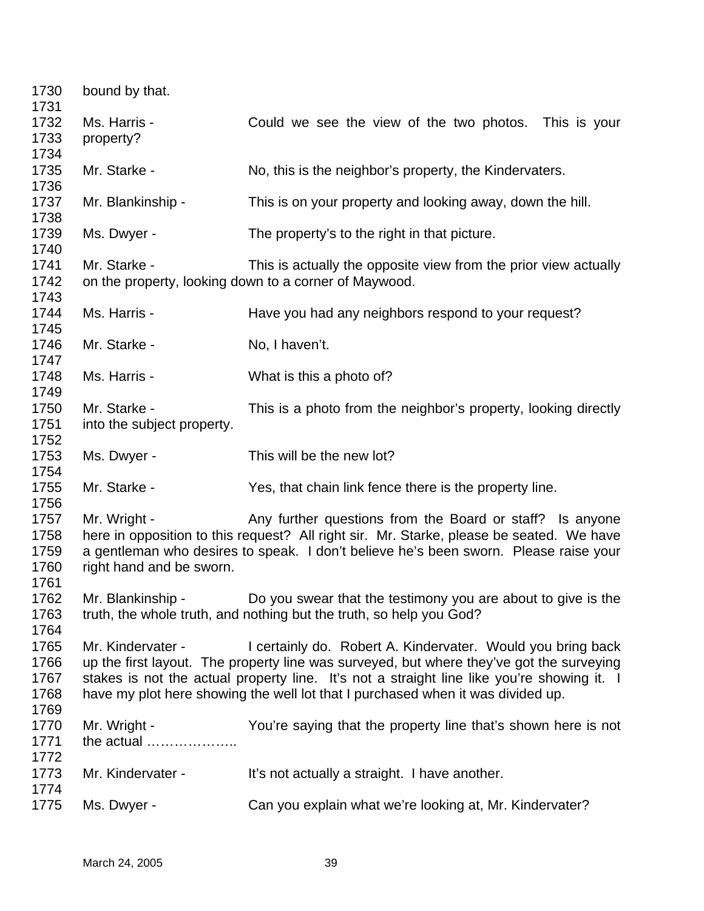| 1730<br>1731                         | bound by that.                             |                                                                                                                                                                                                                                                                                                                                          |
|--------------------------------------|--------------------------------------------|------------------------------------------------------------------------------------------------------------------------------------------------------------------------------------------------------------------------------------------------------------------------------------------------------------------------------------------|
| 1732<br>1733<br>1734                 | Ms. Harris -<br>property?                  | Could we see the view of the two photos. This is your                                                                                                                                                                                                                                                                                    |
| 1735<br>1736                         | Mr. Starke -                               | No, this is the neighbor's property, the Kindervaters.                                                                                                                                                                                                                                                                                   |
| 1737<br>1738                         | Mr. Blankinship -                          | This is on your property and looking away, down the hill.                                                                                                                                                                                                                                                                                |
| 1739<br>1740                         | Ms. Dwyer -                                | The property's to the right in that picture.                                                                                                                                                                                                                                                                                             |
| 1741<br>1742<br>1743                 | Mr. Starke -                               | This is actually the opposite view from the prior view actually<br>on the property, looking down to a corner of Maywood.                                                                                                                                                                                                                 |
| 1744<br>1745                         | Ms. Harris -                               | Have you had any neighbors respond to your request?                                                                                                                                                                                                                                                                                      |
| 1746<br>1747                         | Mr. Starke -                               | No, I haven't.                                                                                                                                                                                                                                                                                                                           |
| 1748<br>1749                         | Ms. Harris -                               | What is this a photo of?                                                                                                                                                                                                                                                                                                                 |
| 1750<br>1751<br>1752                 | Mr. Starke -<br>into the subject property. | This is a photo from the neighbor's property, looking directly                                                                                                                                                                                                                                                                           |
| 1753<br>1754                         | Ms. Dwyer -                                | This will be the new lot?                                                                                                                                                                                                                                                                                                                |
| 1755<br>1756                         | Mr. Starke -                               | Yes, that chain link fence there is the property line.                                                                                                                                                                                                                                                                                   |
| 1757<br>1758<br>1759<br>1760<br>1761 | Mr. Wright -<br>right hand and be sworn.   | Any further questions from the Board or staff? Is anyone<br>here in opposition to this request? All right sir. Mr. Starke, please be seated. We have<br>a gentleman who desires to speak. I don't believe he's been sworn. Please raise your                                                                                             |
| 1762<br>1763<br>1764                 | Mr. Blankinship -                          | Do you swear that the testimony you are about to give is the<br>truth, the whole truth, and nothing but the truth, so help you God?                                                                                                                                                                                                      |
| 1765<br>1766<br>1767<br>1768         | Mr. Kindervater -                          | I certainly do. Robert A. Kindervater. Would you bring back<br>up the first layout. The property line was surveyed, but where they've got the surveying<br>stakes is not the actual property line. It's not a straight line like you're showing it. I<br>have my plot here showing the well lot that I purchased when it was divided up. |
| 1769<br>1770<br>1771<br>1772         | Mr. Wright -<br>the actual                 | You're saying that the property line that's shown here is not                                                                                                                                                                                                                                                                            |
| 1773                                 | Mr. Kindervater -                          | It's not actually a straight. I have another.                                                                                                                                                                                                                                                                                            |
| 1774<br>1775                         | Ms. Dwyer -                                | Can you explain what we're looking at, Mr. Kindervater?                                                                                                                                                                                                                                                                                  |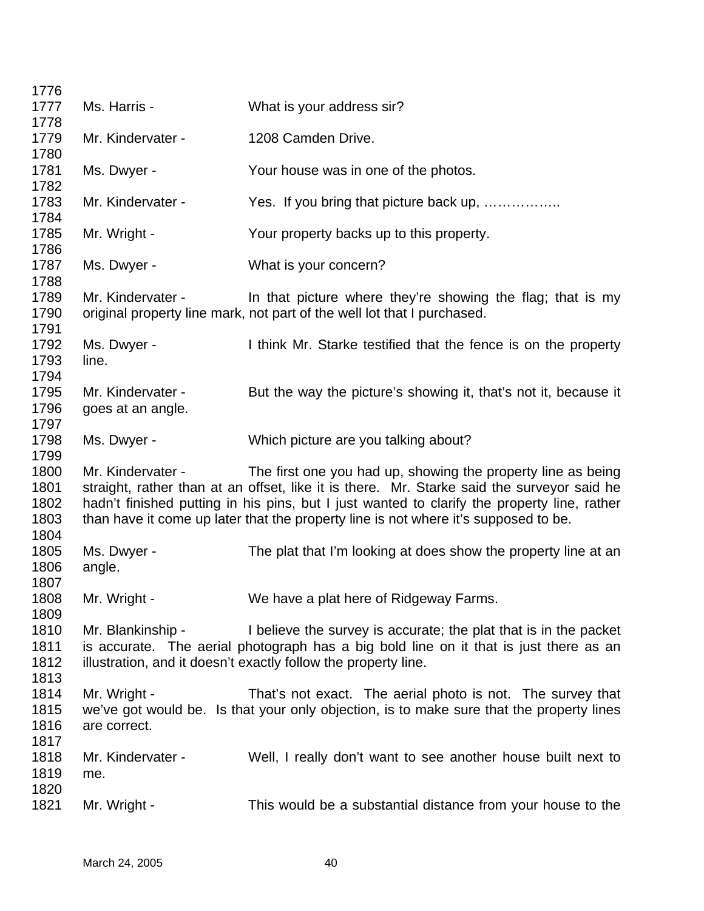| 1776                         |                                        |                                                                                                                                                                                                                                                                                                                                                  |
|------------------------------|----------------------------------------|--------------------------------------------------------------------------------------------------------------------------------------------------------------------------------------------------------------------------------------------------------------------------------------------------------------------------------------------------|
| 1777                         | Ms. Harris -                           | What is your address sir?                                                                                                                                                                                                                                                                                                                        |
| 1778                         |                                        |                                                                                                                                                                                                                                                                                                                                                  |
| 1779                         | Mr. Kindervater -                      | 1208 Camden Drive.                                                                                                                                                                                                                                                                                                                               |
| 1780<br>1781                 | Ms. Dwyer -                            | Your house was in one of the photos.                                                                                                                                                                                                                                                                                                             |
| 1782                         |                                        |                                                                                                                                                                                                                                                                                                                                                  |
| 1783<br>1784                 | Mr. Kindervater -                      | Yes. If you bring that picture back up,                                                                                                                                                                                                                                                                                                          |
| 1785<br>1786                 | Mr. Wright -                           | Your property backs up to this property.                                                                                                                                                                                                                                                                                                         |
| 1787<br>1788                 | Ms. Dwyer -                            | What is your concern?                                                                                                                                                                                                                                                                                                                            |
| 1789<br>1790<br>1791         | Mr. Kindervater -                      | In that picture where they're showing the flag; that is my<br>original property line mark, not part of the well lot that I purchased.                                                                                                                                                                                                            |
| 1792<br>1793                 | Ms. Dwyer -<br>line.                   | I think Mr. Starke testified that the fence is on the property                                                                                                                                                                                                                                                                                   |
| 1794<br>1795<br>1796<br>1797 | Mr. Kindervater -<br>goes at an angle. | But the way the picture's showing it, that's not it, because it                                                                                                                                                                                                                                                                                  |
| 1798<br>1799                 | Ms. Dwyer -                            | Which picture are you talking about?                                                                                                                                                                                                                                                                                                             |
| 1800<br>1801<br>1802<br>1803 | Mr. Kindervater -                      | The first one you had up, showing the property line as being<br>straight, rather than at an offset, like it is there. Mr. Starke said the surveyor said he<br>hadn't finished putting in his pins, but I just wanted to clarify the property line, rather<br>than have it come up later that the property line is not where it's supposed to be. |
| 1804<br>1805<br>1806<br>1807 | Ms. Dwyer -<br>angle.                  | The plat that I'm looking at does show the property line at an                                                                                                                                                                                                                                                                                   |
| 1808<br>1809                 | Mr. Wright -                           | We have a plat here of Ridgeway Farms.                                                                                                                                                                                                                                                                                                           |
| 1810<br>1811<br>1812<br>1813 | Mr. Blankinship -                      | I believe the survey is accurate; the plat that is in the packet<br>is accurate. The aerial photograph has a big bold line on it that is just there as an<br>illustration, and it doesn't exactly follow the property line.                                                                                                                      |
| 1814<br>1815<br>1816<br>1817 | Mr. Wright -<br>are correct.           | That's not exact. The aerial photo is not. The survey that<br>we've got would be. Is that your only objection, is to make sure that the property lines                                                                                                                                                                                           |
| 1818<br>1819                 | Mr. Kindervater -<br>me.               | Well, I really don't want to see another house built next to                                                                                                                                                                                                                                                                                     |
| 1820<br>1821                 | Mr. Wright -                           | This would be a substantial distance from your house to the                                                                                                                                                                                                                                                                                      |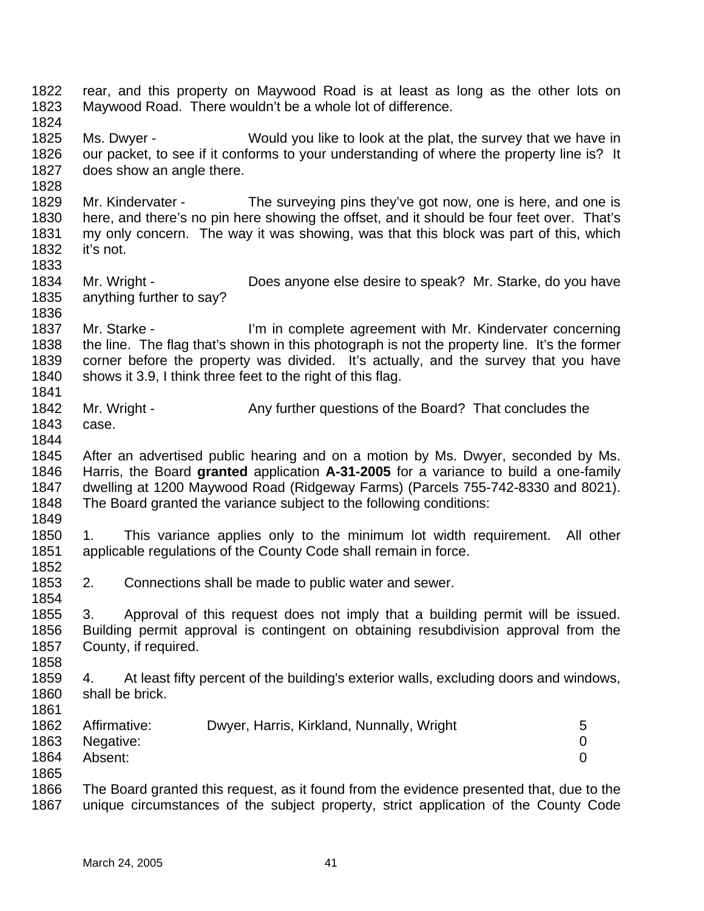1822 1823 1824 1825 1826 1827 1828 1829 1830 1831 1832 1833 1834 1835 1836 1837 1838 1839 1840 1841 1842 1843 1844 1845 1846 1847 1848 1849 1850 1851 1852 1853 1854 1855 1856 1857 1858 1859 1860 1861 1862 1863 1864 1865 1866 1867 rear, and this property on Maywood Road is at least as long as the other lots on Maywood Road. There wouldn't be a whole lot of difference. Ms. Dwyer - Would you like to look at the plat, the survey that we have in our packet, to see if it conforms to your understanding of where the property line is? It does show an angle there. Mr. Kindervater - The surveying pins they've got now, one is here, and one is here, and there's no pin here showing the offset, and it should be four feet over. That's my only concern. The way it was showing, was that this block was part of this, which it's not. Mr. Wright - Does anyone else desire to speak? Mr. Starke, do you have anything further to say? Mr. Starke - I'm in complete agreement with Mr. Kindervater concerning the line. The flag that's shown in this photograph is not the property line. It's the former corner before the property was divided. It's actually, and the survey that you have shows it 3.9, I think three feet to the right of this flag. Mr. Wright - Any further questions of the Board? That concludes the case. After an advertised public hearing and on a motion by Ms. Dwyer, seconded by Ms. Harris, the Board **granted** application **A-31-2005** for a variance to build a one-family dwelling at 1200 Maywood Road (Ridgeway Farms) (Parcels 755-742-8330 and 8021). The Board granted the variance subject to the following conditions: 1. This variance applies only to the minimum lot width requirement. All other applicable regulations of the County Code shall remain in force. 2. Connections shall be made to public water and sewer. 3. Approval of this request does not imply that a building permit will be issued. Building permit approval is contingent on obtaining resubdivision approval from the County, if required. 4. At least fifty percent of the building's exterior walls, excluding doors and windows, shall be brick. Affirmative: Dwyer, Harris, Kirkland, Nunnally, Wright 5 Negative: 0 Absent: 0 The Board granted this request, as it found from the evidence presented that, due to the unique circumstances of the subject property, strict application of the County Code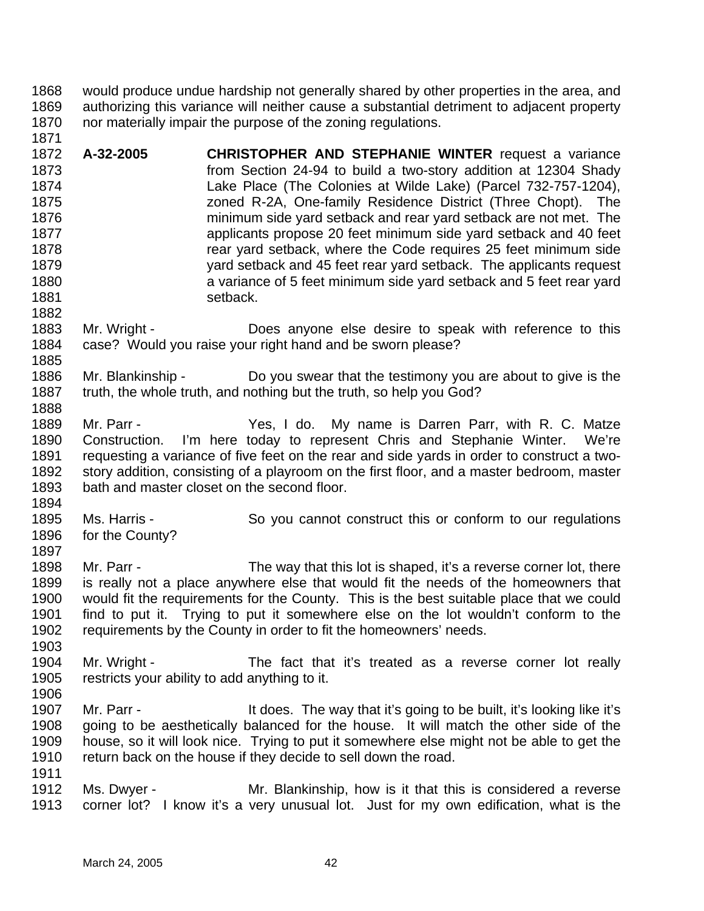1868 1869 1870 1871 would produce undue hardship not generally shared by other properties in the area, and authorizing this variance will neither cause a substantial detriment to adjacent property nor materially impair the purpose of the zoning regulations.

1872 1873 1874 1875 1876 1877 1878 1879 1880 1881 1882 **A-32-2005 CHRISTOPHER AND STEPHANIE WINTER** request a variance from Section 24-94 to build a two-story addition at 12304 Shady Lake Place (The Colonies at Wilde Lake) (Parcel 732-757-1204), zoned R-2A, One-family Residence District (Three Chopt). The minimum side yard setback and rear yard setback are not met. The applicants propose 20 feet minimum side yard setback and 40 feet rear yard setback, where the Code requires 25 feet minimum side yard setback and 45 feet rear yard setback. The applicants request a variance of 5 feet minimum side yard setback and 5 feet rear yard setback.

- 1883 1884 1885 Mr. Wright - **Does anyone else desire to speak with reference to this** case? Would you raise your right hand and be sworn please?
- 1886 1887 1888 Mr. Blankinship - Do you swear that the testimony you are about to give is the truth, the whole truth, and nothing but the truth, so help you God?
- 1889 1890 1891 1892 1893 Mr. Parr - The Yes, I do. My name is Darren Parr, with R. C. Matze Construction. I'm here today to represent Chris and Stephanie Winter. We're requesting a variance of five feet on the rear and side yards in order to construct a twostory addition, consisting of a playroom on the first floor, and a master bedroom, master bath and master closet on the second floor.
- 1894

1895 1896 1897 Ms. Harris - So you cannot construct this or conform to our regulations for the County?

- 1898 1899 1900 1901 1902 Mr. Parr - The way that this lot is shaped, it's a reverse corner lot, there is really not a place anywhere else that would fit the needs of the homeowners that would fit the requirements for the County. This is the best suitable place that we could find to put it. Trying to put it somewhere else on the lot wouldn't conform to the requirements by the County in order to fit the homeowners' needs.
- 1904 1905 Mr. Wright - The fact that it's treated as a reverse corner lot really restricts your ability to add anything to it.
- 1906

- 1907 1908 1909 1910 1911 Mr. Parr - It does. The way that it's going to be built, it's looking like it's going to be aesthetically balanced for the house. It will match the other side of the house, so it will look nice. Trying to put it somewhere else might not be able to get the return back on the house if they decide to sell down the road.
- 1912 1913 Ms. Dwyer - Mr. Blankinship, how is it that this is considered a reverse corner lot? I know it's a very unusual lot. Just for my own edification, what is the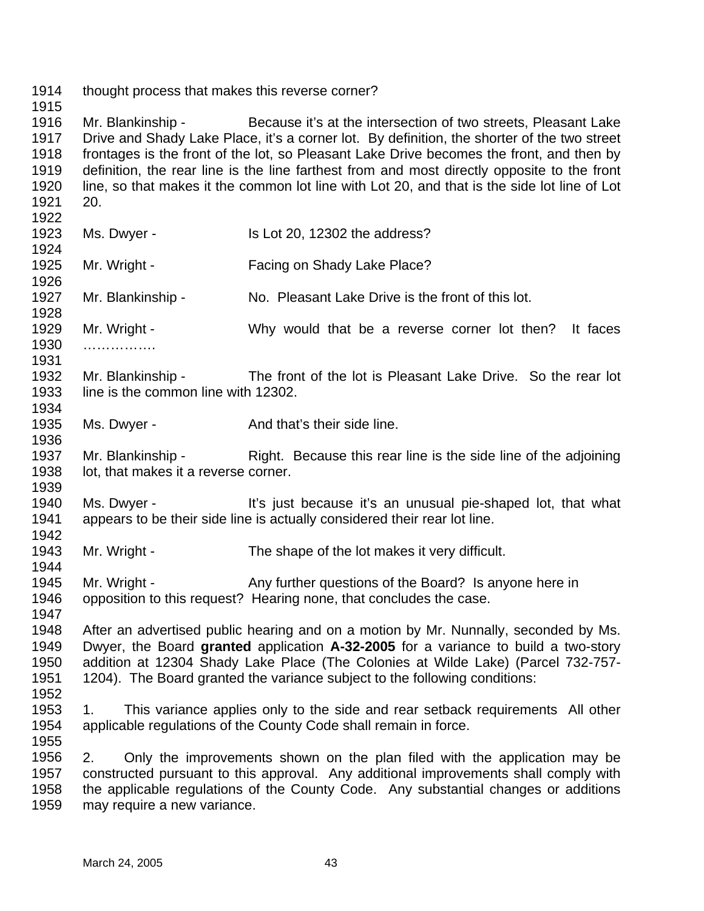1914 thought process that makes this reverse corner?

1915

1944

1955

1916 1917 1918 1919 1920 1921 Mr. Blankinship - Because it's at the intersection of two streets, Pleasant Lake Drive and Shady Lake Place, it's a corner lot. By definition, the shorter of the two street frontages is the front of the lot, so Pleasant Lake Drive becomes the front, and then by definition, the rear line is the line farthest from and most directly opposite to the front line, so that makes it the common lot line with Lot 20, and that is the side lot line of Lot 20.

- 1922 1923 1924 1925 1926 1927 1928 1929 1930 1931 1932 1933 1934 1935 1936 1937 1938 1939 1940 Ms. Dwyer - Is Lot 20, 12302 the address? Mr. Wright - Facing on Shady Lake Place? Mr. Blankinship - No. Pleasant Lake Drive is the front of this lot. Mr. Wright - Why would that be a reverse corner lot then? It faces ……………… Mr. Blankinship - The front of the lot is Pleasant Lake Drive. So the rear lot line is the common line with 12302. Ms. Dwyer - And that's their side line. Mr. Blankinship - Right. Because this rear line is the side line of the adjoining lot, that makes it a reverse corner. Ms. Dwyer - It's just because it's an unusual pie-shaped lot, that what
- 1941 1942 appears to be their side line is actually considered their rear lot line.
- 1943 Mr. Wright - The shape of the lot makes it very difficult.
- 1945 1946 1947 Mr. Wright - Any further questions of the Board? Is anyone here in opposition to this request? Hearing none, that concludes the case.
- 1948 1949 1950 1951 1952 After an advertised public hearing and on a motion by Mr. Nunnally, seconded by Ms. Dwyer, the Board **granted** application **A-32-2005** for a variance to build a two-story addition at 12304 Shady Lake Place (The Colonies at Wilde Lake) (Parcel 732-757- 1204). The Board granted the variance subject to the following conditions:
- 1953 1954 1. This variance applies only to the side and rear setback requirements All other applicable regulations of the County Code shall remain in force.
- 1956 1957 1958 1959 2. Only the improvements shown on the plan filed with the application may be constructed pursuant to this approval. Any additional improvements shall comply with the applicable regulations of the County Code. Any substantial changes or additions may require a new variance.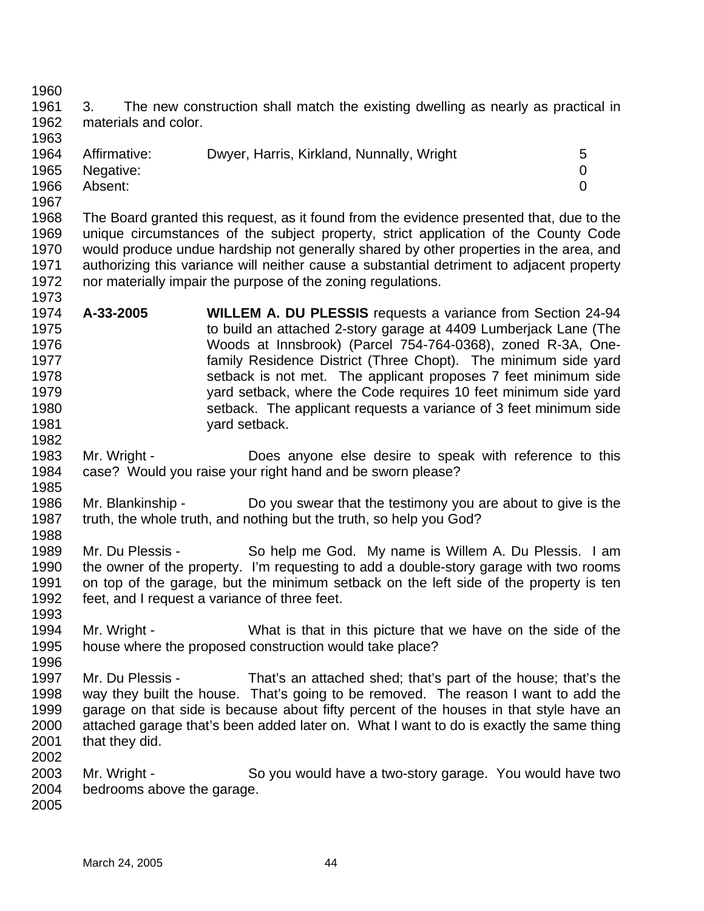1961 1962 1963 1964 1965 1966 1967 1968 1969 1970 1971 1972 1973 1974 1975 1976 1977 1978 1979 1980 1981 1982 1983 1984 1985 1986 1987 1988 1989 1990 1991 1992 1993 1994 1995 1996 1997 1998 1999 2000 2001 2002 2003 2004 2005 3. The new construction shall match the existing dwelling as nearly as practical in materials and color. Affirmative: Dwyer, Harris, Kirkland, Nunnally, Wright 5 Negative: 0 Absent: 0 The Board granted this request, as it found from the evidence presented that, due to the unique circumstances of the subject property, strict application of the County Code would produce undue hardship not generally shared by other properties in the area, and authorizing this variance will neither cause a substantial detriment to adjacent property nor materially impair the purpose of the zoning regulations. **A-33-2005 WILLEM A. DU PLESSIS** requests a variance from Section 24-94 to build an attached 2-story garage at 4409 Lumberjack Lane (The Woods at Innsbrook) (Parcel 754-764-0368), zoned R-3A, Onefamily Residence District (Three Chopt). The minimum side yard setback is not met. The applicant proposes 7 feet minimum side yard setback, where the Code requires 10 feet minimum side yard setback. The applicant requests a variance of 3 feet minimum side yard setback. Mr. Wright - **Does anyone else desire to speak with reference to this** case? Would you raise your right hand and be sworn please? Mr. Blankinship - Do you swear that the testimony you are about to give is the truth, the whole truth, and nothing but the truth, so help you God? Mr. Du Plessis - So help me God. My name is Willem A. Du Plessis. I am the owner of the property. I'm requesting to add a double-story garage with two rooms on top of the garage, but the minimum setback on the left side of the property is ten feet, and I request a variance of three feet. Mr. Wright - What is that in this picture that we have on the side of the house where the proposed construction would take place? Mr. Du Plessis - That's an attached shed; that's part of the house; that's the way they built the house. That's going to be removed. The reason I want to add the garage on that side is because about fifty percent of the houses in that style have an attached garage that's been added later on. What I want to do is exactly the same thing that they did. Mr. Wright - So you would have a two-story garage. You would have two bedrooms above the garage.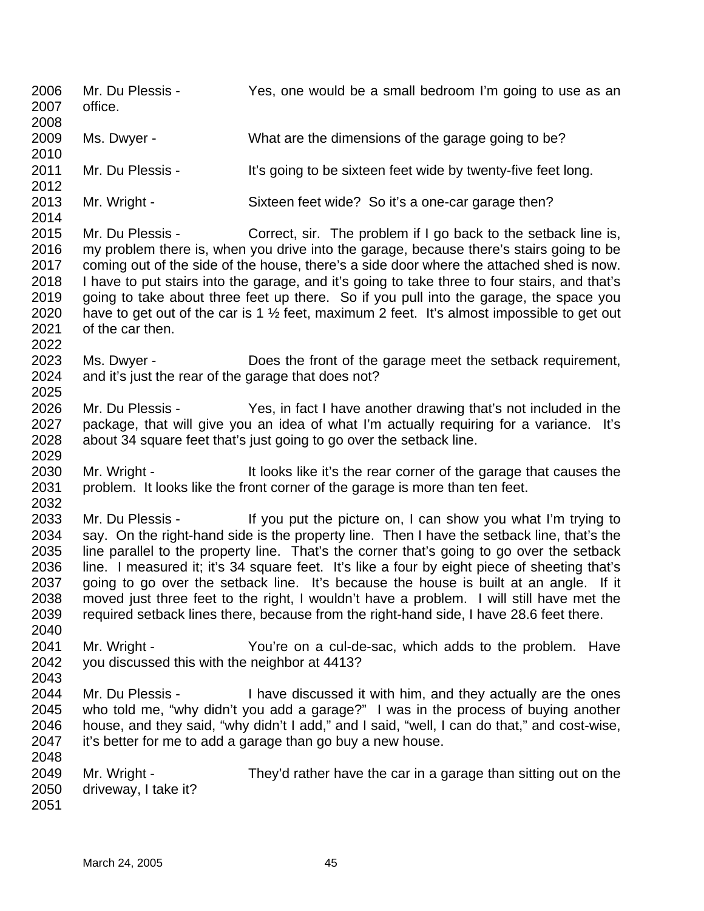2006 2007 2008 2009 2010 2011 2012 2013 2014 2015 2016 2017 2018 2019 2020 2021 2022 2023 2024 2025 2026 2027 2028 2029 2030 2031 2032 2033 2034 2035 2036 2037 2038 2039 2040 2041 2042 2043 2044 2045 2046 2047 2048 2049 2050 2051 Mr. Du Plessis - Yes, one would be a small bedroom I'm going to use as an office. Ms. Dwyer - What are the dimensions of the garage going to be? Mr. Du Plessis - It's going to be sixteen feet wide by twenty-five feet long. Mr. Wright - Sixteen feet wide? So it's a one-car garage then? Mr. Du Plessis - Correct, sir. The problem if I go back to the setback line is, my problem there is, when you drive into the garage, because there's stairs going to be coming out of the side of the house, there's a side door where the attached shed is now. I have to put stairs into the garage, and it's going to take three to four stairs, and that's going to take about three feet up there. So if you pull into the garage, the space you have to get out of the car is 1  $\frac{1}{2}$  feet, maximum 2 feet. It's almost impossible to get out of the car then. Ms. Dwyer - Does the front of the garage meet the setback requirement, and it's just the rear of the garage that does not? Mr. Du Plessis - Yes, in fact I have another drawing that's not included in the package, that will give you an idea of what I'm actually requiring for a variance. It's about 34 square feet that's just going to go over the setback line. Mr. Wright - It looks like it's the rear corner of the garage that causes the problem. It looks like the front corner of the garage is more than ten feet. Mr. Du Plessis - If you put the picture on, I can show you what I'm trying to say. On the right-hand side is the property line. Then I have the setback line, that's the line parallel to the property line. That's the corner that's going to go over the setback line. I measured it; it's 34 square feet. It's like a four by eight piece of sheeting that's going to go over the setback line. It's because the house is built at an angle. If it moved just three feet to the right, I wouldn't have a problem. I will still have met the required setback lines there, because from the right-hand side, I have 28.6 feet there. Mr. Wright - The You're on a cul-de-sac, which adds to the problem. Have you discussed this with the neighbor at 4413? Mr. Du Plessis - I have discussed it with him, and they actually are the ones who told me, "why didn't you add a garage?" I was in the process of buying another house, and they said, "why didn't I add," and I said, "well, I can do that," and cost-wise, it's better for me to add a garage than go buy a new house. Mr. Wright - They'd rather have the car in a garage than sitting out on the driveway, I take it?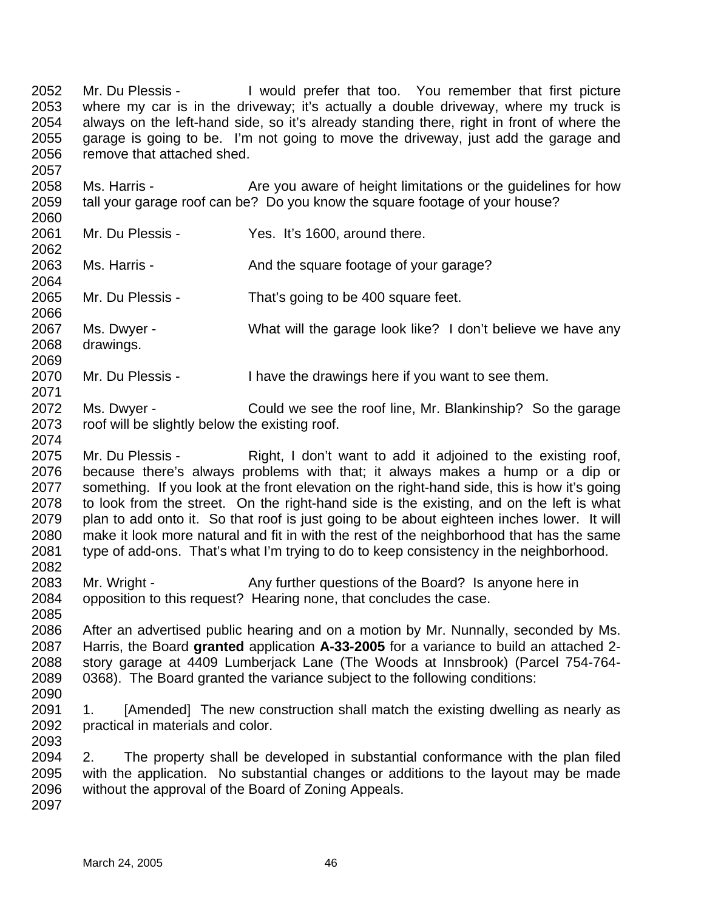2052 2053 2054 2055 2056 2057 Mr. Du Plessis - I would prefer that too. You remember that first picture where my car is in the driveway; it's actually a double driveway, where my truck is always on the left-hand side, so it's already standing there, right in front of where the garage is going to be. I'm not going to move the driveway, just add the garage and remove that attached shed.

2058 2059 2060 Ms. Harris - Are you aware of height limitations or the guidelines for how tall your garage roof can be? Do you know the square footage of your house?

2061 2062 Mr. Du Plessis - Yes. It's 1600, around there.

Ms. Harris - The Sand the square footage of your garage?

2065 2066 Mr. Du Plessis - That's going to be 400 square feet.

2067 2068 Ms. Dwyer - What will the garage look like? I don't believe we have any drawings.

2070 Mr. Du Plessis - I have the drawings here if you want to see them.

- 2072 2073 Ms. Dwyer - Could we see the roof line, Mr. Blankinship? So the garage roof will be slightly below the existing roof.
- 2075 2076 2077 2078 2079 2080 2081 2082 Mr. Du Plessis - Right, I don't want to add it adjoined to the existing roof, because there's always problems with that; it always makes a hump or a dip or something. If you look at the front elevation on the right-hand side, this is how it's going to look from the street. On the right-hand side is the existing, and on the left is what plan to add onto it. So that roof is just going to be about eighteen inches lower. It will make it look more natural and fit in with the rest of the neighborhood that has the same type of add-ons. That's what I'm trying to do to keep consistency in the neighborhood.
- 2083 2084 Mr. Wright - Any further questions of the Board? Is anyone here in opposition to this request? Hearing none, that concludes the case.

2086 2087 2088 2089 After an advertised public hearing and on a motion by Mr. Nunnally, seconded by Ms. Harris, the Board **granted** application **A-33-2005** for a variance to build an attached 2 story garage at 4409 Lumberjack Lane (The Woods at Innsbrook) (Parcel 754-764- 0368). The Board granted the variance subject to the following conditions:

2090

2085

2063 2064

2069

2071

2074

2091 2092 2093 1. [Amended] The new construction shall match the existing dwelling as nearly as practical in materials and color.

2094 2095 2096 2. The property shall be developed in substantial conformance with the plan filed with the application. No substantial changes or additions to the layout may be made without the approval of the Board of Zoning Appeals.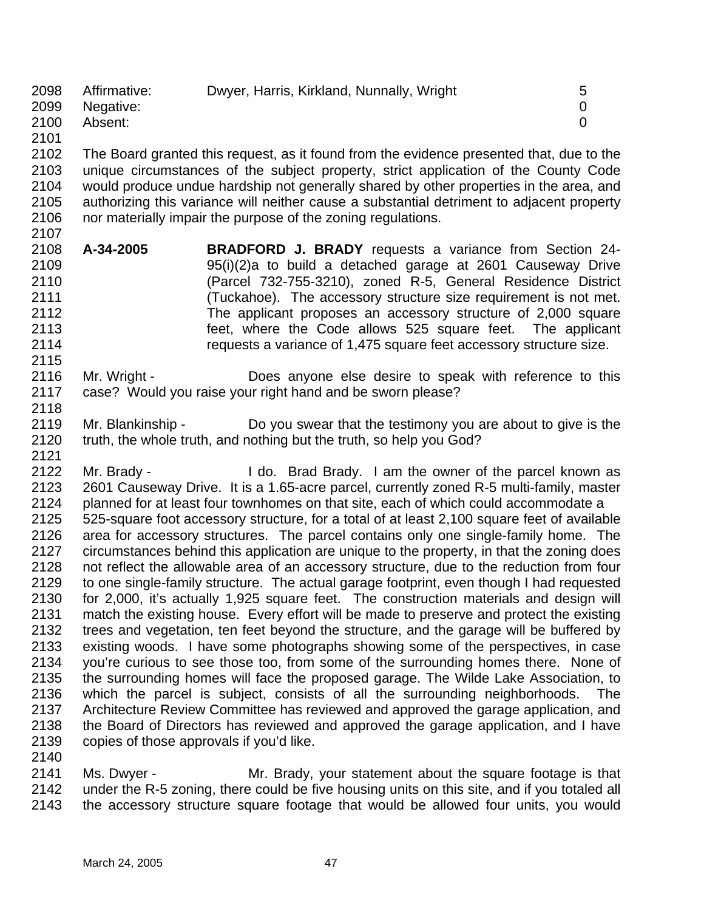| 2098 | Affirmative: | Dwyer, Harris, Kirkland, Nunnally, Wright | $\mathbf b$ |
|------|--------------|-------------------------------------------|-------------|
| 2099 | Negative:    |                                           |             |
| 2100 | Absent:      |                                           |             |
| 2101 |              |                                           |             |

2102 2103 2104 2105 2106 2107 The Board granted this request, as it found from the evidence presented that, due to the unique circumstances of the subject property, strict application of the County Code would produce undue hardship not generally shared by other properties in the area, and authorizing this variance will neither cause a substantial detriment to adjacent property nor materially impair the purpose of the zoning regulations.

- 2108 2109 2110 2111 2112 2113 2114 **A-34-2005 BRADFORD J. BRADY** requests a variance from Section 24- 95(i)(2)a to build a detached garage at 2601 Causeway Drive (Parcel 732-755-3210), zoned R-5, General Residence District (Tuckahoe). The accessory structure size requirement is not met. The applicant proposes an accessory structure of 2,000 square feet, where the Code allows 525 square feet. The applicant requests a variance of 1,475 square feet accessory structure size.
- 2116 2117 Mr. Wright - **Does anyone else desire to speak with reference to this** case? Would you raise your right hand and be sworn please?
- 2119 2120 2121 Mr. Blankinship - Do you swear that the testimony you are about to give is the truth, the whole truth, and nothing but the truth, so help you God?
- 2122 2123 2124 2125 2126 2127 2128 2129 2130 2131 2132 2133 2134 2135 2136 2137 2138 2139 2140 Mr. Brady - I do. Brad Brady. I am the owner of the parcel known as 2601 Causeway Drive. It is a 1.65-acre parcel, currently zoned R-5 multi-family, master planned for at least four townhomes on that site, each of which could accommodate a 525-square foot accessory structure, for a total of at least 2,100 square feet of available area for accessory structures. The parcel contains only one single-family home. The circumstances behind this application are unique to the property, in that the zoning does not reflect the allowable area of an accessory structure, due to the reduction from four to one single-family structure. The actual garage footprint, even though I had requested for 2,000, it's actually 1,925 square feet. The construction materials and design will match the existing house. Every effort will be made to preserve and protect the existing trees and vegetation, ten feet beyond the structure, and the garage will be buffered by existing woods. I have some photographs showing some of the perspectives, in case you're curious to see those too, from some of the surrounding homes there. None of the surrounding homes will face the proposed garage. The Wilde Lake Association, to which the parcel is subject, consists of all the surrounding neighborhoods. The Architecture Review Committee has reviewed and approved the garage application, and the Board of Directors has reviewed and approved the garage application, and I have copies of those approvals if you'd like.
- 2141 2142 2143 Ms. Dwyer - The Mr. Brady, your statement about the square footage is that under the R-5 zoning, there could be five housing units on this site, and if you totaled all the accessory structure square footage that would be allowed four units, you would

2115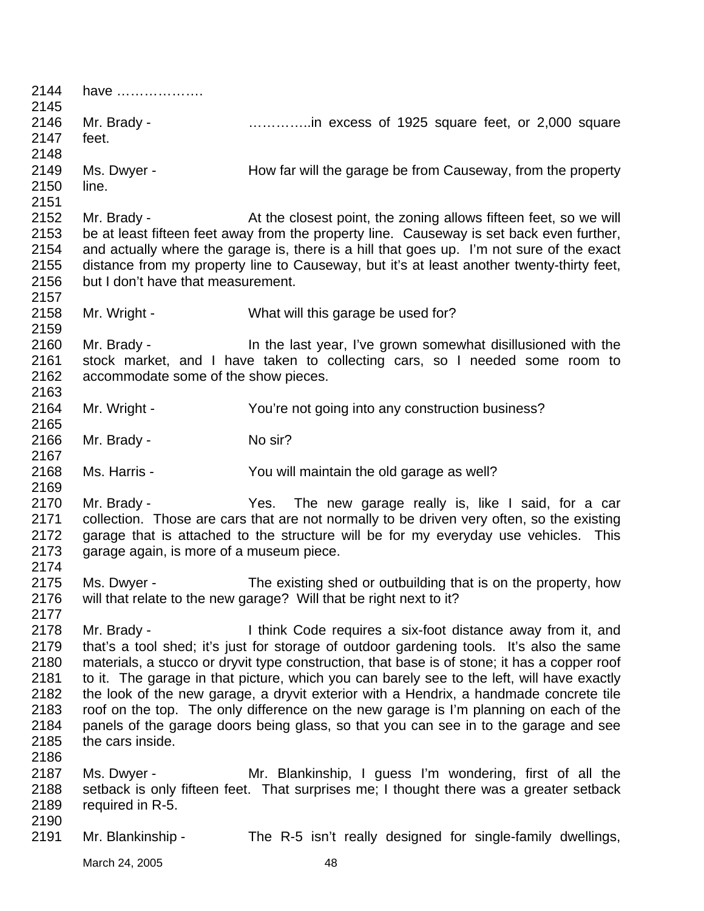| 2144<br>2145 | have                                     |                                                                                              |
|--------------|------------------------------------------|----------------------------------------------------------------------------------------------|
| 2146         | Mr. Brady -                              | in excess of 1925 square feet, or 2,000 square                                               |
| 2147         | feet.                                    |                                                                                              |
| 2148         |                                          |                                                                                              |
| 2149         | Ms. Dwyer -                              | How far will the garage be from Causeway, from the property                                  |
| 2150         | line.                                    |                                                                                              |
| 2151         |                                          |                                                                                              |
| 2152         | Mr. Brady -                              | At the closest point, the zoning allows fifteen feet, so we will                             |
| 2153         |                                          | be at least fifteen feet away from the property line. Causeway is set back even further,     |
| 2154         |                                          | and actually where the garage is, there is a hill that goes up. I'm not sure of the exact    |
| 2155         |                                          | distance from my property line to Causeway, but it's at least another twenty-thirty feet,    |
| 2156         | but I don't have that measurement.       |                                                                                              |
| 2157         |                                          |                                                                                              |
| 2158         | Mr. Wright -                             | What will this garage be used for?                                                           |
| 2159         |                                          |                                                                                              |
| 2160         | Mr. Brady -                              | In the last year, I've grown somewhat disillusioned with the                                 |
| 2161         |                                          | stock market, and I have taken to collecting cars, so I needed some room to                  |
| 2162         | accommodate some of the show pieces.     |                                                                                              |
| 2163         |                                          |                                                                                              |
| 2164         | Mr. Wright -                             | You're not going into any construction business?                                             |
| 2165         |                                          |                                                                                              |
| 2166         | Mr. Brady -                              | No sir?                                                                                      |
| 2167         |                                          |                                                                                              |
| 2168         | Ms. Harris -                             | You will maintain the old garage as well?                                                    |
| 2169         |                                          |                                                                                              |
| 2170         | Mr. Brady -                              | Yes. The new garage really is, like I said, for a car                                        |
| 2171         |                                          | collection. Those are cars that are not normally to be driven very often, so the existing    |
| 2172         |                                          | garage that is attached to the structure will be for my everyday use vehicles. This          |
| 2173         | garage again, is more of a museum piece. |                                                                                              |
| 2174         |                                          |                                                                                              |
| 2175         | Ms. Dwyer -                              | The existing shed or outbuilding that is on the property, how                                |
| 2176         |                                          | will that relate to the new garage? Will that be right next to it?                           |
| 2177         |                                          |                                                                                              |
| 2178         | Mr. Brady -                              | I think Code requires a six-foot distance away from it, and                                  |
| 2179         |                                          | that's a tool shed; it's just for storage of outdoor gardening tools. It's also the same     |
| 2180         |                                          | materials, a stucco or dryvit type construction, that base is of stone; it has a copper roof |
| 2181         |                                          | to it. The garage in that picture, which you can barely see to the left, will have exactly   |
| 2182         |                                          | the look of the new garage, a dryvit exterior with a Hendrix, a handmade concrete tile       |
| 2183         |                                          | roof on the top. The only difference on the new garage is I'm planning on each of the        |
| 2184         |                                          | panels of the garage doors being glass, so that you can see in to the garage and see         |
| 2185         | the cars inside.                         |                                                                                              |
| 2186         |                                          |                                                                                              |
| 2187         | Ms. Dwyer -                              | Mr. Blankinship, I guess I'm wondering, first of all the                                     |
| 2188         |                                          | setback is only fifteen feet. That surprises me; I thought there was a greater setback       |
| 2189         | required in R-5.                         |                                                                                              |
| 2190         |                                          |                                                                                              |
| 2191         | Mr. Blankinship -                        | The R-5 isn't really designed for single-family dwellings,                                   |
|              |                                          |                                                                                              |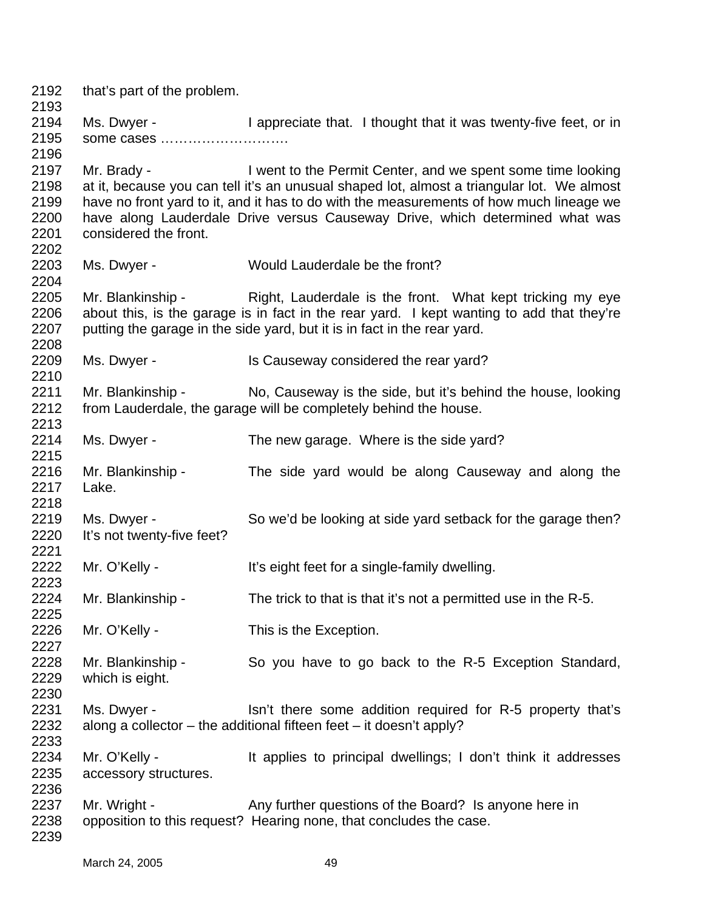2192 2193 2194 2195 2196 2197 2198 2199 2200 2201 2202 2203 2204 2205 2206 2207 2208 2209 2210 2211 2212 2213 2214 2215 2216 2217 2218 2219 2220 2221 2222 2223 2224 2225 2226 2227 2228 2229 2230 2231 2232 2233 2234 2235 2236 2237 2238 2239 that's part of the problem. Ms. Dwyer - I appreciate that. I thought that it was twenty-five feet, or in some cases ………………………. Mr. Brady - I went to the Permit Center, and we spent some time looking at it, because you can tell it's an unusual shaped lot, almost a triangular lot. We almost have no front yard to it, and it has to do with the measurements of how much lineage we have along Lauderdale Drive versus Causeway Drive, which determined what was considered the front. Ms. Dwyer - Would Lauderdale be the front? Mr. Blankinship - Right, Lauderdale is the front. What kept tricking my eye about this, is the garage is in fact in the rear yard. I kept wanting to add that they're putting the garage in the side yard, but it is in fact in the rear yard. Ms. Dwyer - Is Causeway considered the rear yard? Mr. Blankinship - No, Causeway is the side, but it's behind the house, looking from Lauderdale, the garage will be completely behind the house. Ms. Dwyer - The new garage. Where is the side yard? Mr. Blankinship - The side yard would be along Causeway and along the Lake. Ms. Dwyer - So we'd be looking at side yard setback for the garage then? It's not twenty-five feet? Mr. O'Kelly - It's eight feet for a single-family dwelling. Mr. Blankinship - The trick to that is that it's not a permitted use in the R-5. Mr. O'Kelly - This is the Exception. Mr. Blankinship - So you have to go back to the R-5 Exception Standard, which is eight. Ms. Dwyer - Isn't there some addition required for R-5 property that's along a collector – the additional fifteen feet – it doesn't apply? Mr. O'Kelly - It applies to principal dwellings; I don't think it addresses accessory structures. Mr. Wright - Any further questions of the Board? Is anyone here in opposition to this request? Hearing none, that concludes the case.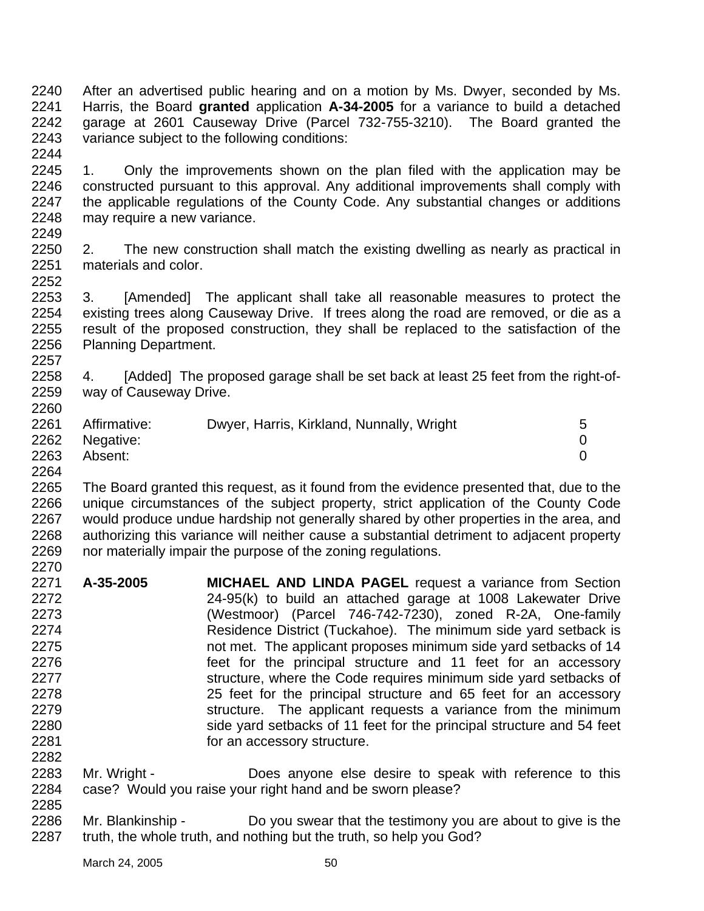2240 2241 2242 2243 2244 After an advertised public hearing and on a motion by Ms. Dwyer, seconded by Ms. Harris, the Board **granted** application **A-34-2005** for a variance to build a detached garage at 2601 Causeway Drive (Parcel 732-755-3210). The Board granted the variance subject to the following conditions:

2245 2246 2247 2248 2249 1. Only the improvements shown on the plan filed with the application may be constructed pursuant to this approval. Any additional improvements shall comply with the applicable regulations of the County Code. Any substantial changes or additions may require a new variance.

2250 2251 2252 2. The new construction shall match the existing dwelling as nearly as practical in materials and color.

2253 2254 2255 2256 2257 3. [Amended] The applicant shall take all reasonable measures to protect the existing trees along Causeway Drive. If trees along the road are removed, or die as a result of the proposed construction, they shall be replaced to the satisfaction of the Planning Department.

2258 2259 2260 4. [Added] The proposed garage shall be set back at least 25 feet from the right-ofway of Causeway Drive.

| 2261 | Affirmative:   | Dwyer, Harris, Kirkland, Nunnally, Wright | 5. |
|------|----------------|-------------------------------------------|----|
|      | 2262 Negative: |                                           |    |
| 2263 | Absent:        |                                           |    |

2264

2265 2266 2267 2268 2269 2270 The Board granted this request, as it found from the evidence presented that, due to the unique circumstances of the subject property, strict application of the County Code would produce undue hardship not generally shared by other properties in the area, and authorizing this variance will neither cause a substantial detriment to adjacent property nor materially impair the purpose of the zoning regulations.

- 2271 2272 2273 2274 2275 2276 2277 2278 2279 2280 2281 2282 **A-35-2005 MICHAEL AND LINDA PAGEL** request a variance from Section 24-95(k) to build an attached garage at 1008 Lakewater Drive (Westmoor) (Parcel 746-742-7230), zoned R-2A, One-family Residence District (Tuckahoe). The minimum side yard setback is not met. The applicant proposes minimum side yard setbacks of 14 feet for the principal structure and 11 feet for an accessory structure, where the Code requires minimum side yard setbacks of 25 feet for the principal structure and 65 feet for an accessory structure. The applicant requests a variance from the minimum side yard setbacks of 11 feet for the principal structure and 54 feet for an accessory structure.
- 2283 2284 Mr. Wright - **Does anyone else desire to speak with reference to this** case? Would you raise your right hand and be sworn please?
- 2285

2286 2287 Mr. Blankinship - Do you swear that the testimony you are about to give is the truth, the whole truth, and nothing but the truth, so help you God?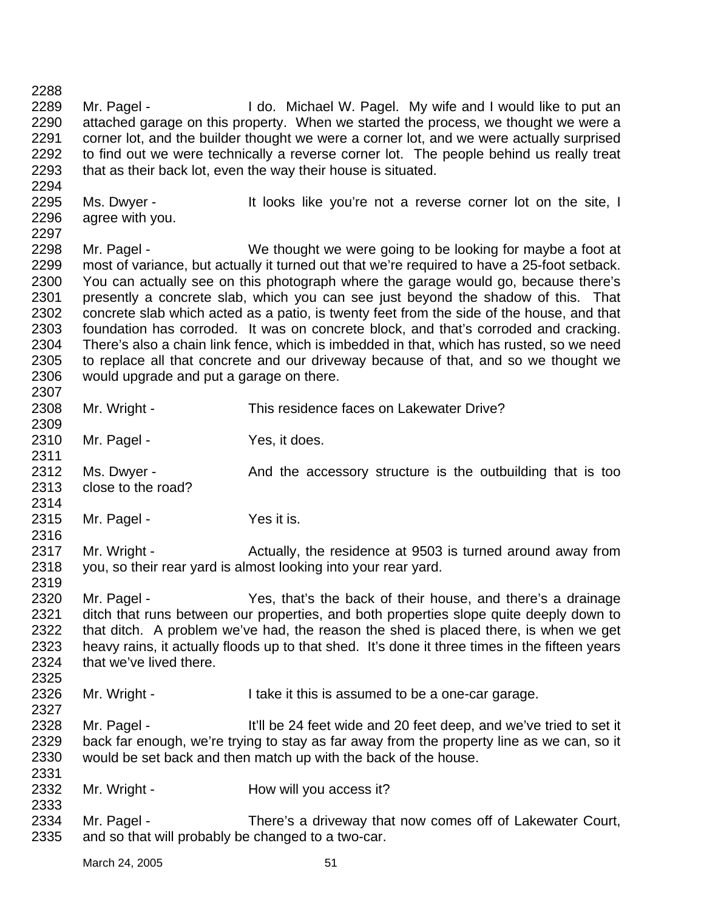2288 2289 2290 2291 2292 2293 2294 2295 2296 2297 2298 2299 2300 2301 2302 2303 2304 2305 2306 2307 2308 2309 2310 2311 2312 2313 2314 2315 2316 2317 2318 2319 2320 2321 2322 2323 2324 2325 2326 2327 2328 2329 2330 2331 2332 2333 2334 2335 Mr. Pagel - I do. Michael W. Pagel. My wife and I would like to put an attached garage on this property. When we started the process, we thought we were a corner lot, and the builder thought we were a corner lot, and we were actually surprised to find out we were technically a reverse corner lot. The people behind us really treat that as their back lot, even the way their house is situated. Ms. Dwyer - It looks like you're not a reverse corner lot on the site, I agree with you. Mr. Pagel - We thought we were going to be looking for maybe a foot at most of variance, but actually it turned out that we're required to have a 25-foot setback. You can actually see on this photograph where the garage would go, because there's presently a concrete slab, which you can see just beyond the shadow of this. That concrete slab which acted as a patio, is twenty feet from the side of the house, and that foundation has corroded. It was on concrete block, and that's corroded and cracking. There's also a chain link fence, which is imbedded in that, which has rusted, so we need to replace all that concrete and our driveway because of that, and so we thought we would upgrade and put a garage on there. Mr. Wright - This residence faces on Lakewater Drive? Mr. Pagel - Yes, it does. Ms. Dwyer - The And the accessory structure is the outbuilding that is too close to the road? Mr. Pagel - Yes it is. Mr. Wright - Actually, the residence at 9503 is turned around away from you, so their rear yard is almost looking into your rear yard. Mr. Pagel - Yes, that's the back of their house, and there's a drainage ditch that runs between our properties, and both properties slope quite deeply down to that ditch. A problem we've had, the reason the shed is placed there, is when we get heavy rains, it actually floods up to that shed. It's done it three times in the fifteen years that we've lived there. Mr. Wright - I take it this is assumed to be a one-car garage. Mr. Pagel - It'll be 24 feet wide and 20 feet deep, and we've tried to set it back far enough, we're trying to stay as far away from the property line as we can, so it would be set back and then match up with the back of the house. Mr. Wright - **How will you access it?** Mr. Pagel - There's a driveway that now comes off of Lakewater Court, and so that will probably be changed to a two-car.

March 24, 2005 51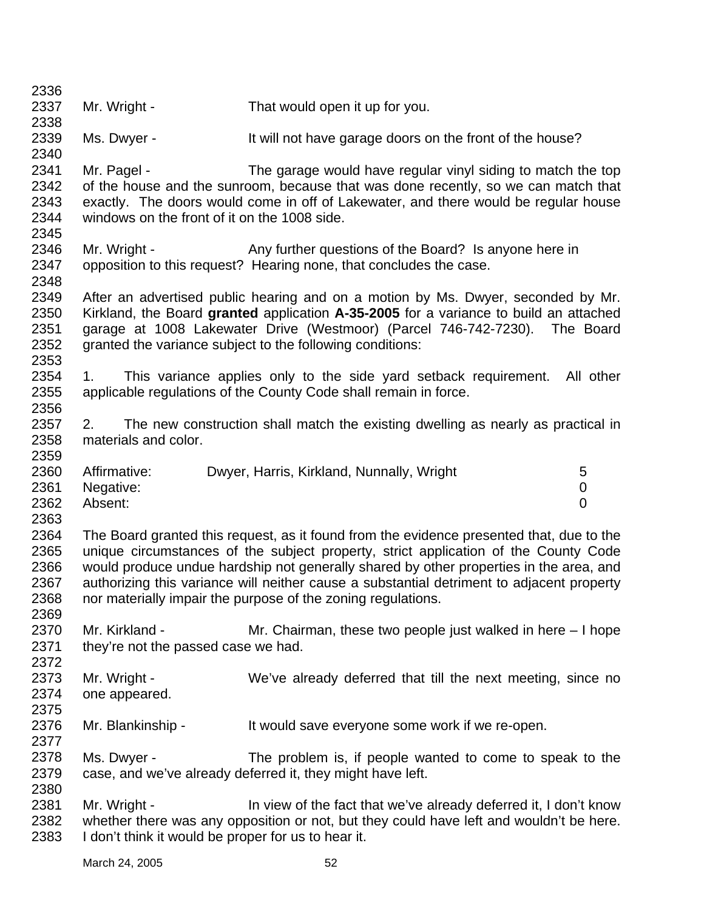| 2336<br>2337                                 | Mr. Wright -                                                        | That would open it up for you.                                                                                                                                                                                                                                                                                                                                                                                                         |           |
|----------------------------------------------|---------------------------------------------------------------------|----------------------------------------------------------------------------------------------------------------------------------------------------------------------------------------------------------------------------------------------------------------------------------------------------------------------------------------------------------------------------------------------------------------------------------------|-----------|
| 2338                                         |                                                                     |                                                                                                                                                                                                                                                                                                                                                                                                                                        |           |
| 2339<br>2340                                 | Ms. Dwyer -                                                         | It will not have garage doors on the front of the house?                                                                                                                                                                                                                                                                                                                                                                               |           |
| 2341<br>2342<br>2343<br>2344                 | Mr. Pagel -<br>windows on the front of it on the 1008 side.         | The garage would have regular vinyl siding to match the top<br>of the house and the sunroom, because that was done recently, so we can match that<br>exactly. The doors would come in off of Lakewater, and there would be regular house                                                                                                                                                                                               |           |
| 2345<br>2346<br>2347                         | Mr. Wright -                                                        | Any further questions of the Board? Is anyone here in<br>opposition to this request? Hearing none, that concludes the case.                                                                                                                                                                                                                                                                                                            |           |
| 2348<br>2349<br>2350<br>2351<br>2352<br>2353 |                                                                     | After an advertised public hearing and on a motion by Ms. Dwyer, seconded by Mr.<br>Kirkland, the Board granted application A-35-2005 for a variance to build an attached<br>garage at 1008 Lakewater Drive (Westmoor) (Parcel 746-742-7230).<br>granted the variance subject to the following conditions:                                                                                                                             | The Board |
| 2354<br>2355<br>2356                         | 1.                                                                  | This variance applies only to the side yard setback requirement.<br>applicable regulations of the County Code shall remain in force.                                                                                                                                                                                                                                                                                                   | All other |
| 2357<br>2358<br>2359                         | 2.<br>materials and color.                                          | The new construction shall match the existing dwelling as nearly as practical in                                                                                                                                                                                                                                                                                                                                                       |           |
| 2360<br>2361<br>2362<br>2363                 | Affirmative:<br>Negative:<br>Absent:                                | 5<br>Dwyer, Harris, Kirkland, Nunnally, Wright<br>0<br>$\overline{0}$                                                                                                                                                                                                                                                                                                                                                                  |           |
| 2364<br>2365<br>2366<br>2367<br>2368<br>2369 |                                                                     | The Board granted this request, as it found from the evidence presented that, due to the<br>unique circumstances of the subject property, strict application of the County Code<br>would produce undue hardship not generally shared by other properties in the area, and<br>authorizing this variance will neither cause a substantial detriment to adjacent property<br>nor materially impair the purpose of the zoning regulations. |           |
| 2370<br>2371<br>2372                         | Mr. Kirkland -<br>they're not the passed case we had.               | Mr. Chairman, these two people just walked in here $-1$ hope                                                                                                                                                                                                                                                                                                                                                                           |           |
| 2373<br>2374<br>2375                         | Mr. Wright -<br>one appeared.                                       | We've already deferred that till the next meeting, since no                                                                                                                                                                                                                                                                                                                                                                            |           |
| 2376<br>2377                                 | Mr. Blankinship -                                                   | It would save everyone some work if we re-open.                                                                                                                                                                                                                                                                                                                                                                                        |           |
| 2378<br>2379<br>2380                         | Ms. Dwyer -                                                         | The problem is, if people wanted to come to speak to the<br>case, and we've already deferred it, they might have left.                                                                                                                                                                                                                                                                                                                 |           |
| 2381<br>2382<br>2383                         | Mr. Wright -<br>I don't think it would be proper for us to hear it. | In view of the fact that we've already deferred it, I don't know<br>whether there was any opposition or not, but they could have left and wouldn't be here.                                                                                                                                                                                                                                                                            |           |